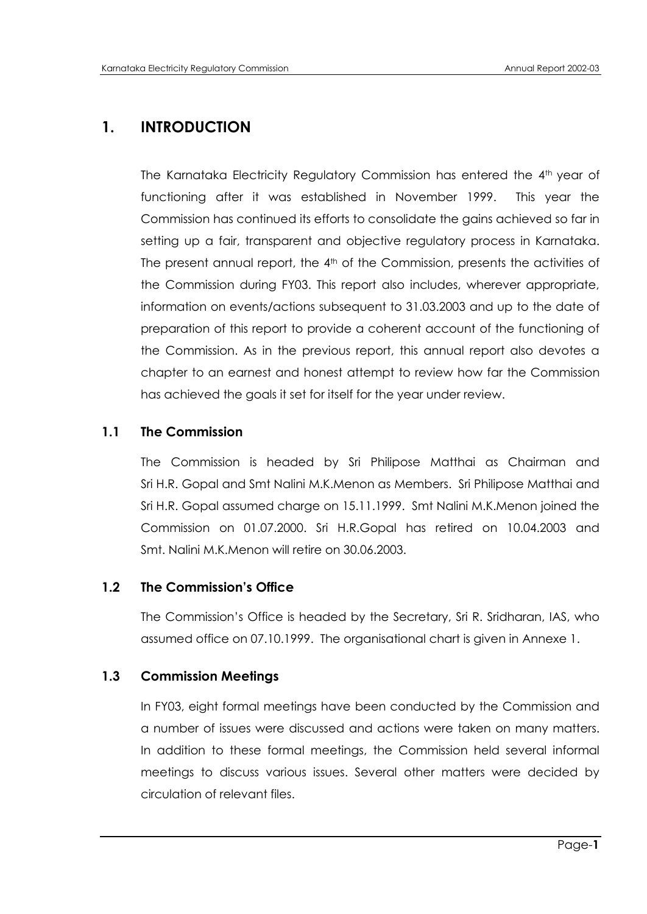# **1. INTRODUCTION**

The Karnataka Electricity Regulatory Commission has entered the 4<sup>th</sup> year of functioning after it was established in November 1999. This year the Commission has continued its efforts to consolidate the gains achieved so far in setting up a fair, transparent and objective regulatory process in Karnataka. The present annual report, the 4<sup>th</sup> of the Commission, presents the activities of the Commission during FY03. This report also includes, wherever appropriate, information on events/actions subsequent to 31.03.2003 and up to the date of preparation of this report to provide a coherent account of the functioning of the Commission. As in the previous report, this annual report also devotes a chapter to an earnest and honest attempt to review how far the Commission has achieved the goals it set for itself for the year under review.

# **1.1 The Commission**

The Commission is headed by Sri Philipose Matthai as Chairman and Sri H.R. Gopal and Smt Nalini M.K.Menon as Members. Sri Philipose Matthai and Sri H.R. Gopal assumed charge on 15.11.1999. Smt Nalini M.K.Menon joined the Commission on 01.07.2000. Sri H.R.Gopal has retired on 10.04.2003 and Smt. Nalini M.K.Menon will retire on 30.06.2003.

# **1.2 The Commission's Office**

The Commission"s Office is headed by the Secretary, Sri R. Sridharan, IAS, who assumed office on 07.10.1999. The organisational chart is given in Annexe 1.

# **1.3 Commission Meetings**

In FY03, eight formal meetings have been conducted by the Commission and a number of issues were discussed and actions were taken on many matters. In addition to these formal meetings, the Commission held several informal meetings to discuss various issues. Several other matters were decided by circulation of relevant files.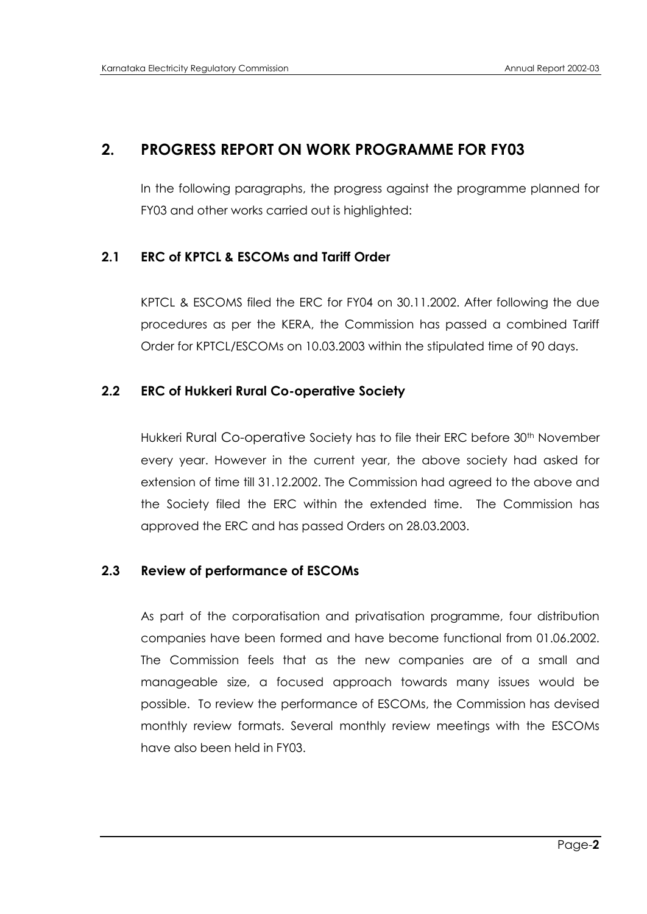# **2. PROGRESS REPORT ON WORK PROGRAMME FOR FY03**

In the following paragraphs, the progress against the programme planned for FY03 and other works carried out is highlighted:

## **2.1 ERC of KPTCL & ESCOMs and Tariff Order**

KPTCL & ESCOMS filed the ERC for FY04 on 30.11.2002. After following the due procedures as per the KERA, the Commission has passed a combined Tariff Order for KPTCL/ESCOMs on 10.03.2003 within the stipulated time of 90 days.

## **2.2 ERC of Hukkeri Rural Co-operative Society**

Hukkeri Rural Co-operative Society has to file their ERC before 30<sup>th</sup> November every year. However in the current year, the above society had asked for extension of time till 31.12.2002. The Commission had agreed to the above and the Society filed the ERC within the extended time. The Commission has approved the ERC and has passed Orders on 28.03.2003.

## **2.3 Review of performance of ESCOMs**

As part of the corporatisation and privatisation programme, four distribution companies have been formed and have become functional from 01.06.2002. The Commission feels that as the new companies are of a small and manageable size, a focused approach towards many issues would be possible. To review the performance of ESCOMs, the Commission has devised monthly review formats. Several monthly review meetings with the ESCOMs have also been held in FY03.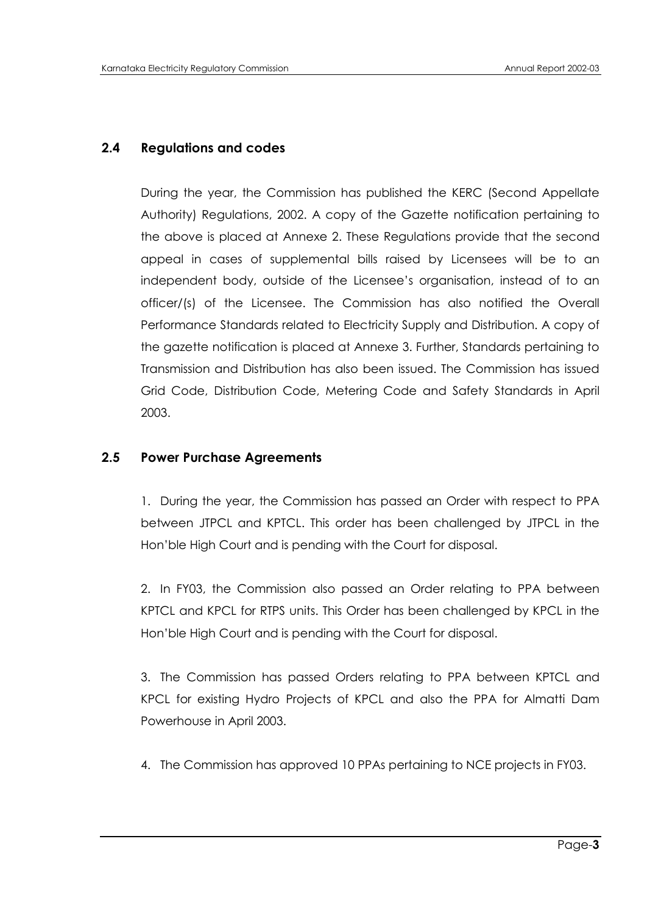# **2.4 Regulations and codes**

During the year, the Commission has published the KERC (Second Appellate Authority) Regulations, 2002. A copy of the Gazette notification pertaining to the above is placed at Annexe 2. These Regulations provide that the second appeal in cases of supplemental bills raised by Licensees will be to an independent body, outside of the Licensee"s organisation, instead of to an officer/(s) of the Licensee. The Commission has also notified the Overall Performance Standards related to Electricity Supply and Distribution. A copy of the gazette notification is placed at Annexe 3. Further, Standards pertaining to Transmission and Distribution has also been issued. The Commission has issued Grid Code, Distribution Code, Metering Code and Safety Standards in April 2003.

# **2.5 Power Purchase Agreements**

1. During the year, the Commission has passed an Order with respect to PPA between JTPCL and KPTCL. This order has been challenged by JTPCL in the Hon"ble High Court and is pending with the Court for disposal.

2. In FY03, the Commission also passed an Order relating to PPA between KPTCL and KPCL for RTPS units. This Order has been challenged by KPCL in the Hon"ble High Court and is pending with the Court for disposal.

3. The Commission has passed Orders relating to PPA between KPTCL and KPCL for existing Hydro Projects of KPCL and also the PPA for Almatti Dam Powerhouse in April 2003.

4. The Commission has approved 10 PPAs pertaining to NCE projects in FY03.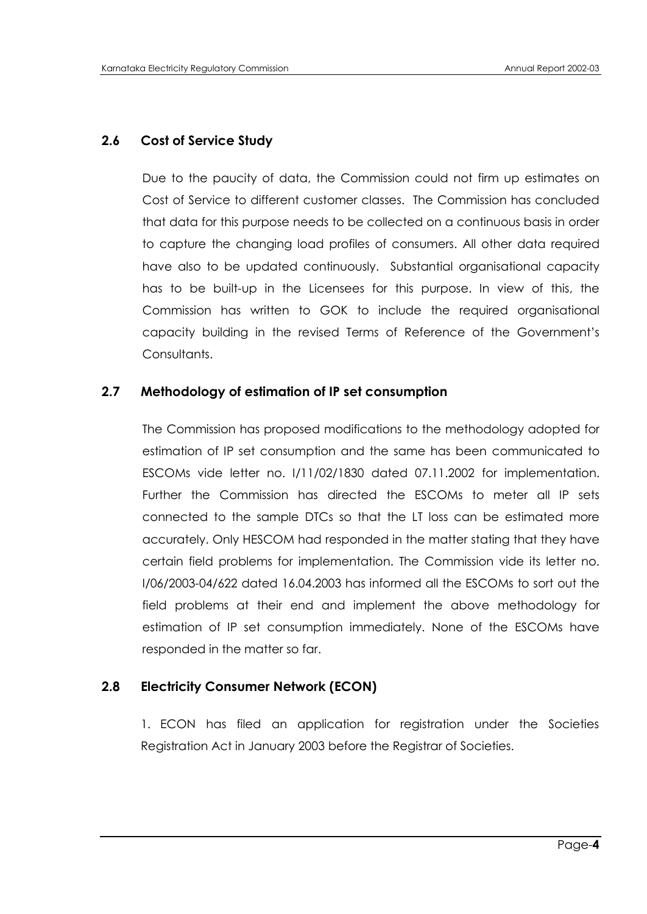# **2.6 Cost of Service Study**

Due to the paucity of data, the Commission could not firm up estimates on Cost of Service to different customer classes. The Commission has concluded that data for this purpose needs to be collected on a continuous basis in order to capture the changing load profiles of consumers. All other data required have also to be updated continuously. Substantial organisational capacity has to be built-up in the Licensees for this purpose. In view of this, the Commission has written to GOK to include the required organisational capacity building in the revised Terms of Reference of the Government"s Consultants.

## **2.7 Methodology of estimation of IP set consumption**

The Commission has proposed modifications to the methodology adopted for estimation of IP set consumption and the same has been communicated to ESCOMs vide letter no. I/11/02/1830 dated 07.11.2002 for implementation. Further the Commission has directed the ESCOMs to meter all IP sets connected to the sample DTCs so that the LT loss can be estimated more accurately. Only HESCOM had responded in the matter stating that they have certain field problems for implementation. The Commission vide its letter no. I/06/2003-04/622 dated 16.04.2003 has informed all the ESCOMs to sort out the field problems at their end and implement the above methodology for estimation of IP set consumption immediately. None of the ESCOMs have responded in the matter so far.

# **2.8 Electricity Consumer Network (ECON)**

1. ECON has filed an application for registration under the Societies Registration Act in January 2003 before the Registrar of Societies.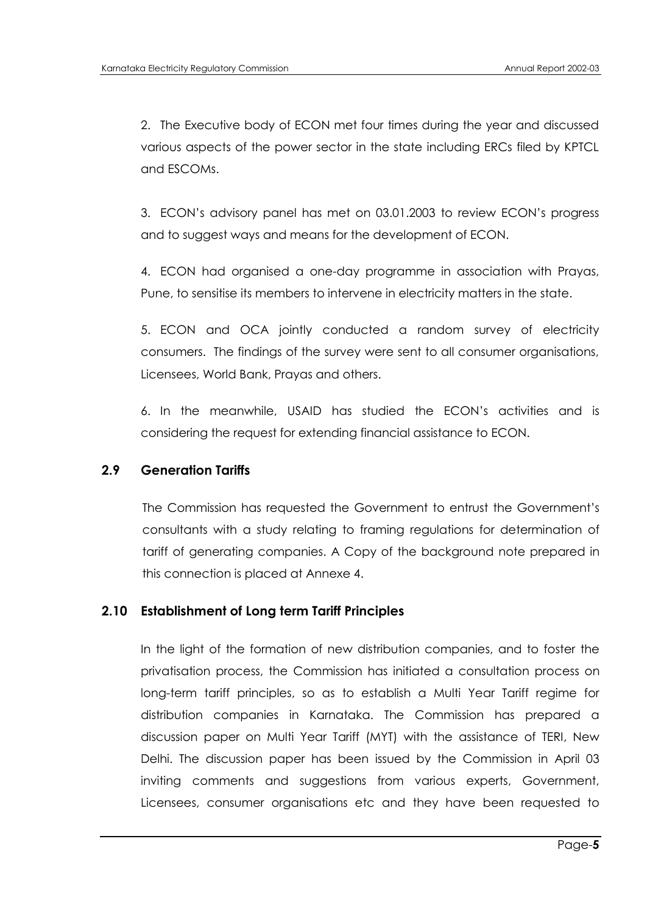2. The Executive body of ECON met four times during the year and discussed various aspects of the power sector in the state including ERCs filed by KPTCL and ESCOMs.

3. ECON"s advisory panel has met on 03.01.2003 to review ECON"s progress and to suggest ways and means for the development of ECON.

4. ECON had organised a one-day programme in association with Prayas, Pune, to sensitise its members to intervene in electricity matters in the state.

5. ECON and OCA jointly conducted a random survey of electricity consumers. The findings of the survey were sent to all consumer organisations, Licensees, World Bank, Prayas and others.

6. In the meanwhile, USAID has studied the ECON"s activities and is considering the request for extending financial assistance to ECON.

## **2.9 Generation Tariffs**

The Commission has requested the Government to entrust the Government"s consultants with a study relating to framing regulations for determination of tariff of generating companies. A Copy of the background note prepared in this connection is placed at Annexe 4.

## **2.10 Establishment of Long term Tariff Principles**

In the light of the formation of new distribution companies, and to foster the privatisation process, the Commission has initiated a consultation process on long-term tariff principles, so as to establish a Multi Year Tariff regime for distribution companies in Karnataka. The Commission has prepared a discussion paper on Multi Year Tariff (MYT) with the assistance of TERI, New Delhi. The discussion paper has been issued by the Commission in April 03 inviting comments and suggestions from various experts, Government, Licensees, consumer organisations etc and they have been requested to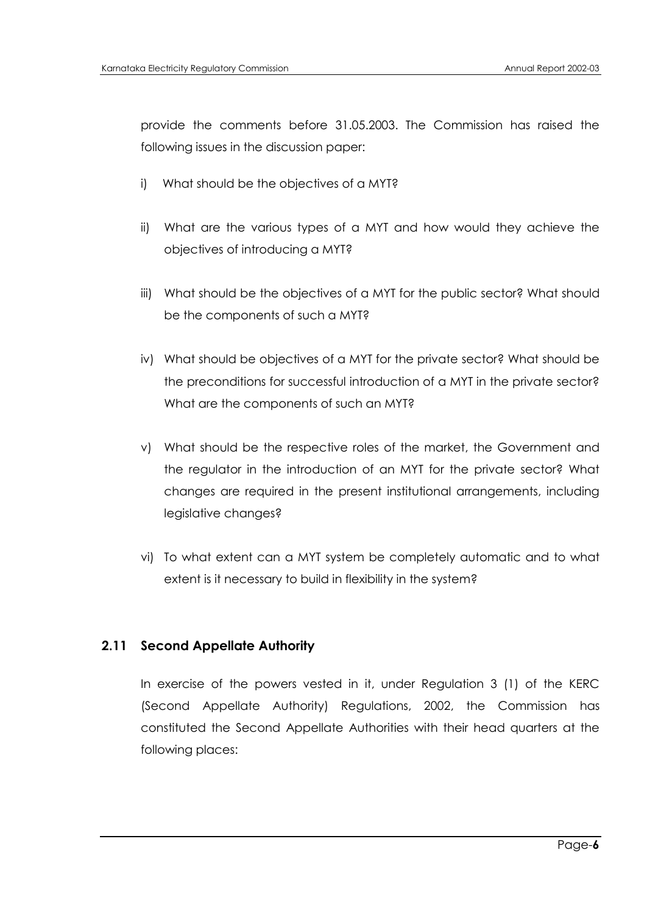provide the comments before 31.05.2003. The Commission has raised the following issues in the discussion paper:

- i) What should be the objectives of a MYT?
- ii) What are the various types of a MYT and how would they achieve the objectives of introducing a MYT?
- iii) What should be the objectives of a MYT for the public sector? What should be the components of such a MYT?
- iv) What should be objectives of a MYT for the private sector? What should be the preconditions for successful introduction of a MYT in the private sector? What are the components of such an MYT?
- v) What should be the respective roles of the market, the Government and the regulator in the introduction of an MYT for the private sector? What changes are required in the present institutional arrangements, including legislative changes?
- vi) To what extent can a MYT system be completely automatic and to what extent is it necessary to build in flexibility in the system?

# **2.11 Second Appellate Authority**

In exercise of the powers vested in it, under Regulation 3 (1) of the KERC (Second Appellate Authority) Regulations, 2002, the Commission has constituted the Second Appellate Authorities with their head quarters at the following places: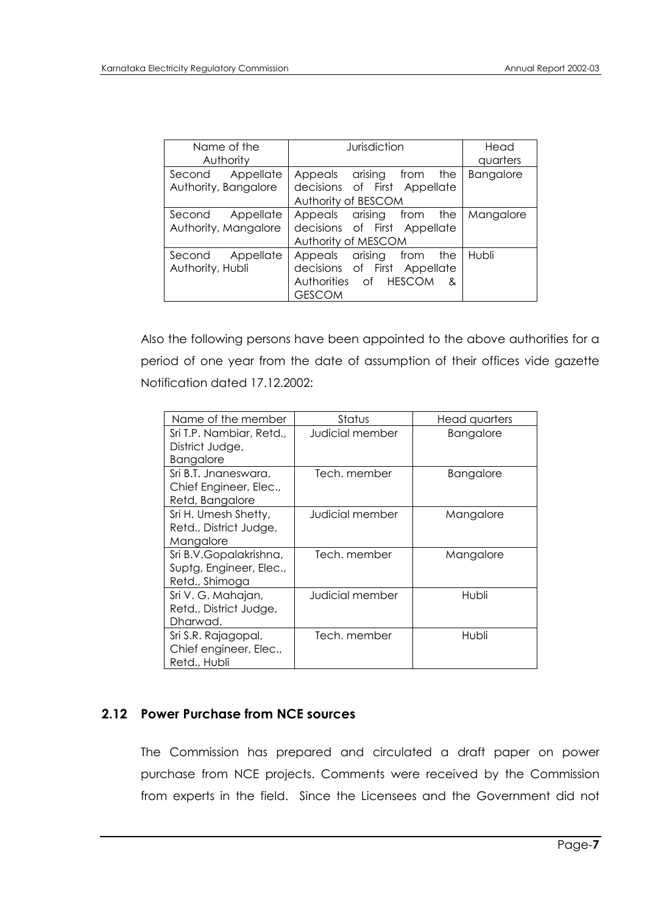| Name of the<br>Authority                    | Jurisdiction                                                                                                     | Head<br>quarters |
|---------------------------------------------|------------------------------------------------------------------------------------------------------------------|------------------|
| Appellate<br>Second<br>Authority, Bangalore | Appeals arising from the<br>decisions of First Appellate<br>Authority of BESCOM                                  | <b>Bangalore</b> |
| Second Appellate<br>Authority, Mangalore    | Appeals arising from the<br>decisions of First Appellate<br>Authority of MESCOM                                  | Mangalore        |
| Second Appellate<br>Authority, Hubli        | arising<br>from<br>Appeals<br>the<br>decisions of First Appellate<br>Authorities of HESCOM<br>&<br><b>GESCOM</b> | Hubli            |

Also the following persons have been appointed to the above authorities for a period of one year from the date of assumption of their offices vide gazette Notification dated 17.12.2002:

| Name of the member                                                  | Status          | Head quarters    |
|---------------------------------------------------------------------|-----------------|------------------|
| Sri T.P. Nambiar, Retd.,<br>District Judge,<br>Bangalore            | Judicial member | <b>Bangalore</b> |
| Sri B.T. Jnaneswara,<br>Chief Engineer, Elec.,<br>Retd, Bangalore   | Tech, member    | <b>Bangalore</b> |
| Sri H. Umesh Shetty,<br>Retd., District Judge,<br>Mangalore         | Judicial member | Mangalore        |
| Sri B.V.Gopalakrishna,<br>Suptg, Engineer, Elec.,<br>Retd., Shimoga | Tech, member    | Mangalore        |
| Sri V. G. Mahajan,<br>Retd., District Judge,<br>Dharwad.            | Judicial member | Hubli            |
| Sri S.R. Rajagopal,<br>Chief engineer, Elec.,<br>Retd., Hubli       | Tech, member    | Hubli            |

# **2.12 Power Purchase from NCE sources**

The Commission has prepared and circulated a draft paper on power purchase from NCE projects. Comments were received by the Commission from experts in the field. Since the Licensees and the Government did not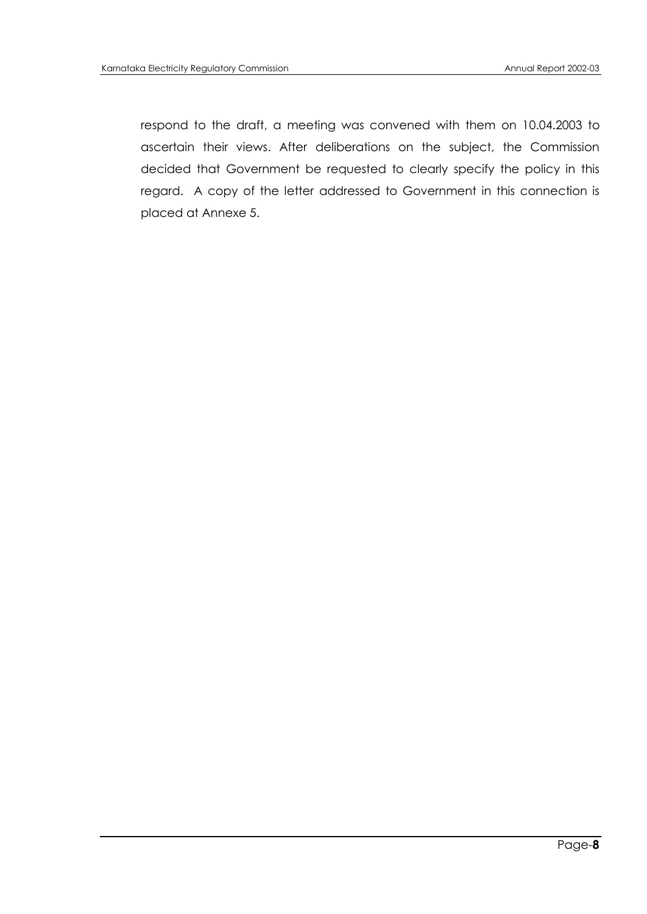respond to the draft, a meeting was convened with them on 10.04.2003 to ascertain their views. After deliberations on the subject, the Commission decided that Government be requested to clearly specify the policy in this regard. A copy of the letter addressed to Government in this connection is placed at Annexe 5.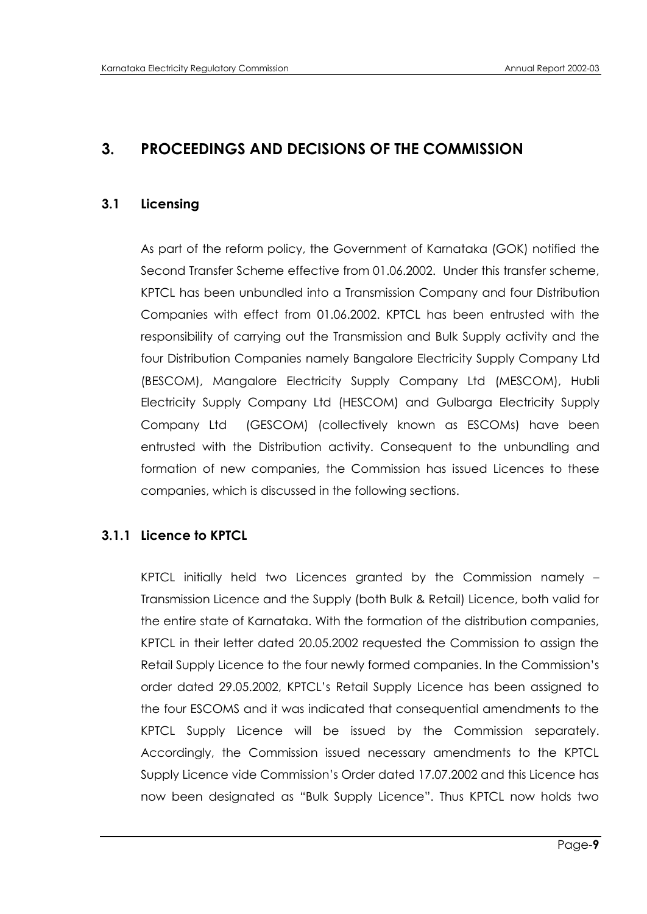# **3. PROCEEDINGS AND DECISIONS OF THE COMMISSION**

# **3.1 Licensing**

As part of the reform policy, the Government of Karnataka (GOK) notified the Second Transfer Scheme effective from 01.06.2002. Under this transfer scheme, KPTCL has been unbundled into a Transmission Company and four Distribution Companies with effect from 01.06.2002. KPTCL has been entrusted with the responsibility of carrying out the Transmission and Bulk Supply activity and the four Distribution Companies namely Bangalore Electricity Supply Company Ltd (BESCOM), Mangalore Electricity Supply Company Ltd (MESCOM), Hubli Electricity Supply Company Ltd (HESCOM) and Gulbarga Electricity Supply Company Ltd (GESCOM) (collectively known as ESCOMs) have been entrusted with the Distribution activity. Consequent to the unbundling and formation of new companies, the Commission has issued Licences to these companies, which is discussed in the following sections.

# **3.1.1 Licence to KPTCL**

KPTCL initially held two Licences granted by the Commission namely – Transmission Licence and the Supply (both Bulk & Retail) Licence, both valid for the entire state of Karnataka. With the formation of the distribution companies, KPTCL in their letter dated 20.05.2002 requested the Commission to assign the Retail Supply Licence to the four newly formed companies. In the Commission"s order dated 29.05.2002, KPTCL"s Retail Supply Licence has been assigned to the four ESCOMS and it was indicated that consequential amendments to the KPTCL Supply Licence will be issued by the Commission separately. Accordingly, the Commission issued necessary amendments to the KPTCL Supply Licence vide Commission"s Order dated 17.07.2002 and this Licence has now been designated as "Bulk Supply Licence". Thus KPTCL now holds two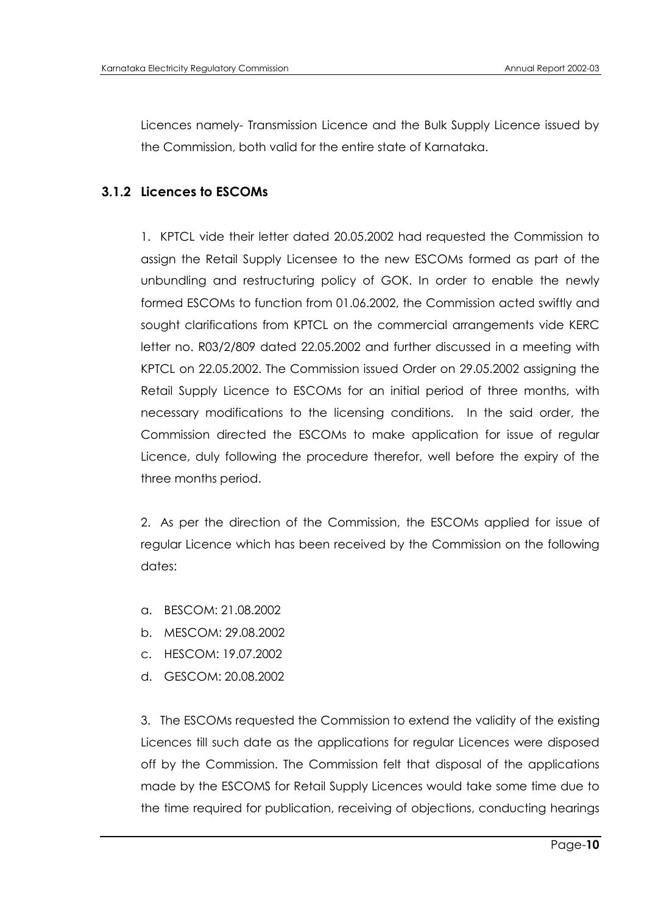Licences namely- Transmission Licence and the Bulk Supply Licence issued by the Commission, both valid for the entire state of Karnataka.

# **3.1.2 Licences to ESCOMs**

1. KPTCL vide their letter dated 20.05.2002 had requested the Commission to assign the Retail Supply Licensee to the new ESCOMs formed as part of the unbundling and restructuring policy of GOK. In order to enable the newly formed ESCOMs to function from 01.06.2002, the Commission acted swiftly and sought clarifications from KPTCL on the commercial arrangements vide KERC letter no. R03/2/809 dated 22.05.2002 and further discussed in a meeting with KPTCL on 22.05.2002. The Commission issued Order on 29.05.2002 assigning the Retail Supply Licence to ESCOMs for an initial period of three months, with necessary modifications to the licensing conditions. In the said order, the Commission directed the ESCOMs to make application for issue of regular Licence, duly following the procedure therefor, well before the expiry of the three months period.

2. As per the direction of the Commission, the ESCOMs applied for issue of regular Licence which has been received by the Commission on the following dates:

- a. BESCOM: 21.08.2002
- b. MESCOM: 29.08.2002
- c. HESCOM: 19.07.2002
- d. GESCOM: 20.08.2002

3. The ESCOMs requested the Commission to extend the validity of the existing Licences till such date as the applications for regular Licences were disposed off by the Commission. The Commission felt that disposal of the applications made by the ESCOMS for Retail Supply Licences would take some time due to the time required for publication, receiving of objections, conducting hearings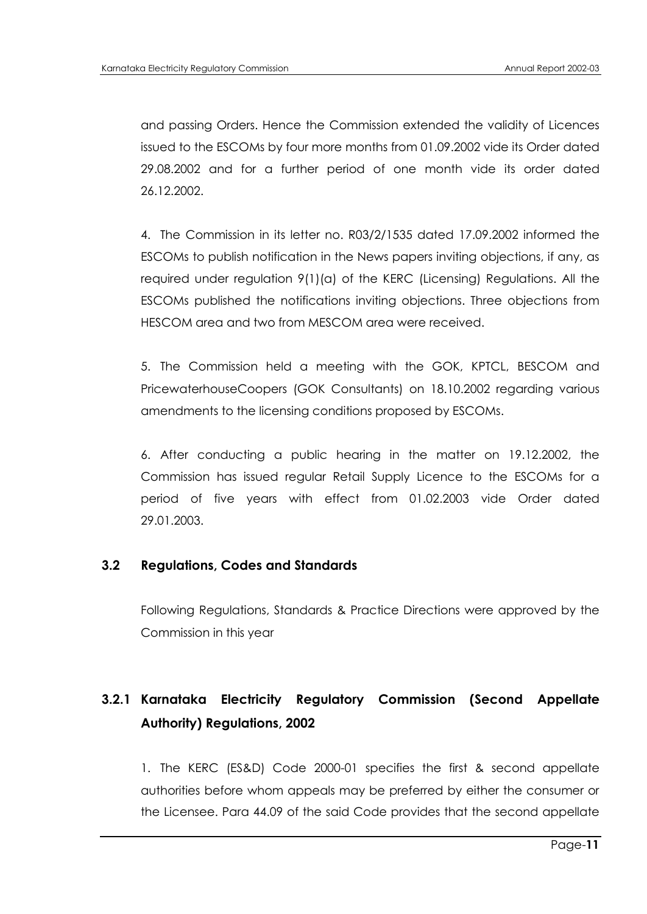and passing Orders. Hence the Commission extended the validity of Licences issued to the ESCOMs by four more months from 01.09.2002 vide its Order dated 29.08.2002 and for a further period of one month vide its order dated 26.12.2002.

4. The Commission in its letter no. R03/2/1535 dated 17.09.2002 informed the ESCOMs to publish notification in the News papers inviting objections, if any, as required under regulation 9(1)(a) of the KERC (Licensing) Regulations. All the ESCOMs published the notifications inviting objections. Three objections from HESCOM area and two from MESCOM area were received.

5. The Commission held a meeting with the GOK, KPTCL, BESCOM and PricewaterhouseCoopers (GOK Consultants) on 18.10.2002 regarding various amendments to the licensing conditions proposed by ESCOMs.

6. After conducting a public hearing in the matter on 19.12.2002, the Commission has issued regular Retail Supply Licence to the ESCOMs for a period of five years with effect from 01.02.2003 vide Order dated 29.01.2003.

## **3.2 Regulations, Codes and Standards**

Following Regulations, Standards & Practice Directions were approved by the Commission in this year

# **3.2.1 Karnataka Electricity Regulatory Commission (Second Appellate Authority) Regulations, 2002**

1. The KERC (ES&D) Code 2000-01 specifies the first & second appellate authorities before whom appeals may be preferred by either the consumer or the Licensee. Para 44.09 of the said Code provides that the second appellate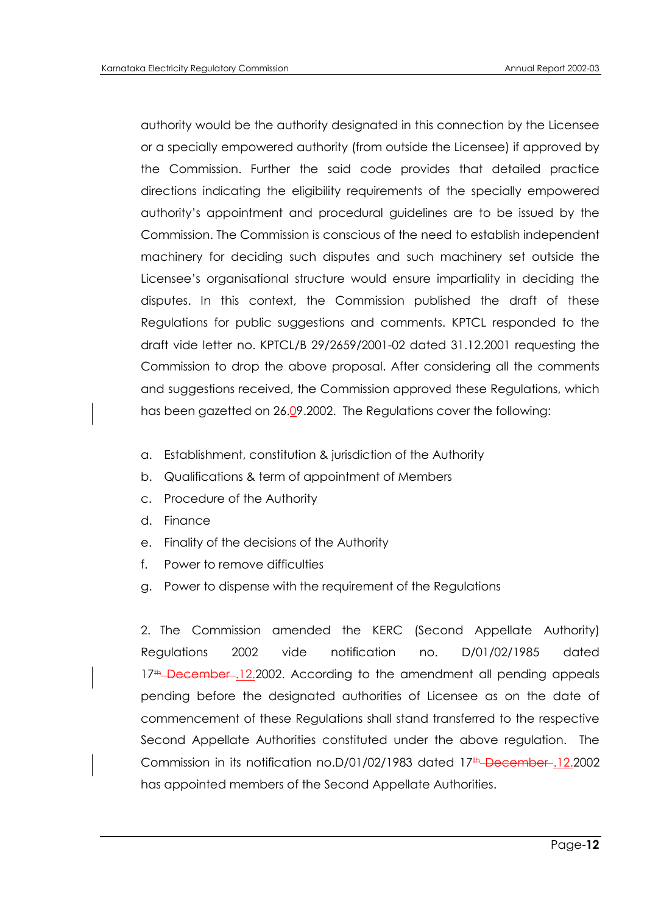authority would be the authority designated in this connection by the Licensee or a specially empowered authority (from outside the Licensee) if approved by the Commission. Further the said code provides that detailed practice directions indicating the eligibility requirements of the specially empowered authority"s appointment and procedural guidelines are to be issued by the Commission. The Commission is conscious of the need to establish independent machinery for deciding such disputes and such machinery set outside the Licensee"s organisational structure would ensure impartiality in deciding the disputes. In this context, the Commission published the draft of these Regulations for public suggestions and comments. KPTCL responded to the draft vide letter no. KPTCL/B 29/2659/2001-02 dated 31.12.2001 requesting the Commission to drop the above proposal. After considering all the comments and suggestions received, the Commission approved these Regulations, which has been gazetted on 26.09.2002. The Regulations cover the following:

- a. Establishment, constitution & jurisdiction of the Authority
- b. Qualifications & term of appointment of Members
- c. Procedure of the Authority
- d. Finance
- e. Finality of the decisions of the Authority
- f. Power to remove difficulties
- g. Power to dispense with the requirement of the Regulations

2. The Commission amended the KERC (Second Appellate Authority) Regulations 2002 vide notification no. D/01/02/1985 dated  $17<sup>th</sup>$  December .12.2002. According to the amendment all pending appeals pending before the designated authorities of Licensee as on the date of commencement of these Regulations shall stand transferred to the respective Second Appellate Authorities constituted under the above regulation. The Commission in its notification no.D/01/02/1983 dated 17<sup>#</sup>-December-12.2002 has appointed members of the Second Appellate Authorities.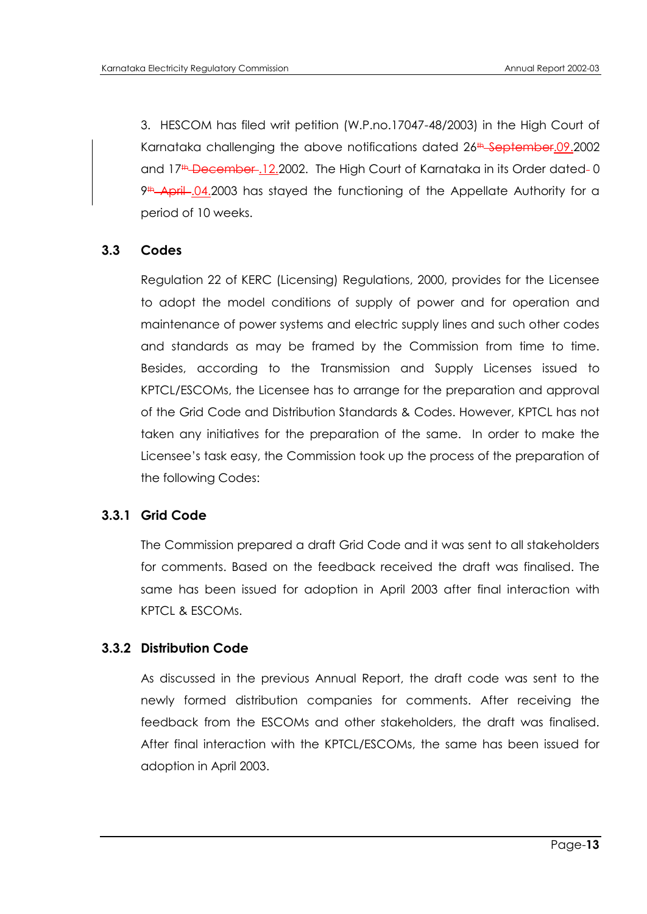3. HESCOM has filed writ petition (W.P.no.17047-48/2003) in the High Court of Karnataka challenging the above notifications dated 26<sup>th</sup> September.09.2002 and 17<sup>th</sup> December .12.2002. The High Court of Karnataka in its Order dated - 0  $9$ <sup>th</sup> April .04.2003 has stayed the functioning of the Appellate Authority for a period of 10 weeks.

## **3.3 Codes**

Regulation 22 of KERC (Licensing) Regulations, 2000, provides for the Licensee to adopt the model conditions of supply of power and for operation and maintenance of power systems and electric supply lines and such other codes and standards as may be framed by the Commission from time to time. Besides, according to the Transmission and Supply Licenses issued to KPTCL/ESCOMs, the Licensee has to arrange for the preparation and approval of the Grid Code and Distribution Standards & Codes. However, KPTCL has not taken any initiatives for the preparation of the same. In order to make the Licensee"s task easy, the Commission took up the process of the preparation of the following Codes:

## **3.3.1 Grid Code**

The Commission prepared a draft Grid Code and it was sent to all stakeholders for comments. Based on the feedback received the draft was finalised. The same has been issued for adoption in April 2003 after final interaction with KPTCL & ESCOMs.

#### **3.3.2 Distribution Code**

As discussed in the previous Annual Report, the draft code was sent to the newly formed distribution companies for comments. After receiving the feedback from the ESCOMs and other stakeholders, the draft was finalised. After final interaction with the KPTCL/ESCOMs, the same has been issued for adoption in April 2003.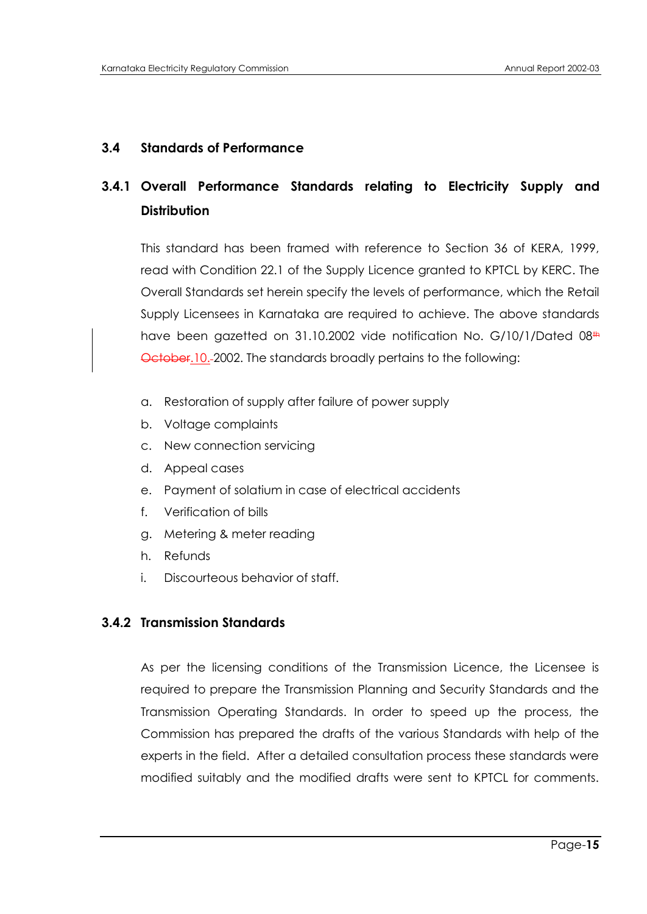# **3.4 Standards of Performance**

# **3.4.1 Overall Performance Standards relating to Electricity Supply and Distribution**

This standard has been framed with reference to Section 36 of KERA, 1999, read with Condition 22.1 of the Supply Licence granted to KPTCL by KERC. The Overall Standards set herein specify the levels of performance, which the Retail Supply Licensees in Karnataka are required to achieve. The above standards have been gazetted on 31.10.2002 vide notification No. G/10/1/Dated 08<sup>th</sup> October.10. 2002. The standards broadly pertains to the following:

- a. Restoration of supply after failure of power supply
- b. Voltage complaints
- c. New connection servicing
- d. Appeal cases
- e. Payment of solatium in case of electrical accidents
- f. Verification of bills
- g. Metering & meter reading
- h. Refunds
- i. Discourteous behavior of staff.

# **3.4.2 Transmission Standards**

As per the licensing conditions of the Transmission Licence, the Licensee is required to prepare the Transmission Planning and Security Standards and the Transmission Operating Standards. In order to speed up the process, the Commission has prepared the drafts of the various Standards with help of the experts in the field. After a detailed consultation process these standards were modified suitably and the modified drafts were sent to KPTCL for comments.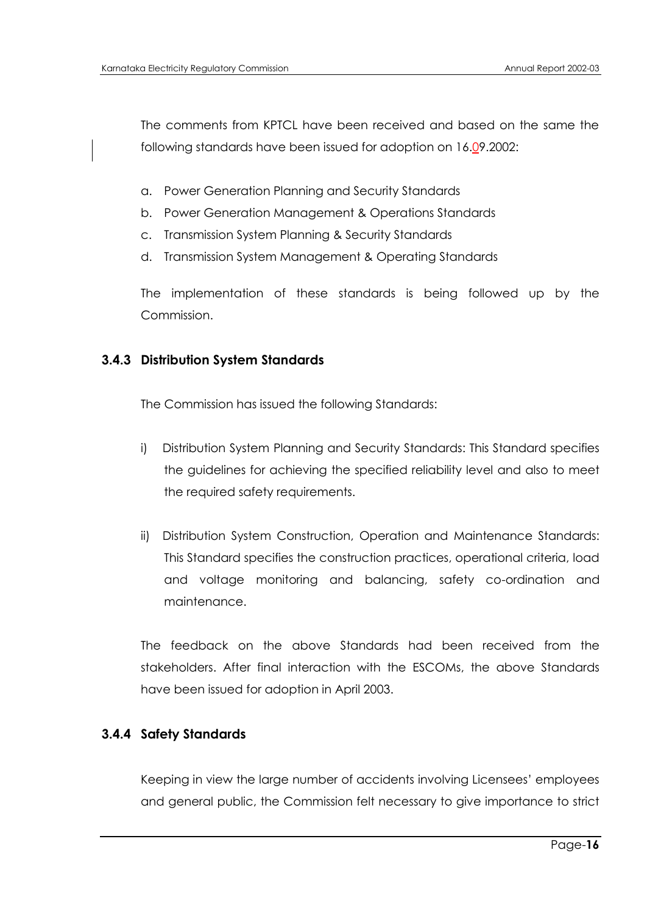The comments from KPTCL have been received and based on the same the following standards have been issued for adoption on 16.09.2002:

- a. Power Generation Planning and Security Standards
- b. Power Generation Management & Operations Standards
- c. Transmission System Planning & Security Standards
- d. Transmission System Management & Operating Standards

The implementation of these standards is being followed up by the Commission.

# **3.4.3 Distribution System Standards**

The Commission has issued the following Standards:

- i) Distribution System Planning and Security Standards: This Standard specifies the guidelines for achieving the specified reliability level and also to meet the required safety requirements.
- ii) Distribution System Construction, Operation and Maintenance Standards: This Standard specifies the construction practices, operational criteria, load and voltage monitoring and balancing, safety co-ordination and maintenance.

The feedback on the above Standards had been received from the stakeholders. After final interaction with the ESCOMs, the above Standards have been issued for adoption in April 2003.

# **3.4.4 Safety Standards**

Keeping in view the large number of accidents involving Licensees" employees and general public, the Commission felt necessary to give importance to strict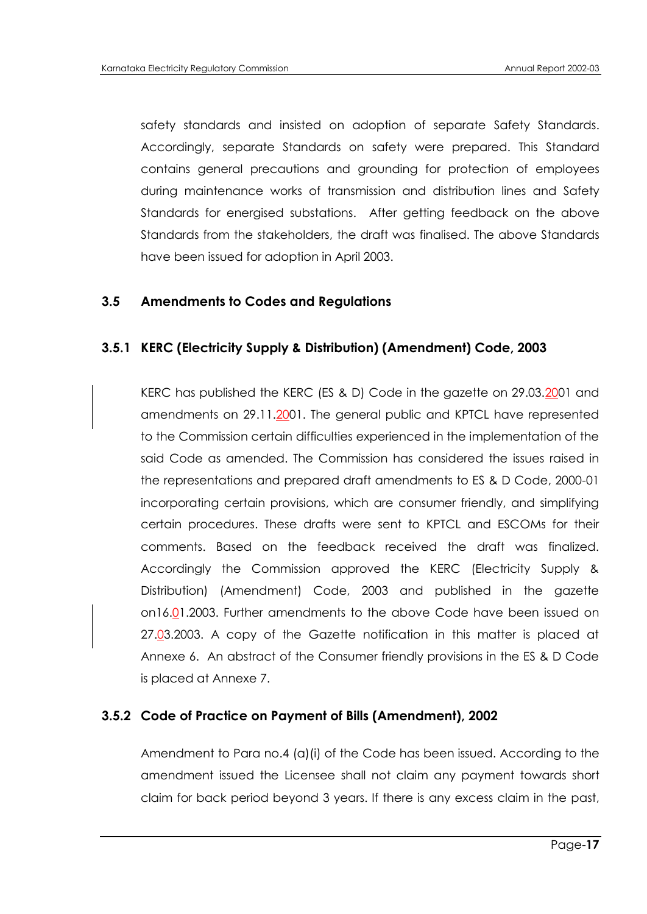safety standards and insisted on adoption of separate Safety Standards. Accordingly, separate Standards on safety were prepared. This Standard contains general precautions and grounding for protection of employees during maintenance works of transmission and distribution lines and Safety Standards for energised substations. After getting feedback on the above Standards from the stakeholders, the draft was finalised. The above Standards have been issued for adoption in April 2003.

#### **3.5 Amendments to Codes and Regulations**

#### **3.5.1 KERC (Electricity Supply & Distribution) (Amendment) Code, 2003**

KERC has published the KERC (ES & D) Code in the gazette on 29.03.2001 and amendments on 29.11.2001. The general public and KPTCL have represented to the Commission certain difficulties experienced in the implementation of the said Code as amended. The Commission has considered the issues raised in the representations and prepared draft amendments to ES & D Code, 2000-01 incorporating certain provisions, which are consumer friendly, and simplifying certain procedures. These drafts were sent to KPTCL and ESCOMs for their comments. Based on the feedback received the draft was finalized. Accordingly the Commission approved the KERC (Electricity Supply & Distribution) (Amendment) Code, 2003 and published in the gazette on16.01.2003. Further amendments to the above Code have been issued on 27.03.2003. A copy of the Gazette notification in this matter is placed at Annexe 6. An abstract of the Consumer friendly provisions in the ES & D Code is placed at Annexe 7.

#### **3.5.2 Code of Practice on Payment of Bills (Amendment), 2002**

Amendment to Para no.4 (a)(i) of the Code has been issued. According to the amendment issued the Licensee shall not claim any payment towards short claim for back period beyond 3 years. If there is any excess claim in the past,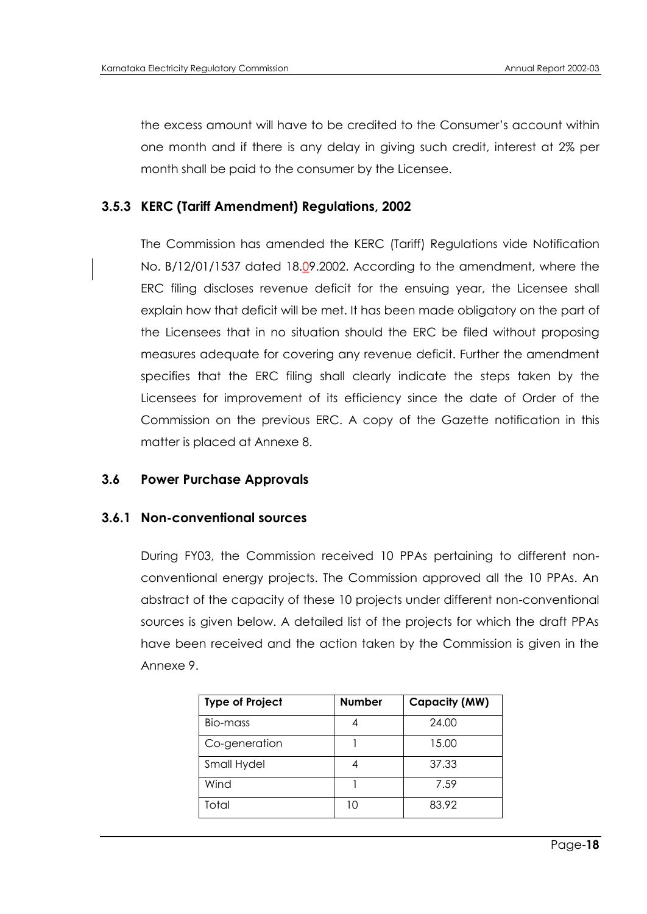the excess amount will have to be credited to the Consumer"s account within one month and if there is any delay in giving such credit, interest at 2% per month shall be paid to the consumer by the Licensee.

## **3.5.3 KERC (Tariff Amendment) Regulations, 2002**

The Commission has amended the KERC (Tariff) Regulations vide Notification No. B/12/01/1537 dated 18.09.2002. According to the amendment, where the ERC filing discloses revenue deficit for the ensuing year, the Licensee shall explain how that deficit will be met. It has been made obligatory on the part of the Licensees that in no situation should the ERC be filed without proposing measures adequate for covering any revenue deficit. Further the amendment specifies that the ERC filing shall clearly indicate the steps taken by the Licensees for improvement of its efficiency since the date of Order of the Commission on the previous ERC. A copy of the Gazette notification in this matter is placed at Annexe 8.

## **3.6 Power Purchase Approvals**

#### **3.6.1 Non-conventional sources**

During FY03, the Commission received 10 PPAs pertaining to different nonconventional energy projects. The Commission approved all the 10 PPAs. An abstract of the capacity of these 10 projects under different non-conventional sources is given below. A detailed list of the projects for which the draft PPAs have been received and the action taken by the Commission is given in the Annexe 9.

| <b>Type of Project</b> | <b>Number</b> | Capacity (MW) |
|------------------------|---------------|---------------|
| Bio-mass               |               | 24.00         |
| Co-generation          |               | 15.00         |
| Small Hydel            |               | 37.33         |
| Wind                   |               | 7.59          |
| Total                  | 10            | 83.92         |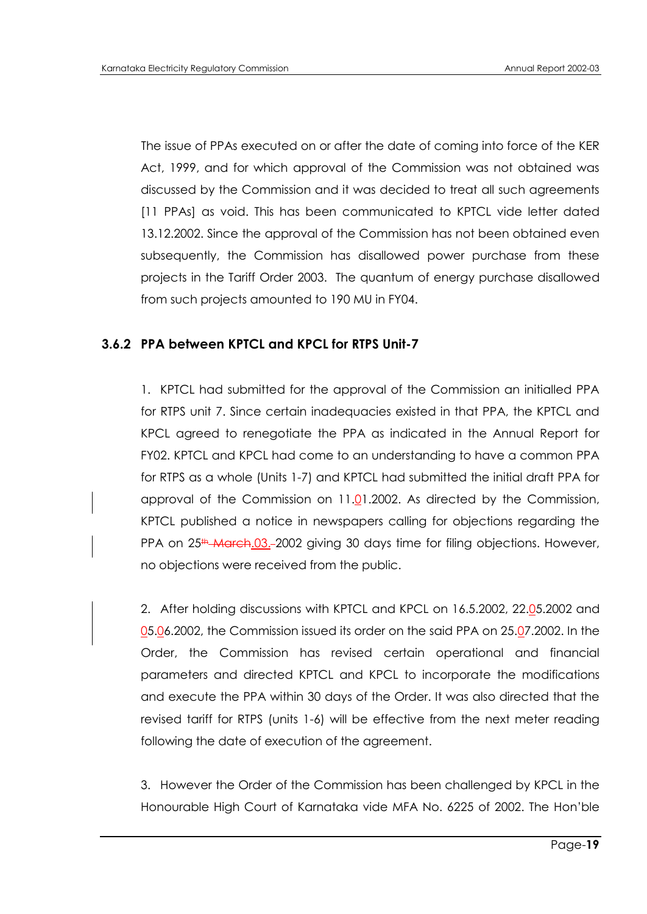The issue of PPAs executed on or after the date of coming into force of the KER Act, 1999, and for which approval of the Commission was not obtained was discussed by the Commission and it was decided to treat all such agreements [11 PPAs] as void. This has been communicated to KPTCL vide letter dated 13.12.2002. Since the approval of the Commission has not been obtained even subsequently, the Commission has disallowed power purchase from these projects in the Tariff Order 2003. The quantum of energy purchase disallowed from such projects amounted to 190 MU in FY04.

## **3.6.2 PPA between KPTCL and KPCL for RTPS Unit-7**

1. KPTCL had submitted for the approval of the Commission an initialled PPA for RTPS unit 7. Since certain inadequacies existed in that PPA, the KPTCL and KPCL agreed to renegotiate the PPA as indicated in the Annual Report for FY02. KPTCL and KPCL had come to an understanding to have a common PPA for RTPS as a whole (Units 1-7) and KPTCL had submitted the initial draft PPA for approval of the Commission on 11.01.2002. As directed by the Commission, KPTCL published a notice in newspapers calling for objections regarding the PPA on 25<sup>th</sup> March.03.-2002 giving 30 days time for filing objections. However, no objections were received from the public.

2. After holding discussions with KPTCL and KPCL on 16.5.2002, 22.05.2002 and 05.06.2002, the Commission issued its order on the said PPA on 25.07.2002. In the Order, the Commission has revised certain operational and financial parameters and directed KPTCL and KPCL to incorporate the modifications and execute the PPA within 30 days of the Order. It was also directed that the revised tariff for RTPS (units 1-6) will be effective from the next meter reading following the date of execution of the agreement.

3. However the Order of the Commission has been challenged by KPCL in the Honourable High Court of Karnataka vide MFA No. 6225 of 2002. The Hon"ble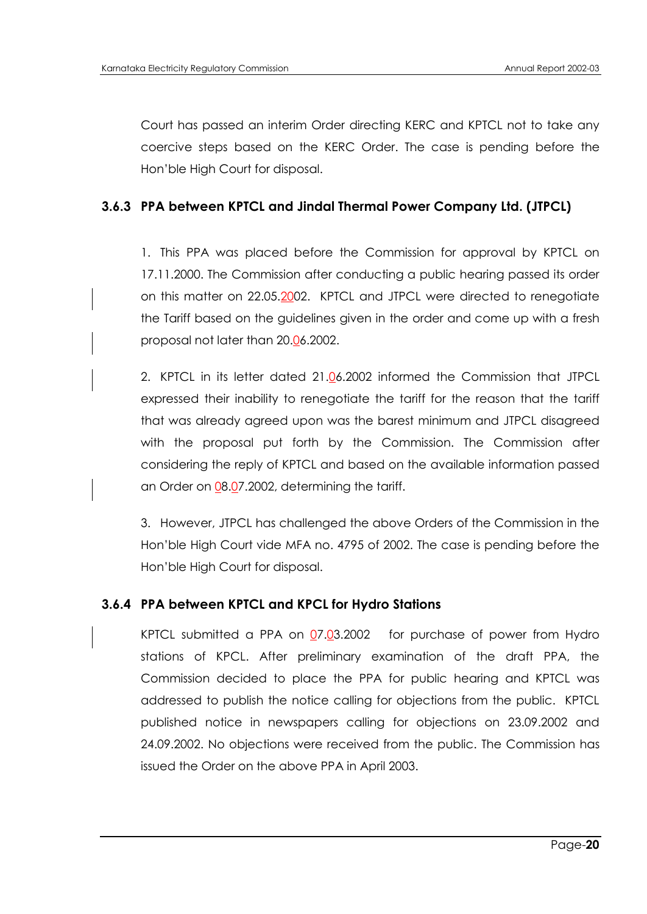Court has passed an interim Order directing KERC and KPTCL not to take any coercive steps based on the KERC Order. The case is pending before the Hon"ble High Court for disposal.

### **3.6.3 PPA between KPTCL and Jindal Thermal Power Company Ltd. (JTPCL)**

1. This PPA was placed before the Commission for approval by KPTCL on 17.11.2000. The Commission after conducting a public hearing passed its order on this matter on 22.05.2002. KPTCL and JTPCL were directed to renegotiate the Tariff based on the guidelines given in the order and come up with a fresh proposal not later than 20.06.2002.

2. KPTCL in its letter dated 21.06.2002 informed the Commission that JTPCL expressed their inability to renegotiate the tariff for the reason that the tariff that was already agreed upon was the barest minimum and JTPCL disagreed with the proposal put forth by the Commission. The Commission after considering the reply of KPTCL and based on the available information passed an Order on 08.07.2002, determining the tariff.

3. However, JTPCL has challenged the above Orders of the Commission in the Hon"ble High Court vide MFA no. 4795 of 2002. The case is pending before the Hon"ble High Court for disposal.

#### **3.6.4 PPA between KPTCL and KPCL for Hydro Stations**

KPTCL submitted a PPA on  $Q7.03.2002$  for purchase of power from Hydro stations of KPCL. After preliminary examination of the draft PPA, the Commission decided to place the PPA for public hearing and KPTCL was addressed to publish the notice calling for objections from the public. KPTCL published notice in newspapers calling for objections on 23.09.2002 and 24.09.2002. No objections were received from the public. The Commission has issued the Order on the above PPA in April 2003.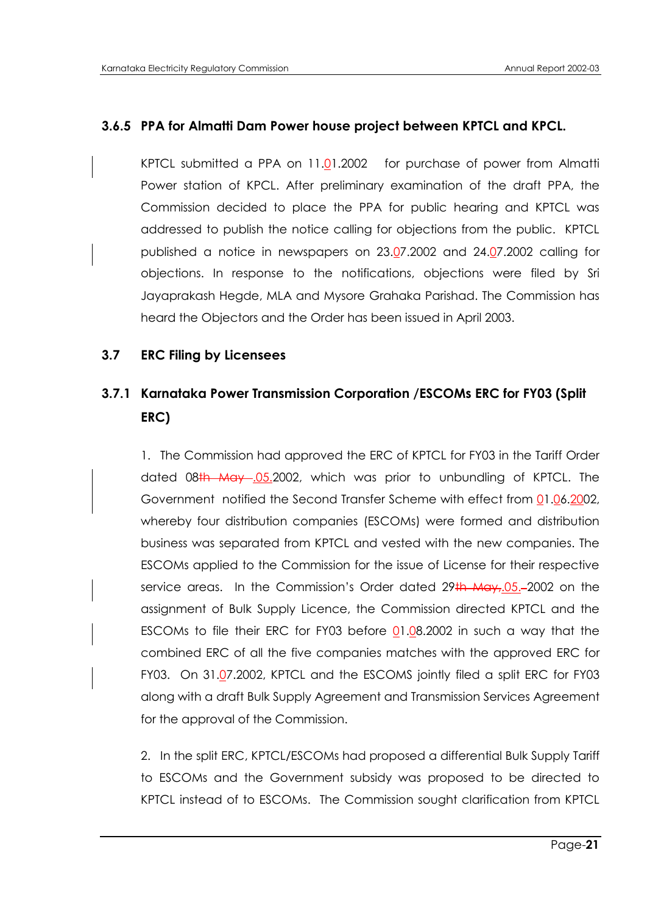## **3.6.5 PPA for Almatti Dam Power house project between KPTCL and KPCL.**

KPTCL submitted a PPA on 11.01.2002 for purchase of power from Almatti Power station of KPCL. After preliminary examination of the draft PPA, the Commission decided to place the PPA for public hearing and KPTCL was addressed to publish the notice calling for objections from the public. KPTCL published a notice in newspapers on 23.07.2002 and 24.07.2002 calling for objections. In response to the notifications, objections were filed by Sri Jayaprakash Hegde, MLA and Mysore Grahaka Parishad. The Commission has heard the Objectors and the Order has been issued in April 2003.

#### **3.7 ERC Filing by Licensees**

# **3.7.1 Karnataka Power Transmission Corporation /ESCOMs ERC for FY03 (Split ERC)**

1. The Commission had approved the ERC of KPTCL for FY03 in the Tariff Order dated 08th May 05.2002, which was prior to unbundling of KPTCL. The Government notified the Second Transfer Scheme with effect from 01.06.2002, whereby four distribution companies (ESCOMs) were formed and distribution business was separated from KPTCL and vested with the new companies. The ESCOMs applied to the Commission for the issue of License for their respective service areas. In the Commission's Order dated 29th May, 05.-2002 on the assignment of Bulk Supply Licence, the Commission directed KPTCL and the ESCOMs to file their ERC for FY03 before  $01.08.2002$  in such a way that the combined ERC of all the five companies matches with the approved ERC for FY03. On 31.07.2002, KPTCL and the ESCOMS jointly filed a split ERC for FY03 along with a draft Bulk Supply Agreement and Transmission Services Agreement for the approval of the Commission.

2. In the split ERC, KPTCL/ESCOMs had proposed a differential Bulk Supply Tariff to ESCOMs and the Government subsidy was proposed to be directed to KPTCL instead of to ESCOMs. The Commission sought clarification from KPTCL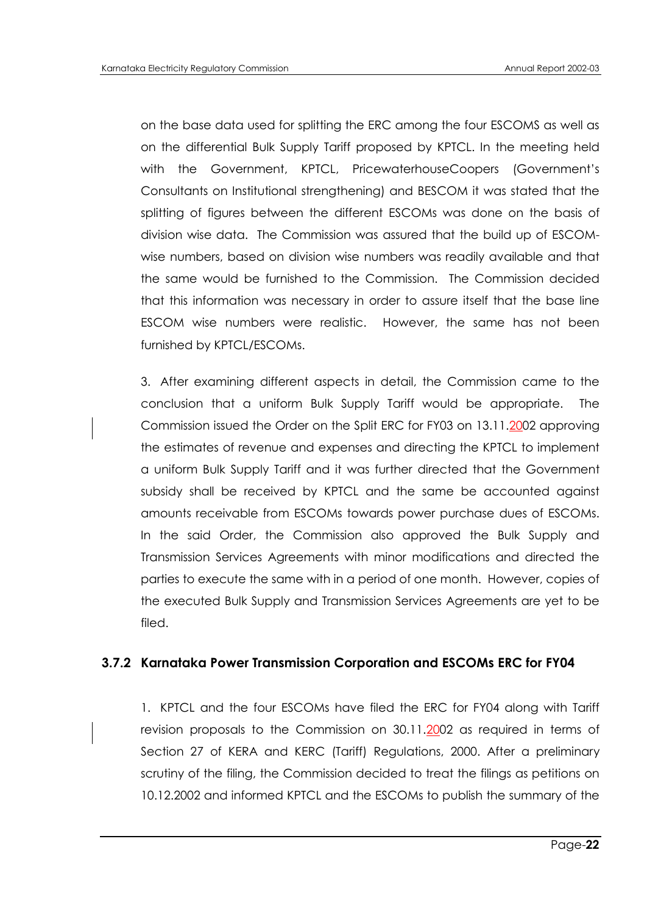on the base data used for splitting the ERC among the four ESCOMS as well as on the differential Bulk Supply Tariff proposed by KPTCL. In the meeting held with the Government, KPTCL, PricewaterhouseCoopers (Government"s Consultants on Institutional strengthening) and BESCOM it was stated that the splitting of figures between the different ESCOMs was done on the basis of division wise data. The Commission was assured that the build up of ESCOMwise numbers, based on division wise numbers was readily available and that the same would be furnished to the Commission. The Commission decided that this information was necessary in order to assure itself that the base line ESCOM wise numbers were realistic. However, the same has not been furnished by KPTCL/ESCOMs.

3. After examining different aspects in detail, the Commission came to the conclusion that a uniform Bulk Supply Tariff would be appropriate. The Commission issued the Order on the Split ERC for FY03 on 13.11.2002 approving the estimates of revenue and expenses and directing the KPTCL to implement a uniform Bulk Supply Tariff and it was further directed that the Government subsidy shall be received by KPTCL and the same be accounted against amounts receivable from ESCOMs towards power purchase dues of ESCOMs. In the said Order, the Commission also approved the Bulk Supply and Transmission Services Agreements with minor modifications and directed the parties to execute the same with in a period of one month. However, copies of the executed Bulk Supply and Transmission Services Agreements are yet to be filed.

## **3.7.2 Karnataka Power Transmission Corporation and ESCOMs ERC for FY04**

1. KPTCL and the four ESCOMs have filed the ERC for FY04 along with Tariff revision proposals to the Commission on 30.11.2002 as required in terms of Section 27 of KERA and KERC (Tariff) Regulations, 2000. After a preliminary scrutiny of the filing, the Commission decided to treat the filings as petitions on 10.12.2002 and informed KPTCL and the ESCOMs to publish the summary of the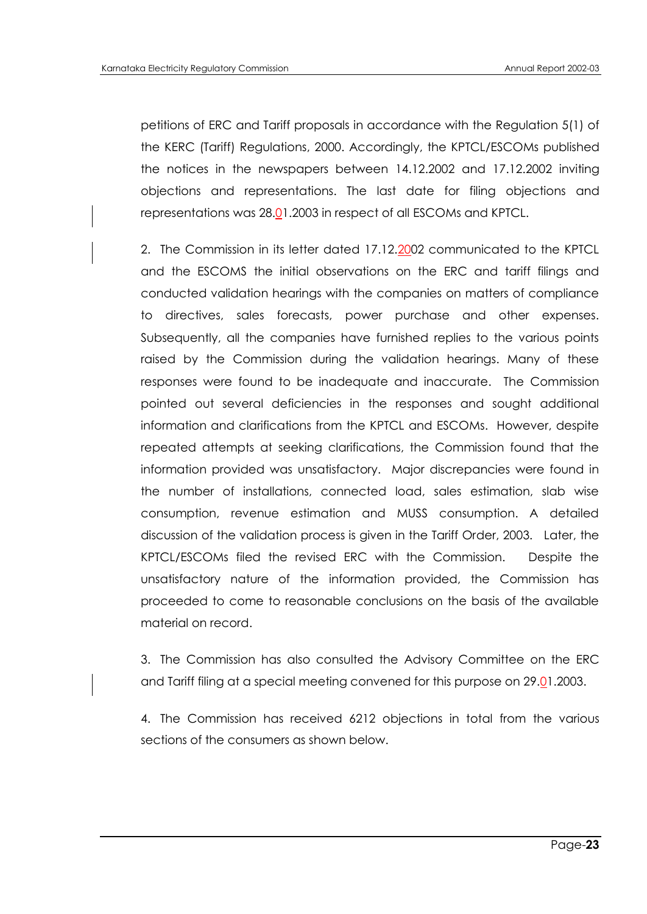petitions of ERC and Tariff proposals in accordance with the Regulation 5(1) of the KERC (Tariff) Regulations, 2000. Accordingly, the KPTCL/ESCOMs published the notices in the newspapers between 14.12.2002 and 17.12.2002 inviting objections and representations. The last date for filing objections and representations was 28.01.2003 in respect of all ESCOMs and KPTCL.

2. The Commission in its letter dated 17.12.2002 communicated to the KPTCL and the ESCOMS the initial observations on the ERC and tariff filings and conducted validation hearings with the companies on matters of compliance to directives, sales forecasts, power purchase and other expenses. Subsequently, all the companies have furnished replies to the various points raised by the Commission during the validation hearings. Many of these responses were found to be inadequate and inaccurate. The Commission pointed out several deficiencies in the responses and sought additional information and clarifications from the KPTCL and ESCOMs. However, despite repeated attempts at seeking clarifications, the Commission found that the information provided was unsatisfactory. Major discrepancies were found in the number of installations, connected load, sales estimation, slab wise consumption, revenue estimation and MUSS consumption. A detailed discussion of the validation process is given in the Tariff Order, 2003. Later, the KPTCL/ESCOMs filed the revised ERC with the Commission. Despite the unsatisfactory nature of the information provided, the Commission has proceeded to come to reasonable conclusions on the basis of the available material on record.

3. The Commission has also consulted the Advisory Committee on the ERC and Tariff filing at a special meeting convened for this purpose on 29.01.2003.

4. The Commission has received 6212 objections in total from the various sections of the consumers as shown below.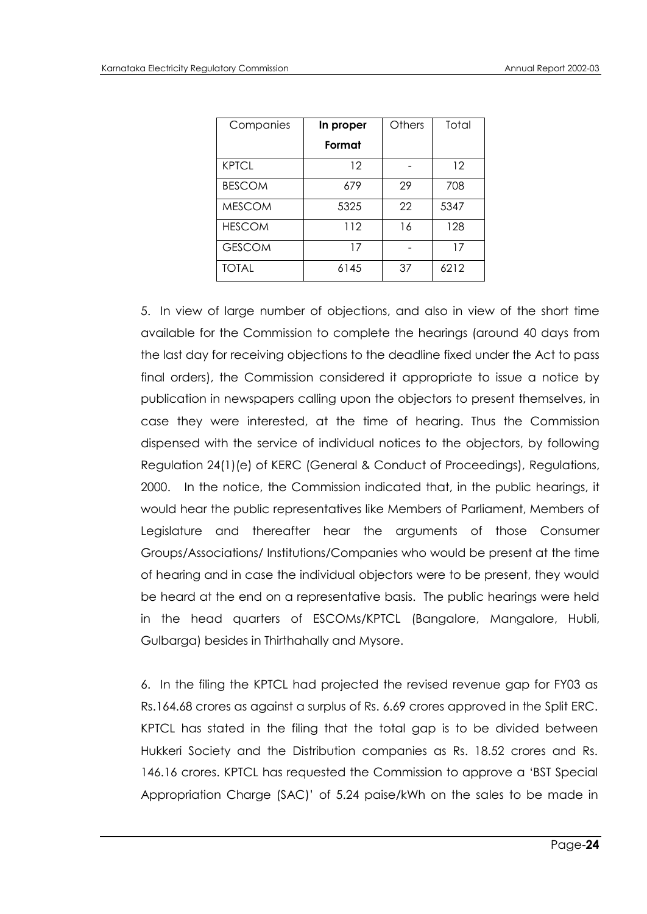| Companies     | In proper | Others | Total |
|---------------|-----------|--------|-------|
|               | Format    |        |       |
| <b>KPTCL</b>  | 12        |        | 12    |
| <b>BESCOM</b> | 679       | 29     | 708   |
| <b>MESCOM</b> | 5325      | 22     | 5347  |
| <b>HESCOM</b> | 112       | 16     | 128   |
| <b>GESCOM</b> | 17        |        | 17    |
| <b>TOTAL</b>  | 6145      | 37     | 6212  |

5. In view of large number of objections, and also in view of the short time available for the Commission to complete the hearings (around 40 days from the last day for receiving objections to the deadline fixed under the Act to pass final orders), the Commission considered it appropriate to issue a notice by publication in newspapers calling upon the objectors to present themselves, in case they were interested, at the time of hearing. Thus the Commission dispensed with the service of individual notices to the objectors, by following Regulation 24(1)(e) of KERC (General & Conduct of Proceedings), Regulations, 2000. In the notice, the Commission indicated that, in the public hearings, it would hear the public representatives like Members of Parliament, Members of Legislature and thereafter hear the arguments of those Consumer Groups/Associations/ Institutions/Companies who would be present at the time of hearing and in case the individual objectors were to be present, they would be heard at the end on a representative basis. The public hearings were held in the head quarters of ESCOMs/KPTCL (Bangalore, Mangalore, Hubli, Gulbarga) besides in Thirthahally and Mysore.

6. In the filing the KPTCL had projected the revised revenue gap for FY03 as Rs.164.68 crores as against a surplus of Rs. 6.69 crores approved in the Split ERC. KPTCL has stated in the filing that the total gap is to be divided between Hukkeri Society and the Distribution companies as Rs. 18.52 crores and Rs. 146.16 crores. KPTCL has requested the Commission to approve a "BST Special Appropriation Charge (SAC)" of 5.24 paise/kWh on the sales to be made in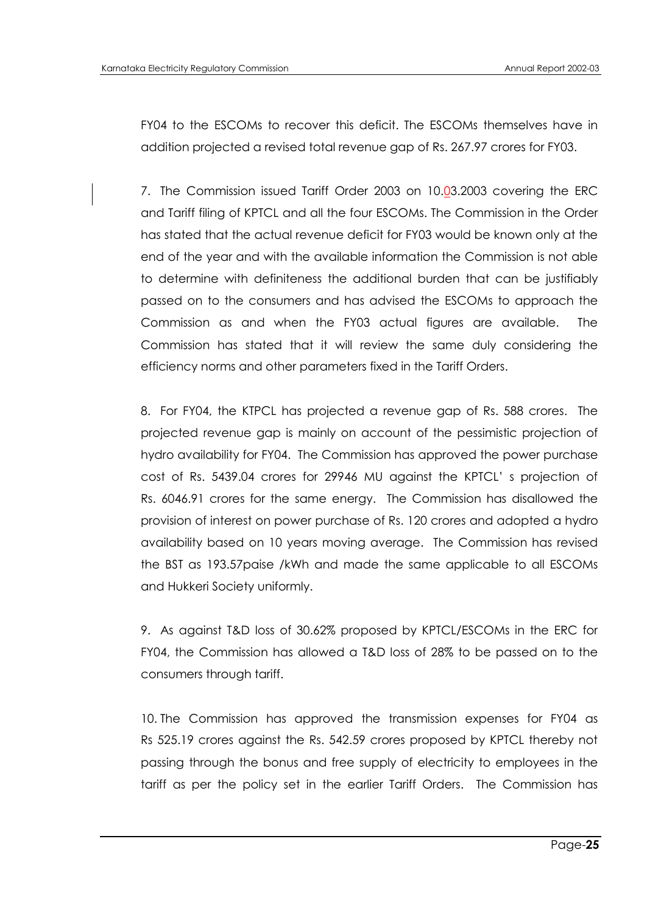FY04 to the ESCOMs to recover this deficit. The ESCOMs themselves have in addition projected a revised total revenue gap of Rs. 267.97 crores for FY03.

7. The Commission issued Tariff Order 2003 on 10.03.2003 covering the ERC and Tariff filing of KPTCL and all the four ESCOMs. The Commission in the Order has stated that the actual revenue deficit for FY03 would be known only at the end of the year and with the available information the Commission is not able to determine with definiteness the additional burden that can be justifiably passed on to the consumers and has advised the ESCOMs to approach the Commission as and when the FY03 actual figures are available. The Commission has stated that it will review the same duly considering the efficiency norms and other parameters fixed in the Tariff Orders.

8. For FY04, the KTPCL has projected a revenue gap of Rs. 588 crores. The projected revenue gap is mainly on account of the pessimistic projection of hydro availability for FY04. The Commission has approved the power purchase cost of Rs. 5439.04 crores for 29946 MU against the KPTCL" s projection of Rs. 6046.91 crores for the same energy. The Commission has disallowed the provision of interest on power purchase of Rs. 120 crores and adopted a hydro availability based on 10 years moving average. The Commission has revised the BST as 193.57paise /kWh and made the same applicable to all ESCOMs and Hukkeri Society uniformly.

9. As against T&D loss of 30.62% proposed by KPTCL/ESCOMs in the ERC for FY04, the Commission has allowed a T&D loss of 28% to be passed on to the consumers through tariff.

10. The Commission has approved the transmission expenses for FY04 as Rs 525.19 crores against the Rs. 542.59 crores proposed by KPTCL thereby not passing through the bonus and free supply of electricity to employees in the tariff as per the policy set in the earlier Tariff Orders. The Commission has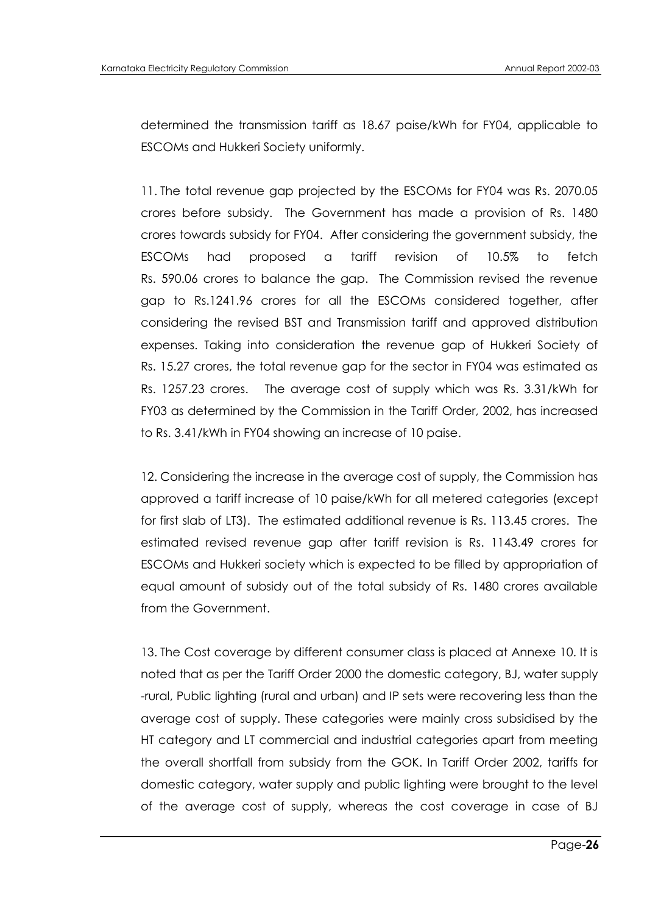determined the transmission tariff as 18.67 paise/kWh for FY04, applicable to ESCOMs and Hukkeri Society uniformly.

11. The total revenue gap projected by the ESCOMs for FY04 was Rs. 2070.05 crores before subsidy. The Government has made a provision of Rs. 1480 crores towards subsidy for FY04. After considering the government subsidy, the ESCOMs had proposed a tariff revision of 10.5% to fetch Rs. 590.06 crores to balance the gap. The Commission revised the revenue gap to Rs.1241.96 crores for all the ESCOMs considered together, after considering the revised BST and Transmission tariff and approved distribution expenses. Taking into consideration the revenue gap of Hukkeri Society of Rs. 15.27 crores, the total revenue gap for the sector in FY04 was estimated as Rs. 1257.23 crores. The average cost of supply which was Rs. 3.31/kWh for FY03 as determined by the Commission in the Tariff Order, 2002, has increased to Rs. 3.41/kWh in FY04 showing an increase of 10 paise.

12. Considering the increase in the average cost of supply, the Commission has approved a tariff increase of 10 paise/kWh for all metered categories (except for first slab of LT3). The estimated additional revenue is Rs. 113.45 crores. The estimated revised revenue gap after tariff revision is Rs. 1143.49 crores for ESCOMs and Hukkeri society which is expected to be filled by appropriation of equal amount of subsidy out of the total subsidy of Rs. 1480 crores available from the Government.

13. The Cost coverage by different consumer class is placed at Annexe 10. It is noted that as per the Tariff Order 2000 the domestic category, BJ, water supply -rural, Public lighting (rural and urban) and IP sets were recovering less than the average cost of supply. These categories were mainly cross subsidised by the HT category and LT commercial and industrial categories apart from meeting the overall shortfall from subsidy from the GOK. In Tariff Order 2002, tariffs for domestic category, water supply and public lighting were brought to the level of the average cost of supply, whereas the cost coverage in case of BJ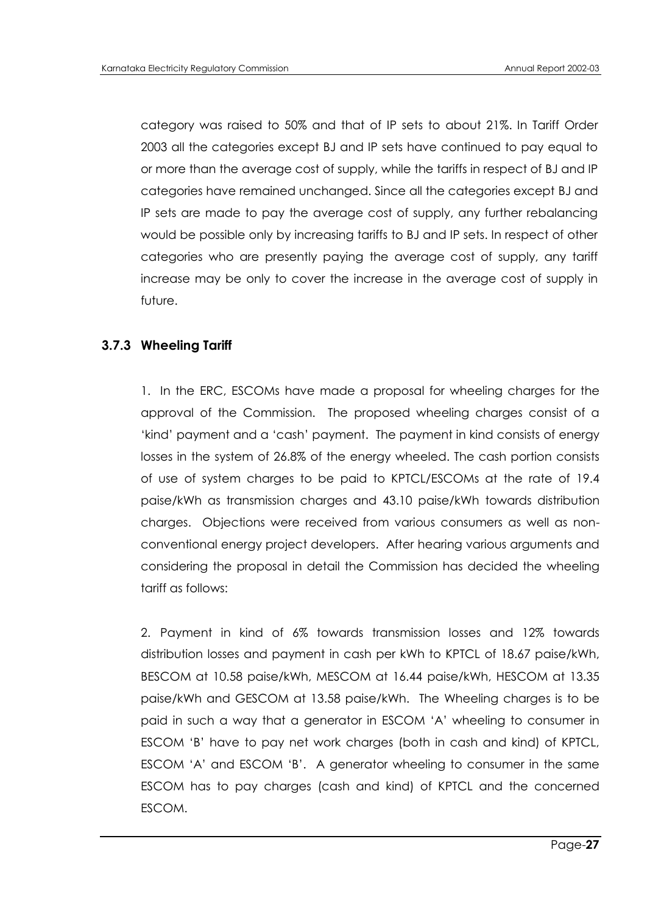category was raised to 50% and that of IP sets to about 21%. In Tariff Order 2003 all the categories except BJ and IP sets have continued to pay equal to or more than the average cost of supply, while the tariffs in respect of BJ and IP categories have remained unchanged. Since all the categories except BJ and IP sets are made to pay the average cost of supply, any further rebalancing would be possible only by increasing tariffs to BJ and IP sets. In respect of other categories who are presently paying the average cost of supply, any tariff increase may be only to cover the increase in the average cost of supply in future.

## **3.7.3 Wheeling Tariff**

1. In the ERC, ESCOMs have made a proposal for wheeling charges for the approval of the Commission. The proposed wheeling charges consist of a "kind" payment and a "cash" payment. The payment in kind consists of energy losses in the system of 26.8% of the energy wheeled. The cash portion consists of use of system charges to be paid to KPTCL/ESCOMs at the rate of 19.4 paise/kWh as transmission charges and 43.10 paise/kWh towards distribution charges. Objections were received from various consumers as well as nonconventional energy project developers. After hearing various arguments and considering the proposal in detail the Commission has decided the wheeling tariff as follows:

2. Payment in kind of 6% towards transmission losses and 12% towards distribution losses and payment in cash per kWh to KPTCL of 18.67 paise/kWh, BESCOM at 10.58 paise/kWh, MESCOM at 16.44 paise/kWh, HESCOM at 13.35 paise/kWh and GESCOM at 13.58 paise/kWh. The Wheeling charges is to be paid in such a way that a generator in ESCOM "A" wheeling to consumer in ESCOM "B" have to pay net work charges (both in cash and kind) of KPTCL, ESCOM "A" and ESCOM "B". A generator wheeling to consumer in the same ESCOM has to pay charges (cash and kind) of KPTCL and the concerned ESCOM.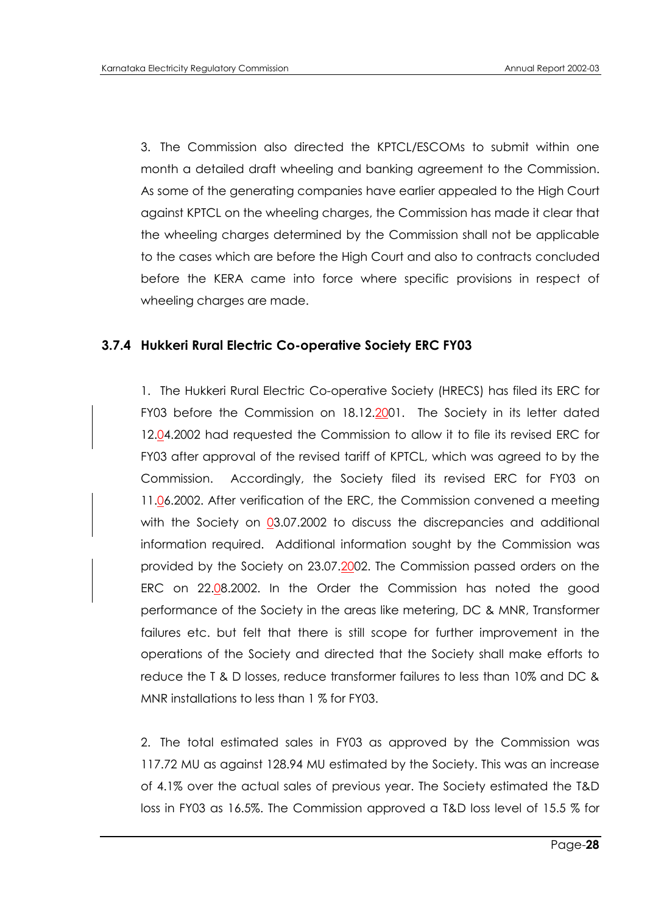3. The Commission also directed the KPTCL/ESCOMs to submit within one month a detailed draft wheeling and banking agreement to the Commission. As some of the generating companies have earlier appealed to the High Court against KPTCL on the wheeling charges, the Commission has made it clear that the wheeling charges determined by the Commission shall not be applicable to the cases which are before the High Court and also to contracts concluded before the KERA came into force where specific provisions in respect of wheeling charges are made.

## **3.7.4 Hukkeri Rural Electric Co-operative Society ERC FY03**

1. The Hukkeri Rural Electric Co-operative Society (HRECS) has filed its ERC for FY03 before the Commission on 18.12.2001. The Society in its letter dated 12.04.2002 had requested the Commission to allow it to file its revised ERC for FY03 after approval of the revised tariff of KPTCL, which was agreed to by the Commission. Accordingly, the Society filed its revised ERC for FY03 on 11.06.2002. After verification of the ERC, the Commission convened a meeting with the Society on 03.07.2002 to discuss the discrepancies and additional information required. Additional information sought by the Commission was provided by the Society on 23.07.2002. The Commission passed orders on the ERC on 22.08.2002. In the Order the Commission has noted the good performance of the Society in the areas like metering, DC & MNR, Transformer failures etc. but felt that there is still scope for further improvement in the operations of the Society and directed that the Society shall make efforts to reduce the T & D losses, reduce transformer failures to less than 10% and DC & MNR installations to less than 1 % for FY03.

2. The total estimated sales in FY03 as approved by the Commission was 117.72 MU as against 128.94 MU estimated by the Society. This was an increase of 4.1% over the actual sales of previous year. The Society estimated the T&D loss in FY03 as 16.5%. The Commission approved a T&D loss level of 15.5 % for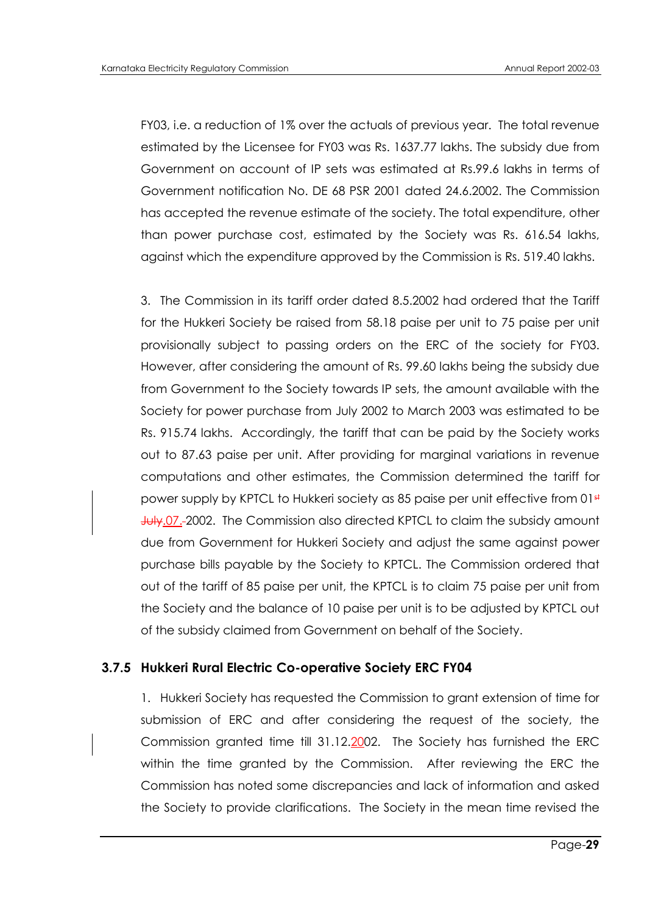FY03, i.e. a reduction of 1% over the actuals of previous year. The total revenue estimated by the Licensee for FY03 was Rs. 1637.77 lakhs. The subsidy due from Government on account of IP sets was estimated at Rs.99.6 lakhs in terms of Government notification No. DE 68 PSR 2001 dated 24.6.2002. The Commission has accepted the revenue estimate of the society. The total expenditure, other than power purchase cost, estimated by the Society was Rs. 616.54 lakhs, against which the expenditure approved by the Commission is Rs. 519.40 lakhs.

3. The Commission in its tariff order dated 8.5.2002 had ordered that the Tariff for the Hukkeri Society be raised from 58.18 paise per unit to 75 paise per unit provisionally subject to passing orders on the ERC of the society for FY03. However, after considering the amount of Rs. 99.60 lakhs being the subsidy due from Government to the Society towards IP sets, the amount available with the Society for power purchase from July 2002 to March 2003 was estimated to be Rs. 915.74 lakhs. Accordingly, the tariff that can be paid by the Society works out to 87.63 paise per unit. After providing for marginal variations in revenue computations and other estimates, the Commission determined the tariff for power supply by KPTCL to Hukkeri society as 85 paise per unit effective from 01st July.07. 2002. The Commission also directed KPTCL to claim the subsidy amount due from Government for Hukkeri Society and adjust the same against power purchase bills payable by the Society to KPTCL. The Commission ordered that out of the tariff of 85 paise per unit, the KPTCL is to claim 75 paise per unit from the Society and the balance of 10 paise per unit is to be adjusted by KPTCL out of the subsidy claimed from Government on behalf of the Society.

## **3.7.5 Hukkeri Rural Electric Co-operative Society ERC FY04**

1. Hukkeri Society has requested the Commission to grant extension of time for submission of ERC and after considering the request of the society, the Commission granted time till 31.12.2002. The Society has furnished the ERC within the time granted by the Commission. After reviewing the ERC the Commission has noted some discrepancies and lack of information and asked the Society to provide clarifications. The Society in the mean time revised the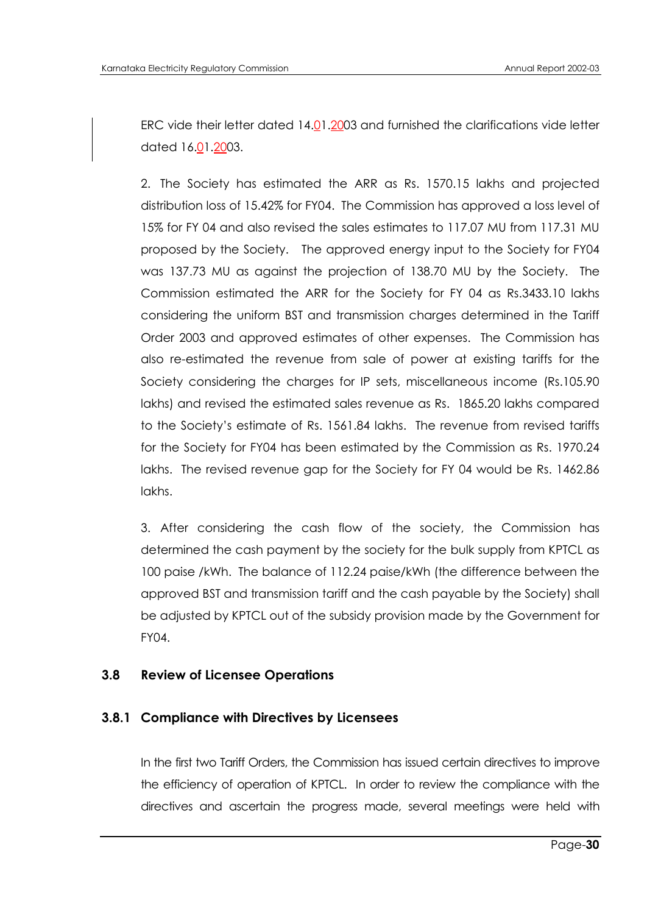ERC vide their letter dated 14.01.2003 and furnished the clarifications vide letter dated 16.01.2003.

2. The Society has estimated the ARR as Rs. 1570.15 lakhs and projected distribution loss of 15.42% for FY04. The Commission has approved a loss level of 15% for FY 04 and also revised the sales estimates to 117.07 MU from 117.31 MU proposed by the Society. The approved energy input to the Society for FY04 was 137.73 MU as against the projection of 138.70 MU by the Society. The Commission estimated the ARR for the Society for FY 04 as Rs.3433.10 lakhs considering the uniform BST and transmission charges determined in the Tariff Order 2003 and approved estimates of other expenses. The Commission has also re-estimated the revenue from sale of power at existing tariffs for the Society considering the charges for IP sets, miscellaneous income (Rs.105.90 lakhs) and revised the estimated sales revenue as Rs. 1865.20 lakhs compared to the Society"s estimate of Rs. 1561.84 lakhs. The revenue from revised tariffs for the Society for FY04 has been estimated by the Commission as Rs. 1970.24 lakhs. The revised revenue gap for the Society for FY 04 would be Rs. 1462.86 lakhs.

3. After considering the cash flow of the society, the Commission has determined the cash payment by the society for the bulk supply from KPTCL as 100 paise /kWh. The balance of 112.24 paise/kWh (the difference between the approved BST and transmission tariff and the cash payable by the Society) shall be adjusted by KPTCL out of the subsidy provision made by the Government for FY04.

## **3.8 Review of Licensee Operations**

## **3.8.1 Compliance with Directives by Licensees**

In the first two Tariff Orders, the Commission has issued certain directives to improve the efficiency of operation of KPTCL. In order to review the compliance with the directives and ascertain the progress made, several meetings were held with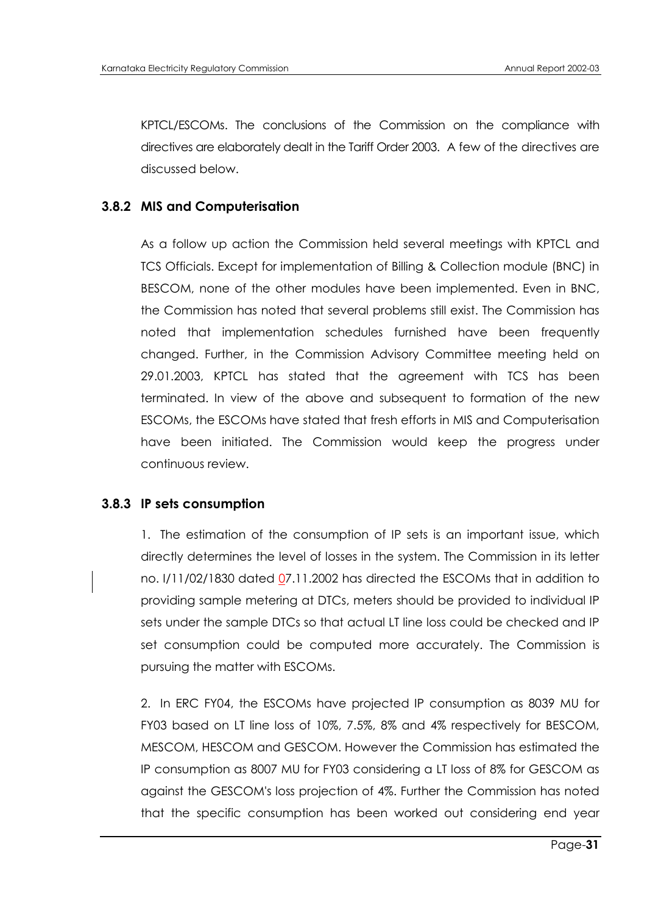KPTCL/ESCOMs. The conclusions of the Commission on the compliance with directives are elaborately dealt in the Tariff Order 2003. A few of the directives are discussed below.

## **3.8.2 MIS and Computerisation**

As a follow up action the Commission held several meetings with KPTCL and TCS Officials. Except for implementation of Billing & Collection module (BNC) in BESCOM, none of the other modules have been implemented. Even in BNC, the Commission has noted that several problems still exist. The Commission has noted that implementation schedules furnished have been frequently changed. Further, in the Commission Advisory Committee meeting held on 29.01.2003, KPTCL has stated that the agreement with TCS has been terminated. In view of the above and subsequent to formation of the new ESCOMs, the ESCOMs have stated that fresh efforts in MIS and Computerisation have been initiated. The Commission would keep the progress under continuous review.

#### **3.8.3 IP sets consumption**

1. The estimation of the consumption of IP sets is an important issue, which directly determines the level of losses in the system. The Commission in its letter no. I/11/02/1830 dated 07.11.2002 has directed the ESCOMs that in addition to providing sample metering at DTCs, meters should be provided to individual IP sets under the sample DTCs so that actual LT line loss could be checked and IP set consumption could be computed more accurately. The Commission is pursuing the matter with ESCOMs.

2. In ERC FY04, the ESCOMs have projected IP consumption as 8039 MU for FY03 based on LT line loss of 10%, 7.5%, 8% and 4% respectively for BESCOM, MESCOM, HESCOM and GESCOM. However the Commission has estimated the IP consumption as 8007 MU for FY03 considering a LT loss of 8% for GESCOM as against the GESCOM's loss projection of 4%. Further the Commission has noted that the specific consumption has been worked out considering end year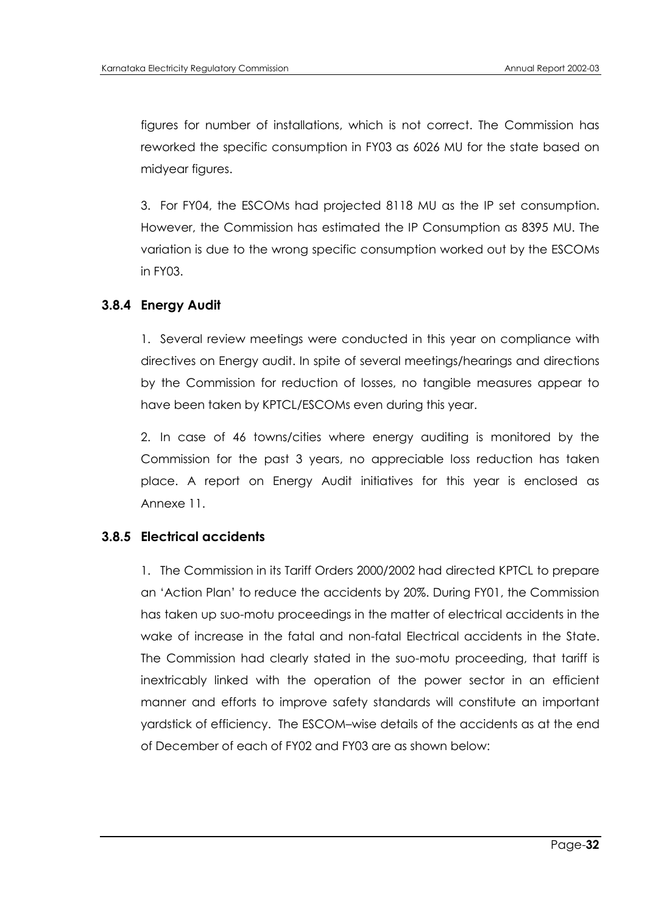figures for number of installations, which is not correct. The Commission has reworked the specific consumption in FY03 as 6026 MU for the state based on midyear figures.

3. For FY04, the ESCOMs had projected 8118 MU as the IP set consumption. However, the Commission has estimated the IP Consumption as 8395 MU. The variation is due to the wrong specific consumption worked out by the ESCOMs in FY03.

## **3.8.4 Energy Audit**

1. Several review meetings were conducted in this year on compliance with directives on Energy audit. In spite of several meetings/hearings and directions by the Commission for reduction of losses, no tangible measures appear to have been taken by KPTCL/ESCOMs even during this year.

2. In case of 46 towns/cities where energy auditing is monitored by the Commission for the past 3 years, no appreciable loss reduction has taken place. A report on Energy Audit initiatives for this year is enclosed as Annexe 11.

# **3.8.5 Electrical accidents**

1. The Commission in its Tariff Orders 2000/2002 had directed KPTCL to prepare an "Action Plan" to reduce the accidents by 20%. During FY01, the Commission has taken up suo-motu proceedings in the matter of electrical accidents in the wake of increase in the fatal and non-fatal Electrical accidents in the State. The Commission had clearly stated in the suo-motu proceeding, that tariff is inextricably linked with the operation of the power sector in an efficient manner and efforts to improve safety standards will constitute an important yardstick of efficiency. The ESCOM–wise details of the accidents as at the end of December of each of FY02 and FY03 are as shown below: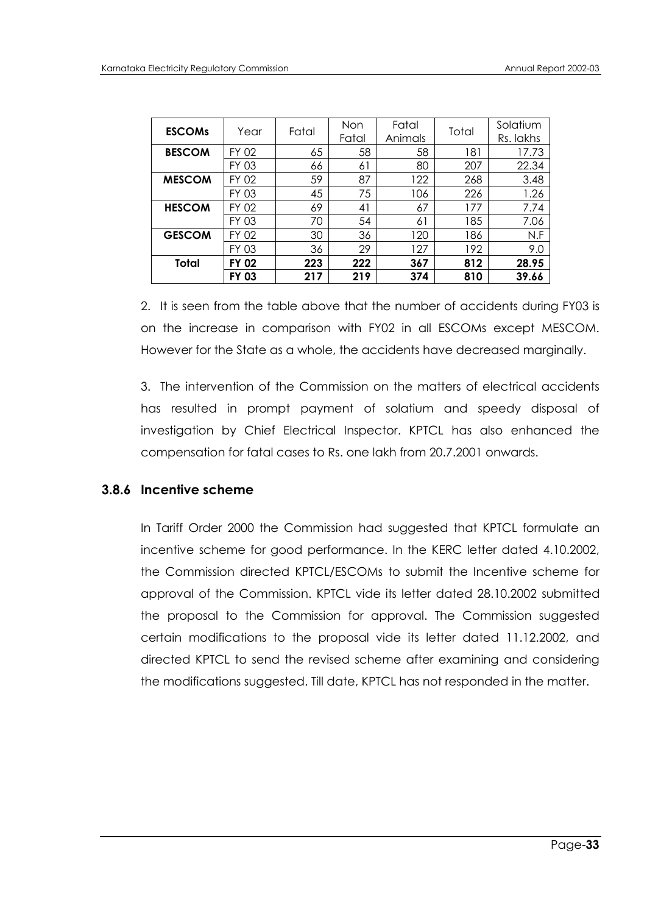| <b>ESCOMS</b> | Year         | Fatal | Non<br>Fatal | Fatal<br>Animals | Total | Solatium<br>Rs. lakhs |
|---------------|--------------|-------|--------------|------------------|-------|-----------------------|
| <b>BESCOM</b> | FY 02        | 65    | 58           | 58               | 181   | 17.73                 |
|               | FY 03        | 66    | 61           | 80               | 207   | 22.34                 |
| <b>MESCOM</b> | FY 02        | 59    | 87           | 122              | 268   | 3.48                  |
|               | FY 03        | 45    | 75           | 106              | 226   | 1.26                  |
| <b>HESCOM</b> | FY 02        | 69    | 41           | 67               | 177   | 7.74                  |
|               | FY 03        | 70    | 54           | 61               | 185   | 7.06                  |
| <b>GESCOM</b> | FY 02        | 30    | 36           | 120              | 186   | N.F                   |
|               | FY 03        | 36    | 29           | 127              | 192   | 9.0                   |
| Total         | FY 02        | 223   | 222          | 367              | 812   | 28.95                 |
|               | <b>FY 03</b> | 217   | 219          | 374              | 810   | 39.66                 |

2. It is seen from the table above that the number of accidents during FY03 is on the increase in comparison with FY02 in all ESCOMs except MESCOM. However for the State as a whole, the accidents have decreased marginally.

3. The intervention of the Commission on the matters of electrical accidents has resulted in prompt payment of solatium and speedy disposal of investigation by Chief Electrical Inspector. KPTCL has also enhanced the compensation for fatal cases to Rs. one lakh from 20.7.2001 onwards.

## **3.8.6 Incentive scheme**

In Tariff Order 2000 the Commission had suggested that KPTCL formulate an incentive scheme for good performance. In the KERC letter dated 4.10.2002, the Commission directed KPTCL/ESCOMs to submit the Incentive scheme for approval of the Commission. KPTCL vide its letter dated 28.10.2002 submitted the proposal to the Commission for approval. The Commission suggested certain modifications to the proposal vide its letter dated 11.12.2002, and directed KPTCL to send the revised scheme after examining and considering the modifications suggested. Till date, KPTCL has not responded in the matter.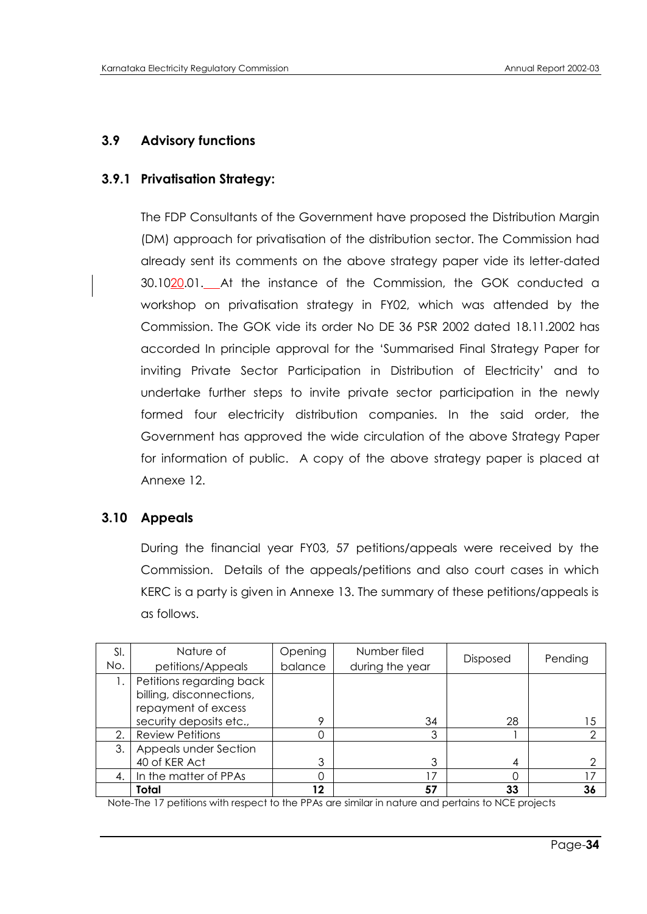# **3.9 Advisory functions**

## **3.9.1 Privatisation Strategy:**

The FDP Consultants of the Government have proposed the Distribution Margin (DM) approach for privatisation of the distribution sector. The Commission had already sent its comments on the above strategy paper vide its letter-dated 30.1020.01. At the instance of the Commission, the GOK conducted a workshop on privatisation strategy in FY02, which was attended by the Commission. The GOK vide its order No DE 36 PSR 2002 dated 18.11.2002 has accorded In principle approval for the "Summarised Final Strategy Paper for inviting Private Sector Participation in Distribution of Electricity" and to undertake further steps to invite private sector participation in the newly formed four electricity distribution companies. In the said order, the Government has approved the wide circulation of the above Strategy Paper for information of public. A copy of the above strategy paper is placed at Annexe 12.

## **3.10 Appeals**

During the financial year FY03, 57 petitions/appeals were received by the Commission. Details of the appeals/petitions and also court cases in which KERC is a party is given in Annexe 13. The summary of these petitions/appeals is as follows.

| SI.<br>No. | Nature of<br>petitions/Appeals                  | Opening<br>balance | Number filed<br>during the year | <b>Disposed</b> | Pending |
|------------|-------------------------------------------------|--------------------|---------------------------------|-----------------|---------|
|            | Petitions regarding back                        |                    |                                 |                 |         |
|            | billing, disconnections,<br>repayment of excess |                    |                                 |                 |         |
|            | security deposits etc.,                         | o                  | 34                              | 28              | 15      |
| 2.         | <b>Review Petitions</b>                         |                    | 3                               |                 |         |
| 3.1        | Appeals under Section                           |                    |                                 |                 |         |
|            | 40 of KER Act                                   | 3                  |                                 | 4               |         |
| 4.         | In the matter of PPAs                           |                    | 7                               |                 | 17      |
|            | Total                                           | 12                 | 57                              | 33              | 36      |

Note-The 17 petitions with respect to the PPAs are similar in nature and pertains to NCE projects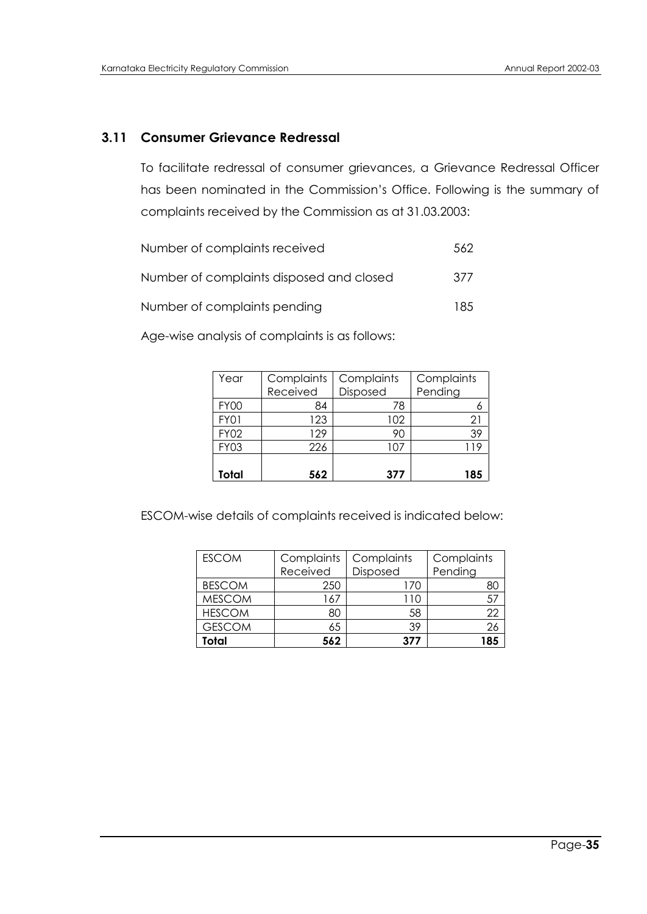# **3.11 Consumer Grievance Redressal**

To facilitate redressal of consumer grievances, a Grievance Redressal Officer has been nominated in the Commission's Office. Following is the summary of complaints received by the Commission as at 31.03.2003:

| Number of complaints received            | 562 |
|------------------------------------------|-----|
| Number of complaints disposed and closed | 377 |
| Number of complaints pending             | 185 |

Age-wise analysis of complaints is as follows:

| Year        | Complaints | Complaints | Complaints |
|-------------|------------|------------|------------|
|             | Received   | Disposed   | Pending    |
| <b>FY00</b> | 84         | 78         |            |
| <b>FY01</b> | 123        | 102        | 21         |
| <b>FY02</b> | 129        | 90         | 39         |
| <b>FY03</b> | 226        | 107        | 119        |
|             |            |            |            |
| Total       | 562        | 377        | 185        |

ESCOM-wise details of complaints received is indicated below:

| <b>ESCOM</b>  | Complaints | Complaints | Complaints |
|---------------|------------|------------|------------|
|               | Received   | Disposed   | Pending    |
| <b>BESCOM</b> | 250        | 170        | 80         |
| <b>MESCOM</b> | 67ء        | 110        | 57         |
| <b>HESCOM</b> | 80         | 58         | 22         |
| <b>GESCOM</b> | 65         | 39         | 26         |
| Total         | 562        | 377        | 185        |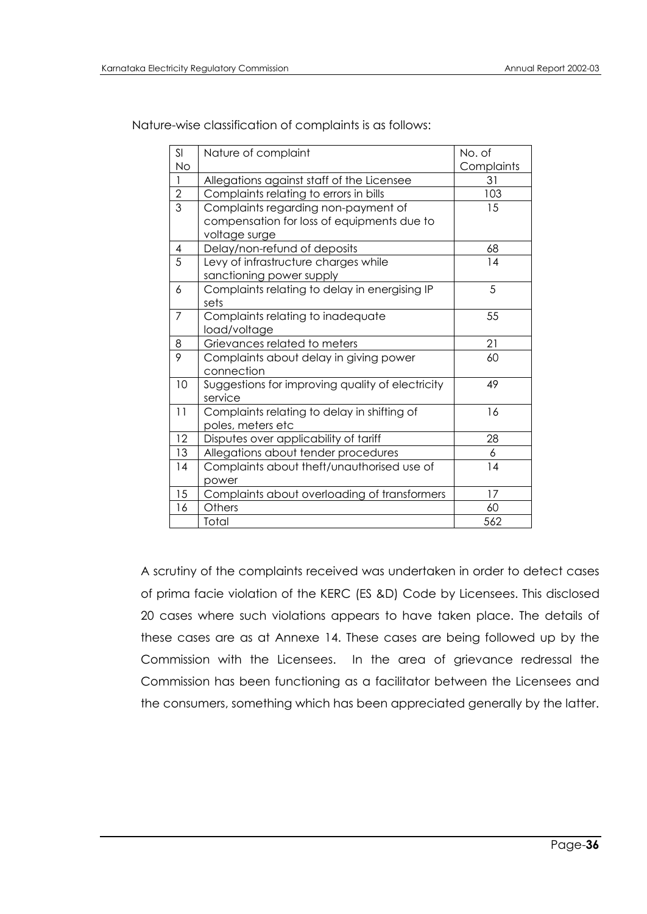Nature-wise classification of complaints is as follows:

| SI             | Nature of complaint                              | No. of     |
|----------------|--------------------------------------------------|------------|
| <b>No</b>      |                                                  | Complaints |
| $\overline{1}$ | Allegations against staff of the Licensee        | 31         |
| $\overline{2}$ | Complaints relating to errors in bills           | 103        |
| $\overline{3}$ | Complaints regarding non-payment of              | 15         |
|                | compensation for loss of equipments due to       |            |
|                | voltage surge                                    |            |
| $\overline{4}$ | Delay/non-refund of deposits                     | 68         |
| 5              | Levy of infrastructure charges while             | 14         |
|                | sanctioning power supply                         |            |
| 6              | Complaints relating to delay in energising IP    | 5          |
|                | sets                                             |            |
| $\overline{7}$ | Complaints relating to inadequate                | 55         |
|                | load/voltage                                     |            |
| 8              | Grievances related to meters                     | 21         |
| 9              | Complaints about delay in giving power           | 60         |
|                | connection                                       |            |
| 10             | Suggestions for improving quality of electricity | 49         |
|                | service                                          |            |
| 11             | Complaints relating to delay in shifting of      | 16         |
|                | poles, meters etc                                |            |
| 12             | Disputes over applicability of tariff            | 28         |
| 13             | Allegations about tender procedures              | 6          |
| 14             | Complaints about theft/unauthorised use of       | 14         |
|                | power                                            |            |
| 15             | Complaints about overloading of transformers     | 17         |
| 16             | Others                                           | 60         |
|                | Total                                            | 562        |

A scrutiny of the complaints received was undertaken in order to detect cases of prima facie violation of the KERC (ES &D) Code by Licensees. This disclosed 20 cases where such violations appears to have taken place. The details of these cases are as at Annexe 14. These cases are being followed up by the Commission with the Licensees. In the area of grievance redressal the Commission has been functioning as a facilitator between the Licensees and the consumers, something which has been appreciated generally by the latter.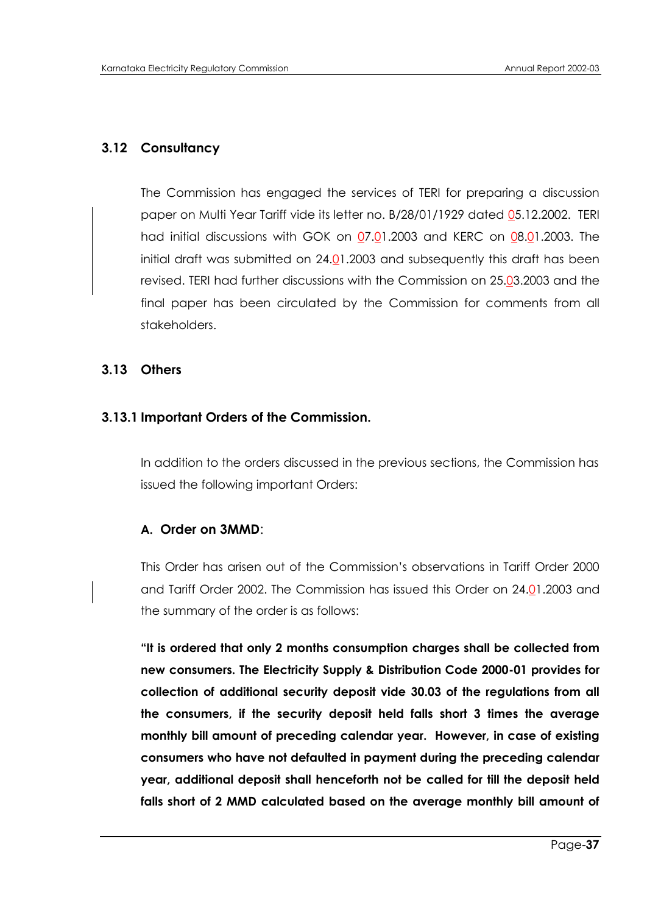### **3.12 Consultancy**

The Commission has engaged the services of TERI for preparing a discussion paper on Multi Year Tariff vide its letter no. B/28/01/1929 dated 05.12.2002. TERI had initial discussions with GOK on 07.01.2003 and KERC on 08.01.2003. The initial draft was submitted on 24.01.2003 and subsequently this draft has been revised. TERI had further discussions with the Commission on 25.03.2003 and the final paper has been circulated by the Commission for comments from all stakeholders.

#### **3.13 Others**

#### **3.13.1 Important Orders of the Commission.**

In addition to the orders discussed in the previous sections, the Commission has issued the following important Orders:

#### **A. Order on 3MMD**:

This Order has arisen out of the Commission"s observations in Tariff Order 2000 and Tariff Order 2002. The Commission has issued this Order on 24.01.2003 and the summary of the order is as follows:

**"It is ordered that only 2 months consumption charges shall be collected from new consumers. The Electricity Supply & Distribution Code 2000-01 provides for collection of additional security deposit vide 30.03 of the regulations from all the consumers, if the security deposit held falls short 3 times the average monthly bill amount of preceding calendar year. However, in case of existing consumers who have not defaulted in payment during the preceding calendar year, additional deposit shall henceforth not be called for till the deposit held falls short of 2 MMD calculated based on the average monthly bill amount of**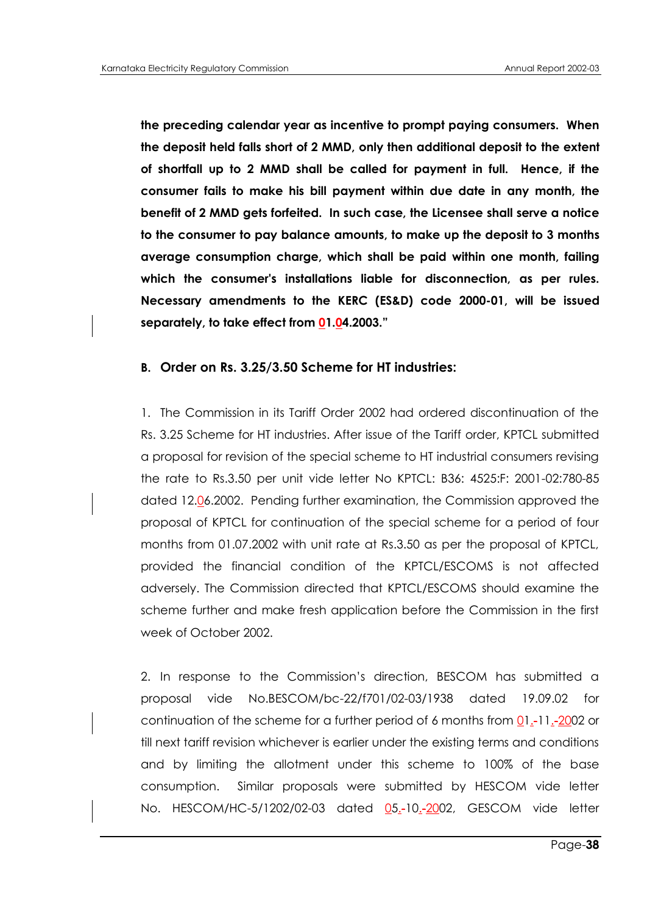**the preceding calendar year as incentive to prompt paying consumers. When the deposit held falls short of 2 MMD, only then additional deposit to the extent of shortfall up to 2 MMD shall be called for payment in full. Hence, if the consumer fails to make his bill payment within due date in any month, the benefit of 2 MMD gets forfeited. In such case, the Licensee shall serve a notice to the consumer to pay balance amounts, to make up the deposit to 3 months average consumption charge, which shall be paid within one month, failing which the consumer's installations liable for disconnection, as per rules. Necessary amendments to the KERC (ES&D) code 2000-01, will be issued separately, to take effect from 01.04.2003."**

#### **B. Order on Rs. 3.25/3.50 Scheme for HT industries:**

1. The Commission in its Tariff Order 2002 had ordered discontinuation of the Rs. 3.25 Scheme for HT industries. After issue of the Tariff order, KPTCL submitted a proposal for revision of the special scheme to HT industrial consumers revising the rate to Rs.3.50 per unit vide letter No KPTCL: B36: 4525:F: 2001-02:780-85 dated 12.06.2002. Pending further examination, the Commission approved the proposal of KPTCL for continuation of the special scheme for a period of four months from 01.07.2002 with unit rate at Rs.3.50 as per the proposal of KPTCL, provided the financial condition of the KPTCL/ESCOMS is not affected adversely. The Commission directed that KPTCL/ESCOMS should examine the scheme further and make fresh application before the Commission in the first week of October 2002.

2. In response to the Commission"s direction, BESCOM has submitted a proposal vide No.BESCOM/bc-22/f701/02-03/1938 dated 19.09.02 for continuation of the scheme for a further period of 6 months from 01.-11.-2002 or till next tariff revision whichever is earlier under the existing terms and conditions and by limiting the allotment under this scheme to 100% of the base consumption. Similar proposals were submitted by HESCOM vide letter No. HESCOM/HC-5/1202/02-03 dated 05.-10.-2002, GESCOM vide letter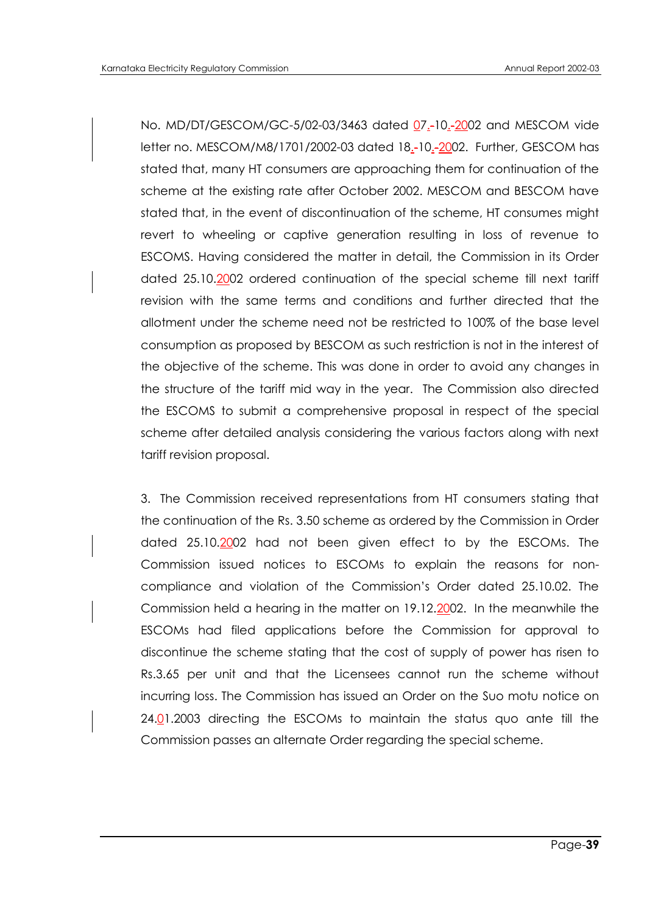No. MD/DT/GESCOM/GC-5/02-03/3463 dated 07.-10.-2002 and MESCOM vide letter no. MESCOM/M8/1701/2002-03 dated 18.-10.-2002. Further, GESCOM has stated that, many HT consumers are approaching them for continuation of the scheme at the existing rate after October 2002. MESCOM and BESCOM have stated that, in the event of discontinuation of the scheme, HT consumes might revert to wheeling or captive generation resulting in loss of revenue to ESCOMS. Having considered the matter in detail, the Commission in its Order dated 25.10.2002 ordered continuation of the special scheme till next tariff revision with the same terms and conditions and further directed that the allotment under the scheme need not be restricted to 100% of the base level consumption as proposed by BESCOM as such restriction is not in the interest of the objective of the scheme. This was done in order to avoid any changes in the structure of the tariff mid way in the year. The Commission also directed the ESCOMS to submit a comprehensive proposal in respect of the special scheme after detailed analysis considering the various factors along with next tariff revision proposal.

3. The Commission received representations from HT consumers stating that the continuation of the Rs. 3.50 scheme as ordered by the Commission in Order dated 25.10.2002 had not been given effect to by the ESCOMs. The Commission issued notices to ESCOMs to explain the reasons for noncompliance and violation of the Commission"s Order dated 25.10.02. The Commission held a hearing in the matter on 19.12.2002. In the meanwhile the ESCOMs had filed applications before the Commission for approval to discontinue the scheme stating that the cost of supply of power has risen to Rs.3.65 per unit and that the Licensees cannot run the scheme without incurring loss. The Commission has issued an Order on the Suo motu notice on 24.01.2003 directing the ESCOMs to maintain the status quo ante till the Commission passes an alternate Order regarding the special scheme.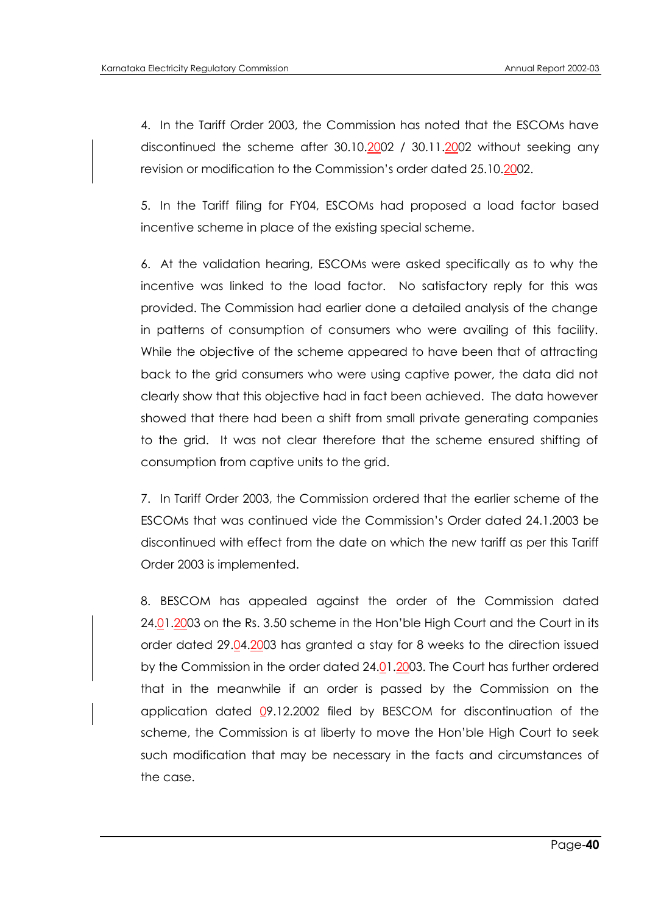4. In the Tariff Order 2003, the Commission has noted that the ESCOMs have discontinued the scheme after 30.10.2002 / 30.11.2002 without seeking any revision or modification to the Commission's order dated 25.10.2002.

5. In the Tariff filing for FY04, ESCOMs had proposed a load factor based incentive scheme in place of the existing special scheme.

6. At the validation hearing, ESCOMs were asked specifically as to why the incentive was linked to the load factor. No satisfactory reply for this was provided. The Commission had earlier done a detailed analysis of the change in patterns of consumption of consumers who were availing of this facility. While the objective of the scheme appeared to have been that of attracting back to the grid consumers who were using captive power, the data did not clearly show that this objective had in fact been achieved. The data however showed that there had been a shift from small private generating companies to the grid. It was not clear therefore that the scheme ensured shifting of consumption from captive units to the grid.

7. In Tariff Order 2003, the Commission ordered that the earlier scheme of the ESCOMs that was continued vide the Commission"s Order dated 24.1.2003 be discontinued with effect from the date on which the new tariff as per this Tariff Order 2003 is implemented.

8. BESCOM has appealed against the order of the Commission dated 24.01.2003 on the Rs. 3.50 scheme in the Hon"ble High Court and the Court in its order dated 29.04.2003 has granted a stay for 8 weeks to the direction issued by the Commission in the order dated 24.01.2003. The Court has further ordered that in the meanwhile if an order is passed by the Commission on the application dated  $Q$ 9.12.2002 filed by BESCOM for discontinuation of the scheme, the Commission is at liberty to move the Hon"ble High Court to seek such modification that may be necessary in the facts and circumstances of the case.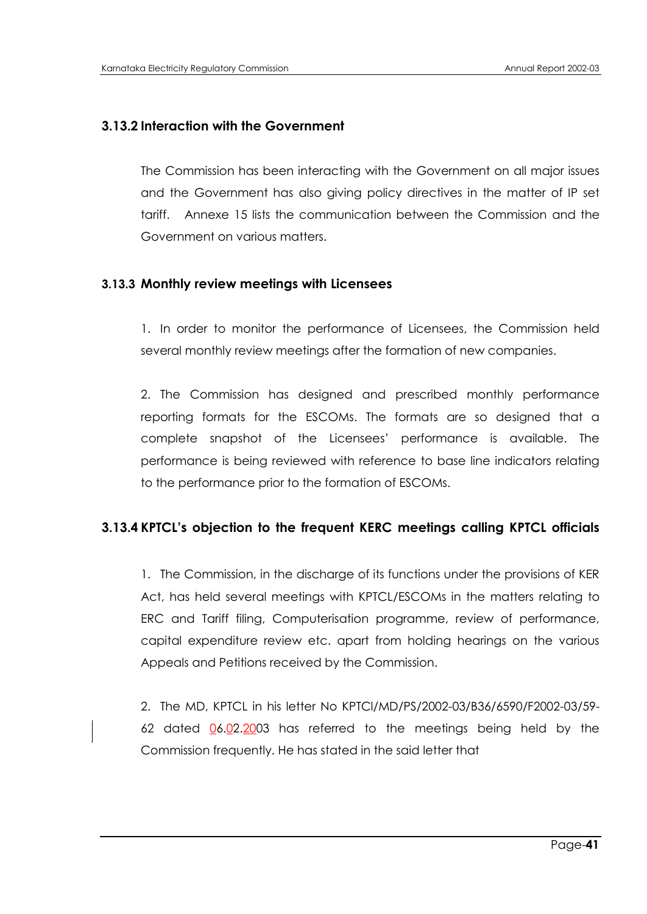### **3.13.2 Interaction with the Government**

The Commission has been interacting with the Government on all major issues and the Government has also giving policy directives in the matter of IP set tariff. Annexe 15 lists the communication between the Commission and the Government on various matters.

#### **3.13.3 Monthly review meetings with Licensees**

1. In order to monitor the performance of Licensees, the Commission held several monthly review meetings after the formation of new companies.

2. The Commission has designed and prescribed monthly performance reporting formats for the ESCOMs. The formats are so designed that a complete snapshot of the Licensees" performance is available. The performance is being reviewed with reference to base line indicators relating to the performance prior to the formation of ESCOMs.

#### **3.13.4 KPTCL's objection to the frequent KERC meetings calling KPTCL officials**

1. The Commission, in the discharge of its functions under the provisions of KER Act, has held several meetings with KPTCL/ESCOMs in the matters relating to ERC and Tariff filing, Computerisation programme, review of performance, capital expenditure review etc. apart from holding hearings on the various Appeals and Petitions received by the Commission.

2. The MD, KPTCL in his letter No KPTCl/MD/PS/2002-03/B36/6590/F2002-03/59- 62 dated  $0.602.2003$  has referred to the meetings being held by the Commission frequently. He has stated in the said letter that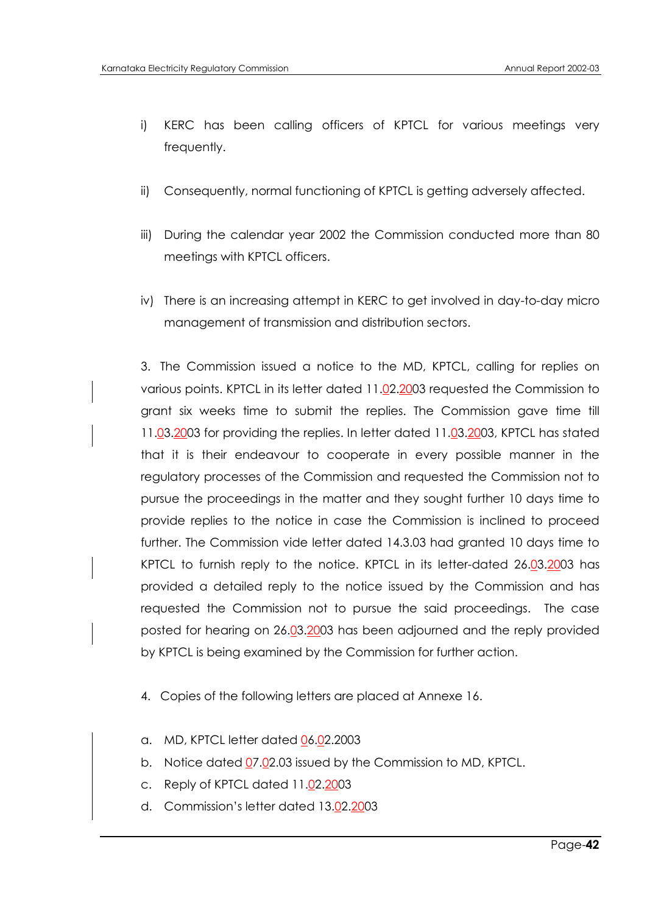- i) KERC has been calling officers of KPTCL for various meetings very frequently.
- ii) Consequently, normal functioning of KPTCL is getting adversely affected.
- iii) During the calendar year 2002 the Commission conducted more than 80 meetings with KPTCL officers.
- iv) There is an increasing attempt in KERC to get involved in day-to-day micro management of transmission and distribution sectors.

3. The Commission issued a notice to the MD, KPTCL, calling for replies on various points. KPTCL in its letter dated 11.02.2003 requested the Commission to grant six weeks time to submit the replies. The Commission gave time till 11.03.2003 for providing the replies. In letter dated 11.03.2003, KPTCL has stated that it is their endeavour to cooperate in every possible manner in the regulatory processes of the Commission and requested the Commission not to pursue the proceedings in the matter and they sought further 10 days time to provide replies to the notice in case the Commission is inclined to proceed further. The Commission vide letter dated 14.3.03 had granted 10 days time to KPTCL to furnish reply to the notice. KPTCL in its letter-dated 26.03.2003 has provided a detailed reply to the notice issued by the Commission and has requested the Commission not to pursue the said proceedings. The case posted for hearing on 26.03.2003 has been adjourned and the reply provided by KPTCL is being examined by the Commission for further action.

- 4. Copies of the following letters are placed at Annexe 16.
- a. MD, KPTCL letter dated 06.02.2003
- b. Notice dated 07.02.03 issued by the Commission to MD, KPTCL.
- c. Reply of KPTCL dated 11.02.2003
- d. Commission"s letter dated 13.02.2003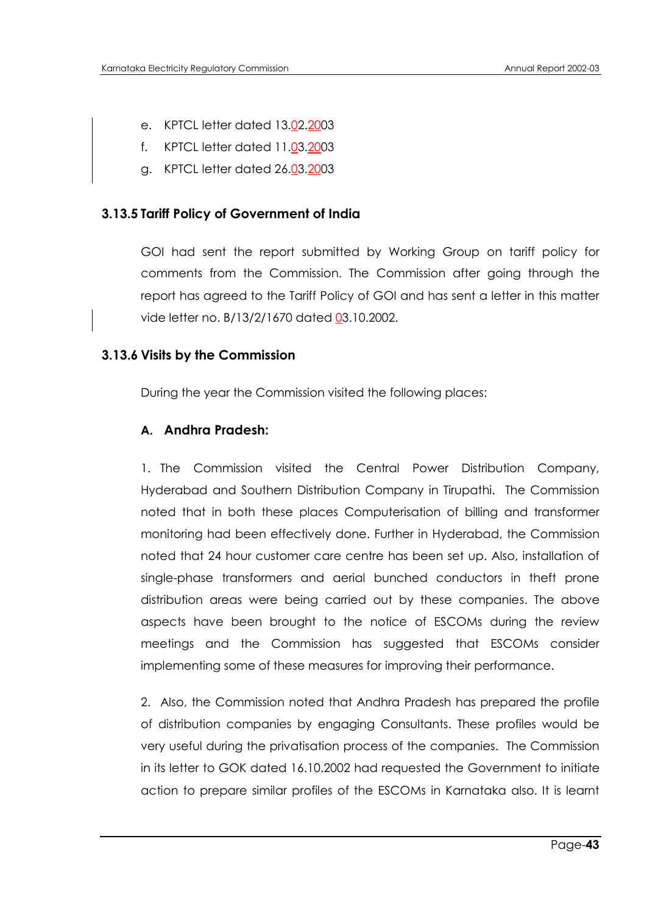- e. KPTCL letter dated 13.02.2003
- f. KPTCL letter dated 11.03.2003
- g. KPTCL letter dated 26.03.2003

#### **3.13.5 Tariff Policy of Government of India**

GOI had sent the report submitted by Working Group on tariff policy for comments from the Commission. The Commission after going through the report has agreed to the Tariff Policy of GOI and has sent a letter in this matter vide letter no. B/13/2/1670 dated 03.10.2002.

#### **3.13.6 Visits by the Commission**

During the year the Commission visited the following places:

#### **A. Andhra Pradesh:**

1. The Commission visited the Central Power Distribution Company, Hyderabad and Southern Distribution Company in Tirupathi. The Commission noted that in both these places Computerisation of billing and transformer monitoring had been effectively done. Further in Hyderabad, the Commission noted that 24 hour customer care centre has been set up. Also, installation of single-phase transformers and aerial bunched conductors in theft prone distribution areas were being carried out by these companies. The above aspects have been brought to the notice of ESCOMs during the review meetings and the Commission has suggested that ESCOMs consider implementing some of these measures for improving their performance.

2. Also, the Commission noted that Andhra Pradesh has prepared the profile of distribution companies by engaging Consultants. These profiles would be very useful during the privatisation process of the companies. The Commission in its letter to GOK dated 16.10.2002 had requested the Government to initiate action to prepare similar profiles of the ESCOMs in Karnataka also. It is learnt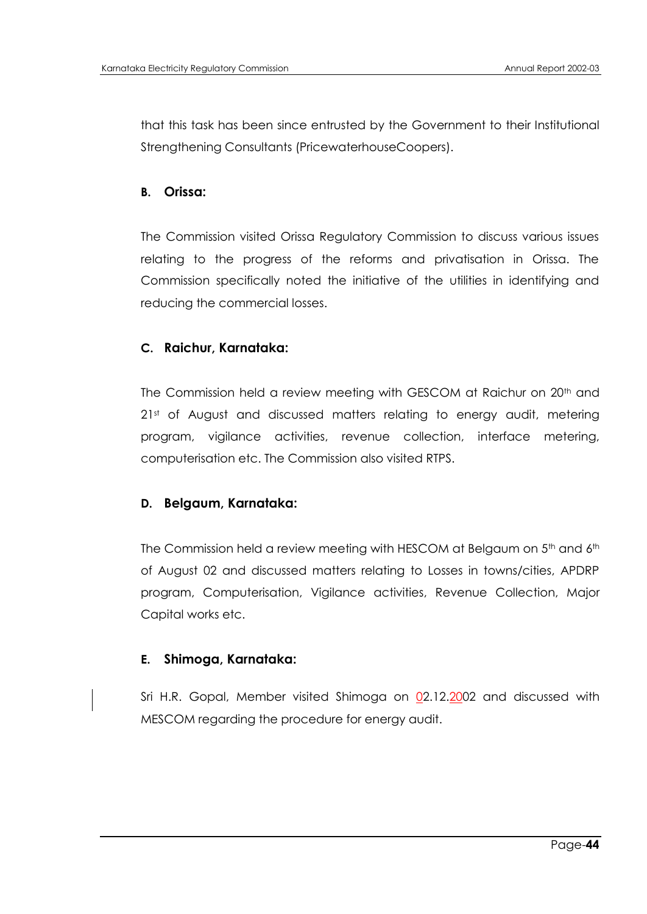that this task has been since entrusted by the Government to their Institutional Strengthening Consultants (PricewaterhouseCoopers).

#### **B. Orissa:**

The Commission visited Orissa Regulatory Commission to discuss various issues relating to the progress of the reforms and privatisation in Orissa. The Commission specifically noted the initiative of the utilities in identifying and reducing the commercial losses.

#### **C. Raichur, Karnataka:**

The Commission held a review meeting with GESCOM at Raichur on 20<sup>th</sup> and 2<sup>1st</sup> of August and discussed matters relating to energy audit, metering program, vigilance activities, revenue collection, interface metering, computerisation etc. The Commission also visited RTPS.

#### **D. Belgaum, Karnataka:**

The Commission held a review meeting with HESCOM at Belgaum on 5<sup>th</sup> and 6<sup>th</sup> of August 02 and discussed matters relating to Losses in towns/cities, APDRP program, Computerisation, Vigilance activities, Revenue Collection, Major Capital works etc.

#### **E. Shimoga, Karnataka:**

Sri H.R. Gopal, Member visited Shimoga on 02.12.2002 and discussed with MESCOM regarding the procedure for energy audit.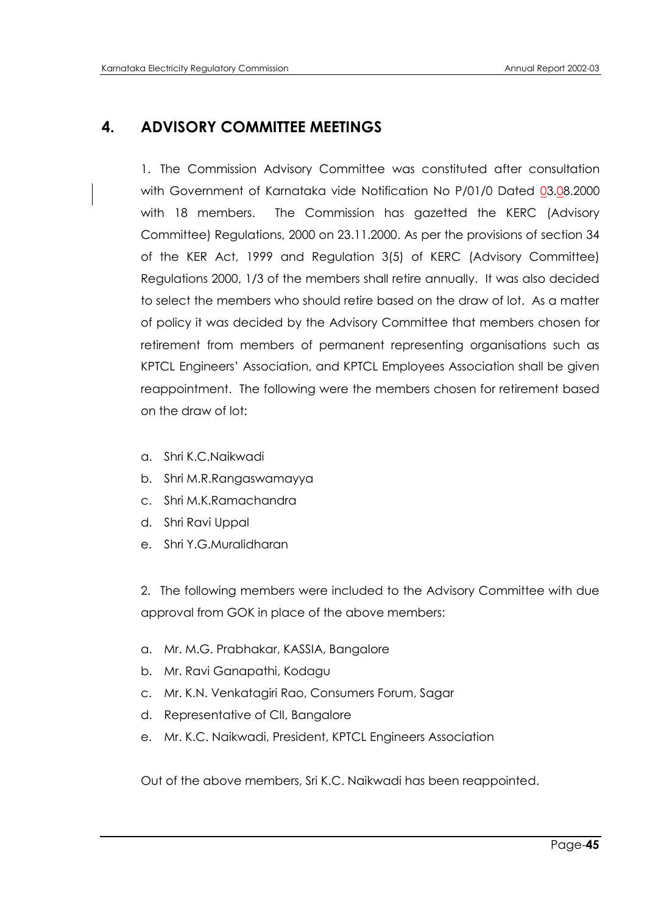# **4. ADVISORY COMMITTEE MEETINGS**

1. The Commission Advisory Committee was constituted after consultation with Government of Karnataka vide Notification No P/01/0 Dated 03.08.2000 with 18 members. The Commission has gazetted the KERC (Advisory Committee) Regulations, 2000 on 23.11.2000. As per the provisions of section 34 of the KER Act, 1999 and Regulation 3(5) of KERC (Advisory Committee) Regulations 2000, 1/3 of the members shall retire annually. It was also decided to select the members who should retire based on the draw of lot. As a matter of policy it was decided by the Advisory Committee that members chosen for retirement from members of permanent representing organisations such as KPTCL Engineers" Association, and KPTCL Employees Association shall be given reappointment. The following were the members chosen for retirement based on the draw of lot:

- a. Shri K.C.Naikwadi
- b. Shri M.R.Rangaswamayya
- c. Shri M.K.Ramachandra
- d. Shri Ravi Uppal
- e. Shri Y.G.Muralidharan

2. The following members were included to the Advisory Committee with due approval from GOK in place of the above members:

- a. Mr. M.G. Prabhakar, KASSIA, Bangalore
- b. Mr. Ravi Ganapathi, Kodagu
- c. Mr. K.N. Venkatagiri Rao, Consumers Forum, Sagar
- d. Representative of CII, Bangalore
- e. Mr. K.C. Naikwadi, President, KPTCL Engineers Association

Out of the above members, Sri K.C. Naikwadi has been reappointed.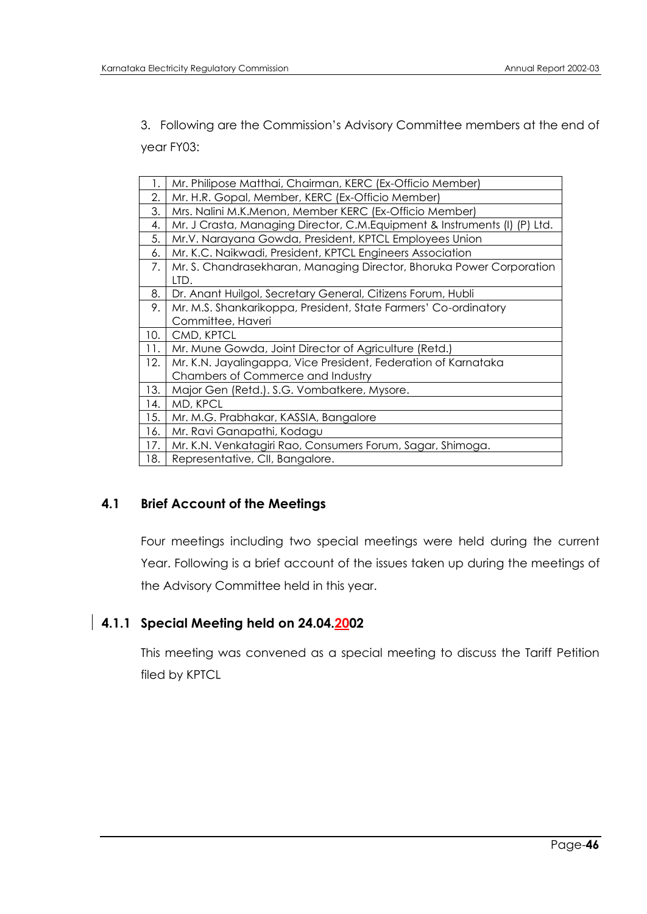3. Following are the Commission"s Advisory Committee members at the end of year FY03:

| 1.  | Mr. Philipose Matthai, Chairman, KERC (Ex-Officio Member)                  |
|-----|----------------------------------------------------------------------------|
| 2.  | Mr. H.R. Gopal, Member, KERC (Ex-Officio Member)                           |
| 3.  | Mrs. Nalini M.K.Menon, Member KERC (Ex-Officio Member)                     |
| 4.  | Mr. J Crasta, Managing Director, C.M. Equipment & Instruments (I) (P) Ltd. |
| 5.  | Mr.V. Narayana Gowda, President, KPTCL Employees Union                     |
| 6.  | Mr. K.C. Naikwadi, President, KPTCL Engineers Association                  |
| 7.  | Mr. S. Chandrasekharan, Managing Director, Bhoruka Power Corporation       |
|     | LTD.                                                                       |
| 8.  | Dr. Anant Huilgol, Secretary General, Citizens Forum, Hubli                |
| 9.  | Mr. M.S. Shankarikoppa, President, State Farmers' Co-ordinatory            |
|     | Committee, Haveri                                                          |
| 10. | CMD, KPTCL                                                                 |
| 11. | Mr. Mune Gowda, Joint Director of Agriculture (Retd.)                      |
| 12. | Mr. K.N. Jayalingappa, Vice President, Federation of Karnataka             |
|     | Chambers of Commerce and Industry                                          |
| 13. | Major Gen (Retd.). S.G. Vombatkere, Mysore.                                |
| 14. | MD, KPCL                                                                   |
| 15. | Mr. M.G. Prabhakar, KASSIA, Bangalore                                      |
| 16. | Mr. Ravi Ganapathi, Kodagu                                                 |
| 17. | Mr. K.N. Venkatagiri Rao, Consumers Forum, Sagar, Shimoga.                 |
| 18. | Representative, CII, Bangalore.                                            |

# **4.1 Brief Account of the Meetings**

Four meetings including two special meetings were held during the current Year. Following is a brief account of the issues taken up during the meetings of the Advisory Committee held in this year.

# **4.1.1 Special Meeting held on 24.04.2002**

This meeting was convened as a special meeting to discuss the Tariff Petition filed by KPTCL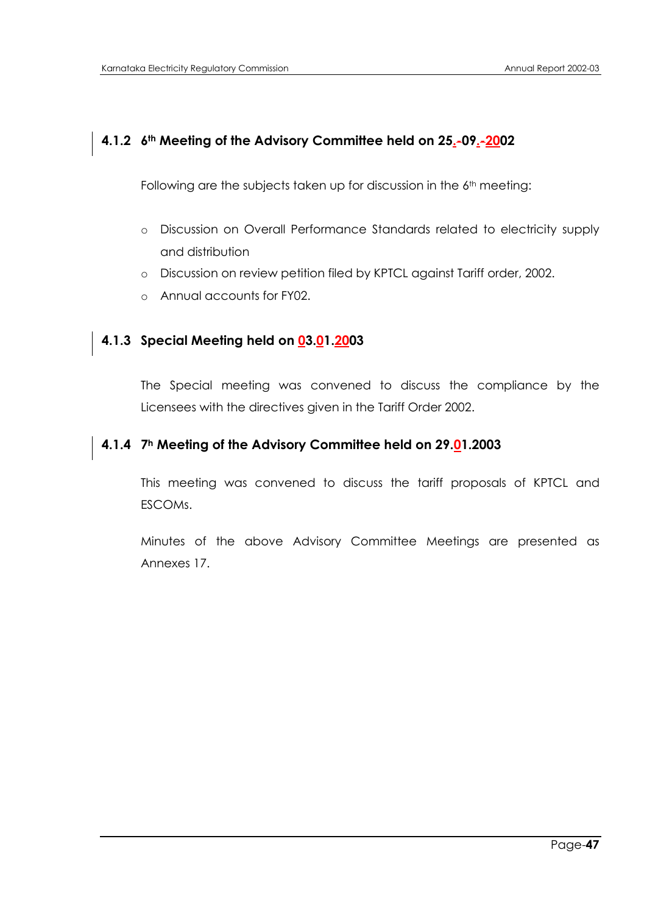# **4.1.2 6th Meeting of the Advisory Committee held on 25.-09.-2002**

Following are the subjects taken up for discussion in the 6<sup>th</sup> meeting:

- o Discussion on Overall Performance Standards related to electricity supply and distribution
- o Discussion on review petition filed by KPTCL against Tariff order, 2002.
- o Annual accounts for FY02.

# **4.1.3 Special Meeting held on 03.01.2003**

The Special meeting was convened to discuss the compliance by the Licensees with the directives given in the Tariff Order 2002.

# **4.1.4 7<sup>h</sup> Meeting of the Advisory Committee held on 29.01.2003**

This meeting was convened to discuss the tariff proposals of KPTCL and ESCOMs.

Minutes of the above Advisory Committee Meetings are presented as Annexes 17.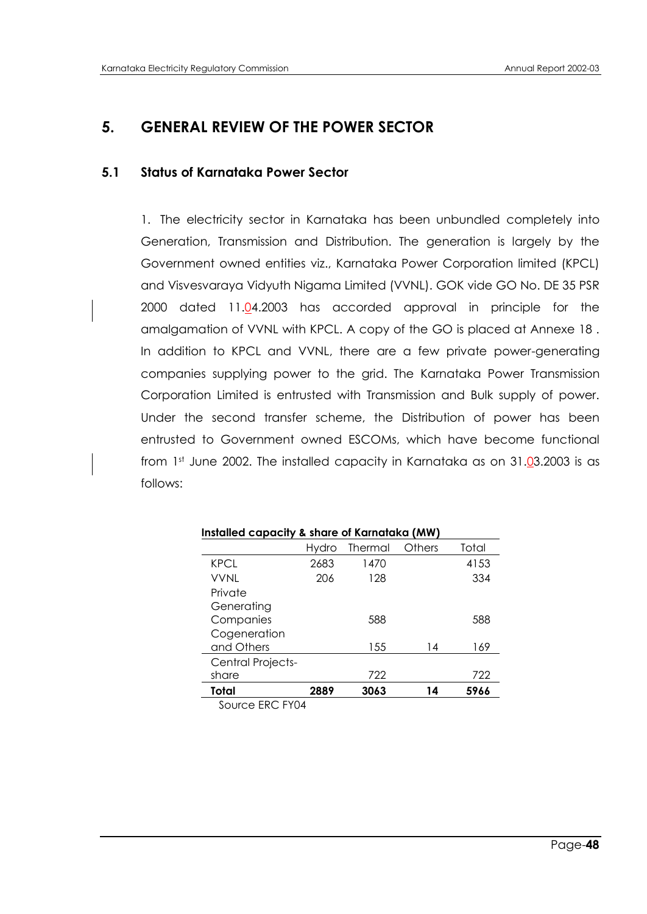# **5. GENERAL REVIEW OF THE POWER SECTOR**

#### **5.1 Status of Karnataka Power Sector**

1. The electricity sector in Karnataka has been unbundled completely into Generation, Transmission and Distribution. The generation is largely by the Government owned entities viz., Karnataka Power Corporation limited (KPCL) and Visvesvaraya Vidyuth Nigama Limited (VVNL). GOK vide GO No. DE 35 PSR 2000 dated 11.04.2003 has accorded approval in principle for the amalgamation of VVNL with KPCL. A copy of the GO is placed at Annexe 18 . In addition to KPCL and VVNL, there are a few private power-generating companies supplying power to the grid. The Karnataka Power Transmission Corporation Limited is entrusted with Transmission and Bulk supply of power. Under the second transfer scheme, the Distribution of power has been entrusted to Government owned ESCOMs, which have become functional from 1st June 2002. The installed capacity in Karnataka as on 31.03.2003 is as follows:

| Installed capacity & share of Karnataka (MW) |       |         |        |       |  |  |
|----------------------------------------------|-------|---------|--------|-------|--|--|
|                                              | Hvdro | Thermal | Others | Total |  |  |
| <b>KPCL</b>                                  | 2683  | 1470    |        | 4153  |  |  |
| VVNI                                         | 206   | 128     |        | 334   |  |  |
| Private                                      |       |         |        |       |  |  |
| Generating                                   |       |         |        |       |  |  |
| Companies                                    |       | 588     |        | 588   |  |  |
| Cogeneration                                 |       |         |        |       |  |  |
| and Others                                   |       | 155     | 14     | 169   |  |  |
| <b>Central Projects-</b>                     |       |         |        |       |  |  |
| share                                        |       | 722     |        | 722   |  |  |
| Total                                        | 2889  | 3063    | 14     | 5966  |  |  |

Source ERC FY04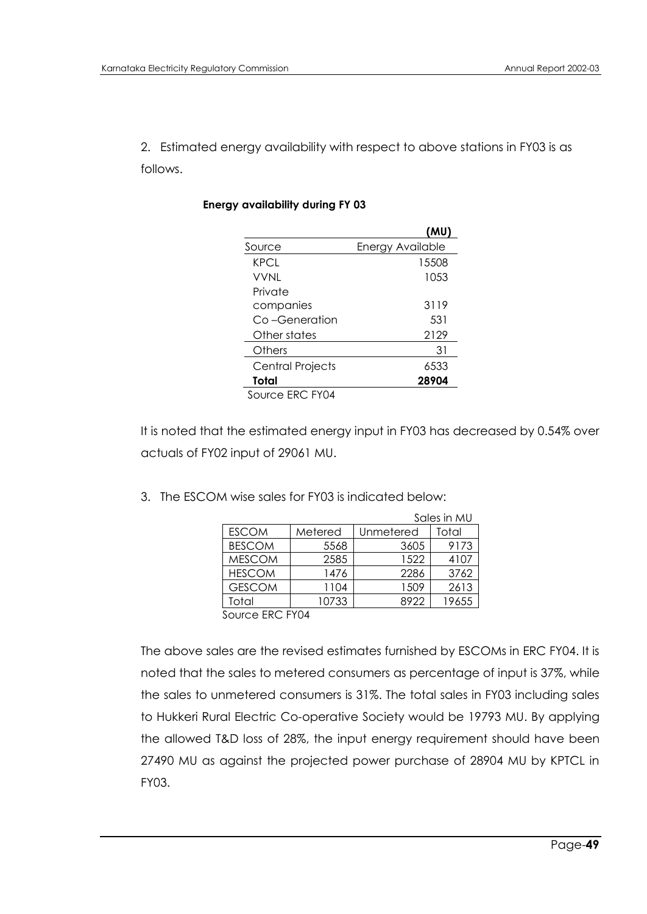2. Estimated energy availability with respect to above stations in FY03 is as follows.

|                         | (MU)                    |
|-------------------------|-------------------------|
| Source                  | <b>Energy Available</b> |
| <b>KPCL</b>             | 15508                   |
| <b>VVNL</b>             | 1053                    |
| Private                 |                         |
| companies               | 3119                    |
| Co-Generation           | 531                     |
| Other states            | 2129                    |
| Others                  | 31                      |
| <b>Central Projects</b> | 6533                    |
| Total                   | 28904                   |
| Source ERC FY04         |                         |

#### **Energy availability during FY 03**

It is noted that the estimated energy input in FY03 has decreased by 0.54% over actuals of FY02 input of 29061 MU.

| 3. The ESCOM wise sales for FY03 is indicated below: |  |  |
|------------------------------------------------------|--|--|
|                                                      |  |  |

|               |         |           | Sales in MU |
|---------------|---------|-----------|-------------|
| <b>ESCOM</b>  | Metered | Unmetered | Total       |
| <b>BESCOM</b> | 5568    | 3605      | 9173        |
| <b>MESCOM</b> | 2585    | 1522      | 4107        |
| <b>HESCOM</b> | 1476    | 2286      | 3762        |
| <b>GESCOM</b> | 1104    | 1509      | 2613        |
| Total         | 10733   | 8922      | 19655       |
|               |         |           |             |

Source ERC FY04

The above sales are the revised estimates furnished by ESCOMs in ERC FY04. It is noted that the sales to metered consumers as percentage of input is 37%, while the sales to unmetered consumers is 31%. The total sales in FY03 including sales to Hukkeri Rural Electric Co-operative Society would be 19793 MU. By applying the allowed T&D loss of 28%, the input energy requirement should have been 27490 MU as against the projected power purchase of 28904 MU by KPTCL in FY03.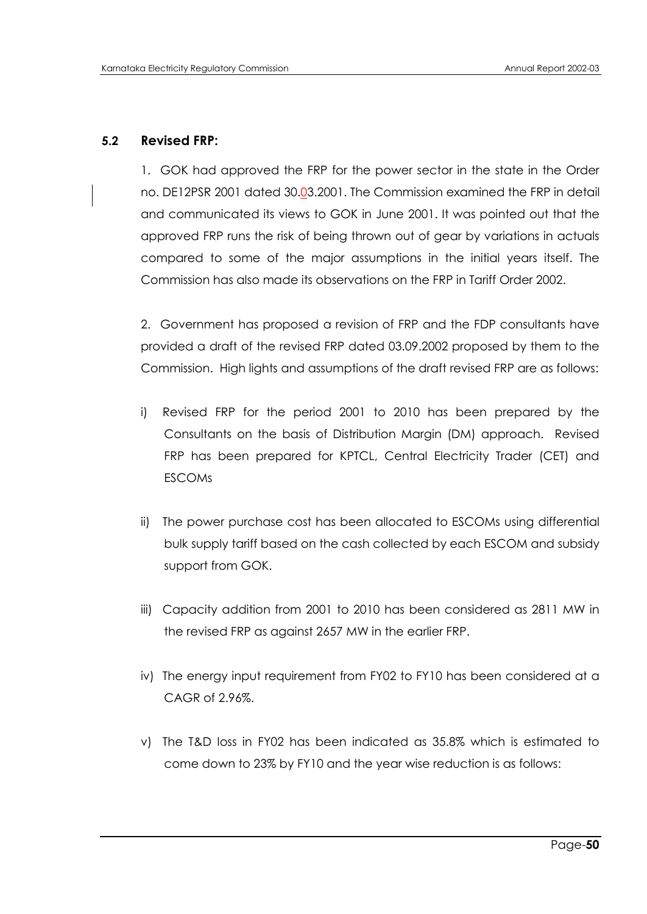#### **5.2 Revised FRP:**

1. GOK had approved the FRP for the power sector in the state in the Order no. DE12PSR 2001 dated 30.03.2001. The Commission examined the FRP in detail and communicated its views to GOK in June 2001. It was pointed out that the approved FRP runs the risk of being thrown out of gear by variations in actuals compared to some of the major assumptions in the initial years itself. The Commission has also made its observations on the FRP in Tariff Order 2002.

2. Government has proposed a revision of FRP and the FDP consultants have provided a draft of the revised FRP dated 03.09.2002 proposed by them to the Commission. High lights and assumptions of the draft revised FRP are as follows:

- i) Revised FRP for the period 2001 to 2010 has been prepared by the Consultants on the basis of Distribution Margin (DM) approach. Revised FRP has been prepared for KPTCL, Central Electricity Trader (CET) and ESCOMs
- ii) The power purchase cost has been allocated to ESCOMs using differential bulk supply tariff based on the cash collected by each ESCOM and subsidy support from GOK.
- iii) Capacity addition from 2001 to 2010 has been considered as 2811 MW in the revised FRP as against 2657 MW in the earlier FRP.
- iv) The energy input requirement from FY02 to FY10 has been considered at a CAGR of 2.96%.
- v) The T&D loss in FY02 has been indicated as 35.8% which is estimated to come down to 23% by FY10 and the year wise reduction is as follows: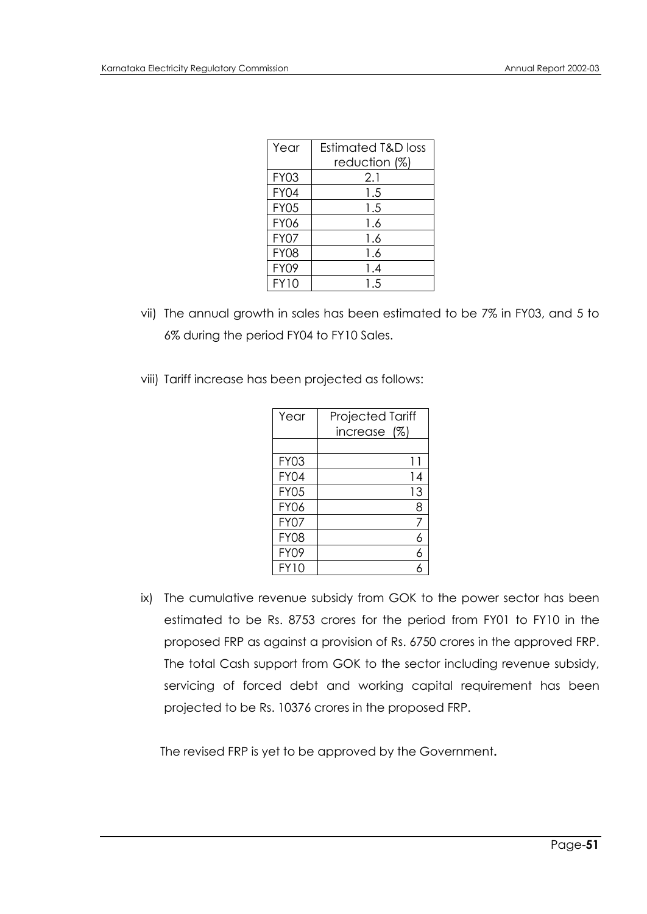| Year        | <b>Estimated T&amp;D loss</b> |
|-------------|-------------------------------|
|             | reduction (%)                 |
| <b>FY03</b> | 2.1                           |
| <b>FY04</b> | 1.5                           |
| <b>FY05</b> | 1.5                           |
| <b>FY06</b> | 1.6                           |
| <b>FY07</b> | 1.6                           |
| <b>FY08</b> | 1.6                           |
| <b>FY09</b> | 1.4                           |
| <b>FY10</b> | 1.5                           |

- vii) The annual growth in sales has been estimated to be 7% in FY03, and 5 to 6% during the period FY04 to FY10 Sales.
- viii) Tariff increase has been projected as follows:

| Year        | <b>Projected Tariff</b><br>increase (%) |
|-------------|-----------------------------------------|
|             |                                         |
| <b>FY03</b> | 11                                      |
| <b>FY04</b> | 14                                      |
| <b>FY05</b> | 13                                      |
| <b>FY06</b> | 8                                       |
| <b>FY07</b> |                                         |
| <b>FY08</b> | 6                                       |
| <b>FY09</b> | 6                                       |
| <b>FY10</b> |                                         |

ix) The cumulative revenue subsidy from GOK to the power sector has been estimated to be Rs. 8753 crores for the period from FY01 to FY10 in the proposed FRP as against a provision of Rs. 6750 crores in the approved FRP. The total Cash support from GOK to the sector including revenue subsidy, servicing of forced debt and working capital requirement has been projected to be Rs. 10376 crores in the proposed FRP.

The revised FRP is yet to be approved by the Government**.**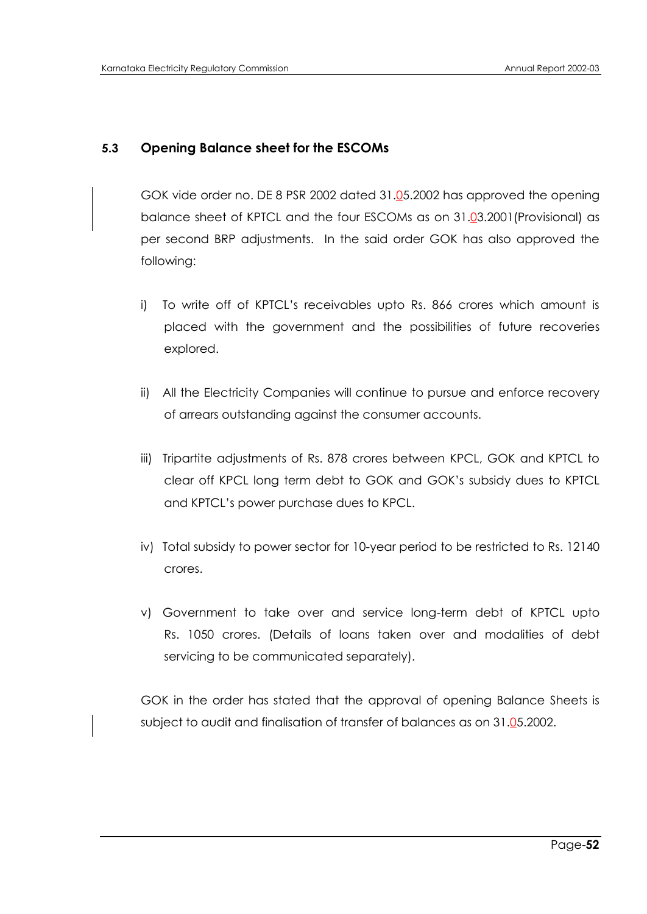# **5.3 Opening Balance sheet for the ESCOMs**

GOK vide order no. DE 8 PSR 2002 dated 31.05.2002 has approved the opening balance sheet of KPTCL and the four ESCOMs as on 31.03.2001(Provisional) as per second BRP adjustments. In the said order GOK has also approved the following:

- i) To write off of KPTCL"s receivables upto Rs. 866 crores which amount is placed with the government and the possibilities of future recoveries explored.
- ii) All the Electricity Companies will continue to pursue and enforce recovery of arrears outstanding against the consumer accounts.
- iii) Tripartite adjustments of Rs. 878 crores between KPCL, GOK and KPTCL to clear off KPCL long term debt to GOK and GOK"s subsidy dues to KPTCL and KPTCL"s power purchase dues to KPCL.
- iv) Total subsidy to power sector for 10-year period to be restricted to Rs. 12140 crores.
- v) Government to take over and service long-term debt of KPTCL upto Rs. 1050 crores. (Details of loans taken over and modalities of debt servicing to be communicated separately).

GOK in the order has stated that the approval of opening Balance Sheets is subject to audit and finalisation of transfer of balances as on 31.05.2002.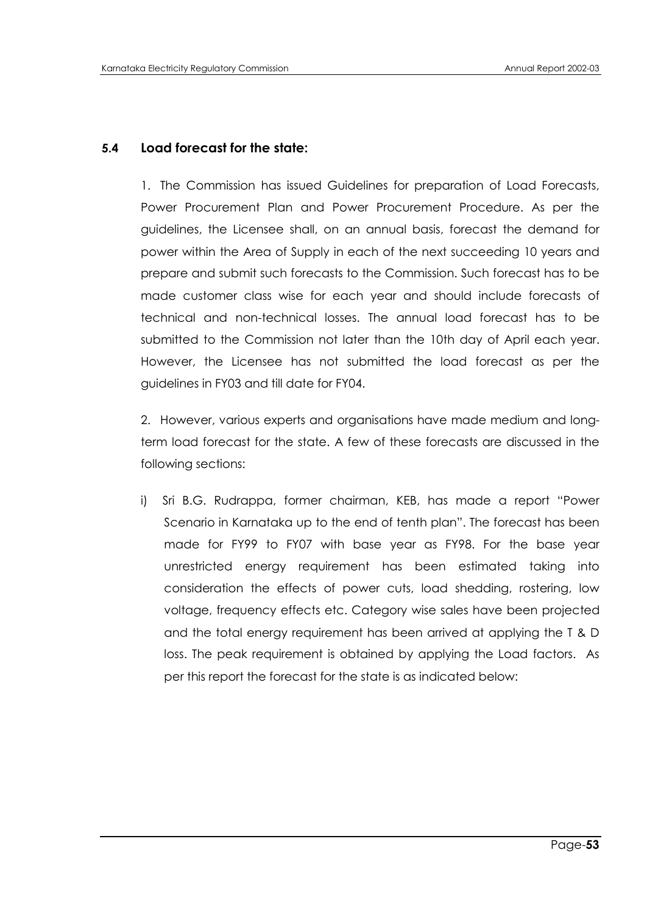### **5.4 Load forecast for the state:**

1. The Commission has issued Guidelines for preparation of Load Forecasts, Power Procurement Plan and Power Procurement Procedure. As per the guidelines, the Licensee shall, on an annual basis, forecast the demand for power within the Area of Supply in each of the next succeeding 10 years and prepare and submit such forecasts to the Commission. Such forecast has to be made customer class wise for each year and should include forecasts of technical and non-technical losses. The annual load forecast has to be submitted to the Commission not later than the 10th day of April each year. However, the Licensee has not submitted the load forecast as per the guidelines in FY03 and till date for FY04.

2. However, various experts and organisations have made medium and longterm load forecast for the state. A few of these forecasts are discussed in the following sections:

i) Sri B.G. Rudrappa, former chairman, KEB, has made a report "Power Scenario in Karnataka up to the end of tenth plan". The forecast has been made for FY99 to FY07 with base year as FY98. For the base year unrestricted energy requirement has been estimated taking into consideration the effects of power cuts, load shedding, rostering, low voltage, frequency effects etc. Category wise sales have been projected and the total energy requirement has been arrived at applying the T & D loss. The peak requirement is obtained by applying the Load factors. As per this report the forecast for the state is as indicated below: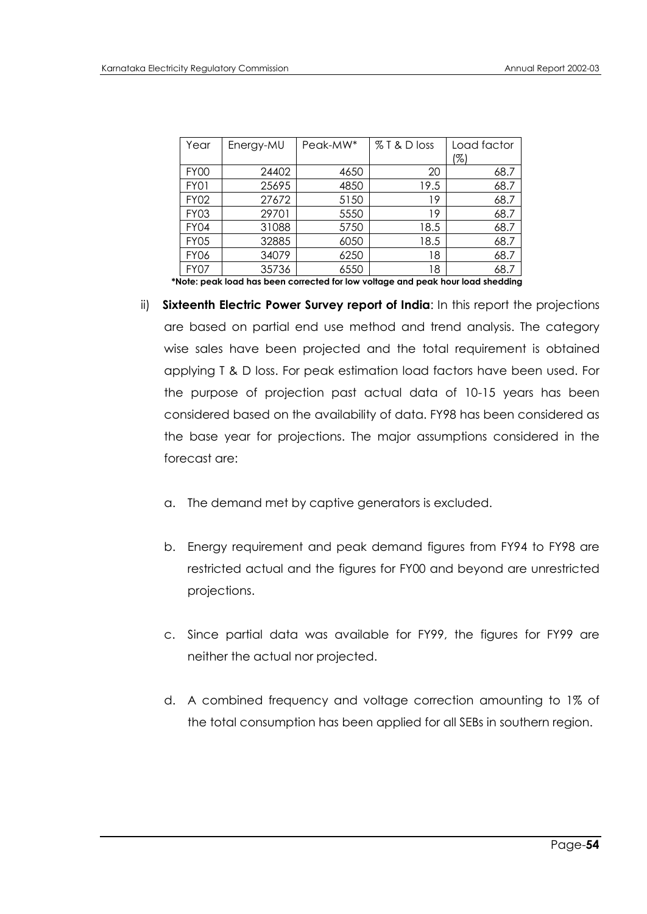| Year        | Energy-MU | Peak-MW* | % T & D loss | Load factor<br>(%) |
|-------------|-----------|----------|--------------|--------------------|
| <b>FY00</b> | 24402     | 4650     | 20           | 68.7               |
| FY01        | 25695     | 4850     | 19.5         | 68.7               |
| <b>FY02</b> | 27672     | 5150     | 19           | 68.7               |
| <b>FY03</b> | 29701     | 5550     | 19           | 68.7               |
| <b>FY04</b> | 31088     | 5750     | 18.5         | 68.7               |
| <b>FY05</b> | 32885     | 6050     | 18.5         | 68.7               |
| <b>FY06</b> | 34079     | 6250     | 18           | 68.7               |
| <b>FY07</b> | 35736     | 6550     | 18           | 68.7               |

 **\*Note: peak load has been corrected for low voltage and peak hour load shedding**

- ii) **Sixteenth Electric Power Survey report of India**: In this report the projections are based on partial end use method and trend analysis. The category wise sales have been projected and the total requirement is obtained applying T & D loss. For peak estimation load factors have been used. For the purpose of projection past actual data of 10-15 years has been considered based on the availability of data. FY98 has been considered as the base year for projections. The major assumptions considered in the forecast are:
	- a. The demand met by captive generators is excluded.
	- b. Energy requirement and peak demand figures from FY94 to FY98 are restricted actual and the figures for FY00 and beyond are unrestricted projections.
	- c. Since partial data was available for FY99, the figures for FY99 are neither the actual nor projected.
	- d. A combined frequency and voltage correction amounting to 1% of the total consumption has been applied for all SEBs in southern region.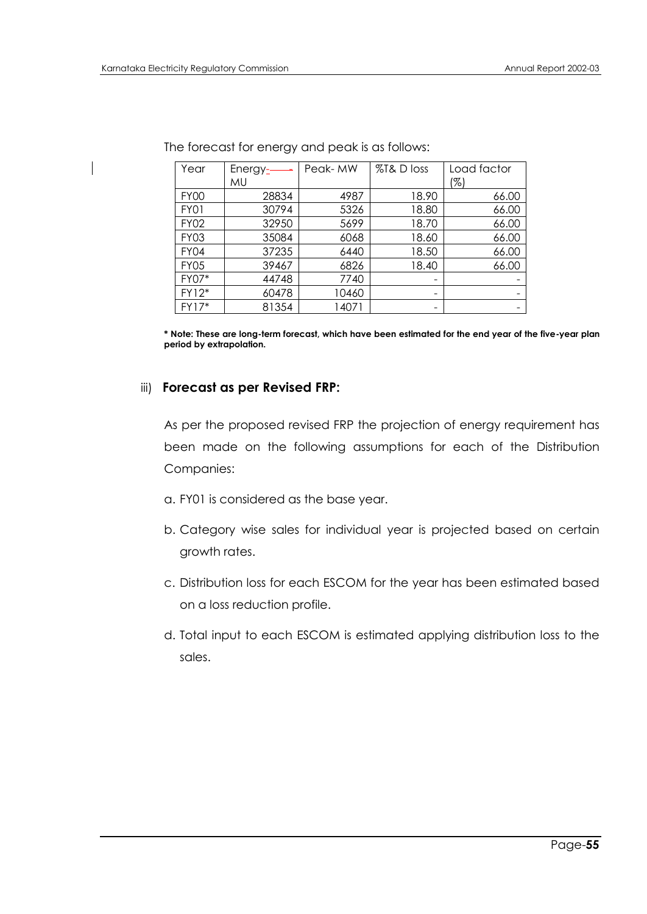| Year        | Energy $\frac{1}{2}$ | Peak- MW | %T& D loss | Load factor |
|-------------|----------------------|----------|------------|-------------|
|             | MU                   |          |            | (%)         |
| <b>FY00</b> | 28834                | 4987     | 18.90      | 66.00       |
| FY01        | 30794                | 5326     | 18.80      | 66.00       |
| <b>FY02</b> | 32950                | 5699     | 18.70      | 66.00       |
| FY03        | 35084                | 6068     | 18.60      | 66.00       |
| FY04        | 37235                | 6440     | 18.50      | 66.00       |
| <b>FY05</b> | 39467                | 6826     | 18.40      | 66.00       |
| FY07*       | 44748                | 7740     |            |             |
| FY12*       | 60478                | 10460    | -          |             |
| FY17*       | 81354                | 14071    |            |             |

The forecast for energy and peak is as follows:

**\* Note: These are long-term forecast, which have been estimated for the end year of the five-year plan period by extrapolation.**

#### iii) **Forecast as per Revised FRP:**

As per the proposed revised FRP the projection of energy requirement has been made on the following assumptions for each of the Distribution Companies:

- a. FY01 is considered as the base year.
- b. Category wise sales for individual year is projected based on certain growth rates.
- c. Distribution loss for each ESCOM for the year has been estimated based on a loss reduction profile.
- d. Total input to each ESCOM is estimated applying distribution loss to the sales.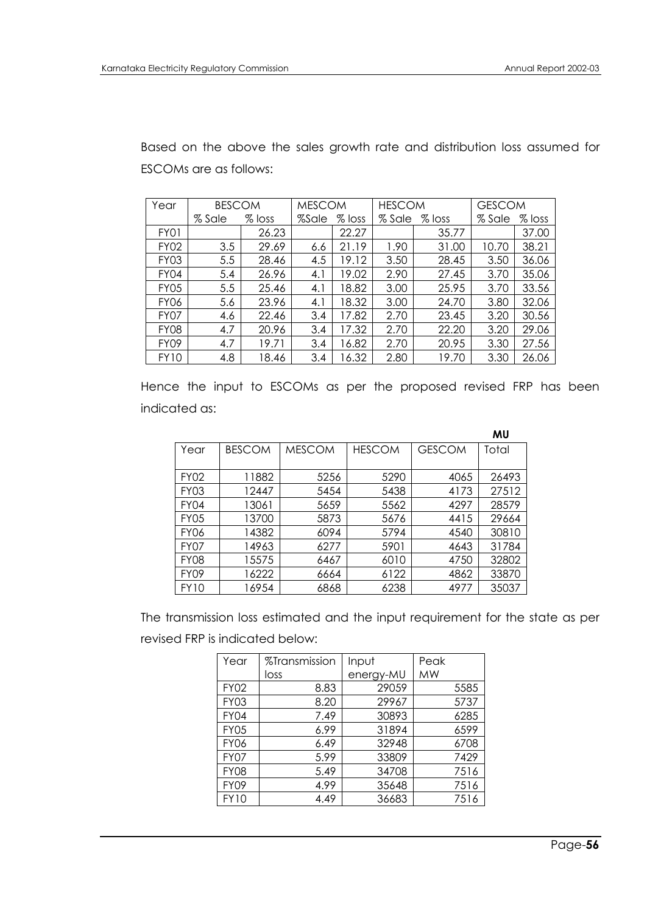Based on the above the sales growth rate and distribution loss assumed for ESCOMs are as follows:

| Year        |        | <b>BESCOM</b> |       | <b>MESCOM</b> |        | <b>HESCOM</b> |        | <b>GESCOM</b> |
|-------------|--------|---------------|-------|---------------|--------|---------------|--------|---------------|
|             | % Sale | $%$ loss      | %Sale | $%$ loss      | % Sale | $%$ loss      | % Sale | $%$ loss      |
| FY01        |        | 26.23         |       | 22.27         |        | 35.77         |        | 37.00         |
| <b>FY02</b> | 3.5    | 29.69         | 6.6   | 21.19         | 1.90   | 31.00         | 10.70  | 38.21         |
| <b>FY03</b> | 5.5    | 28.46         | 4.5   | 19.12         | 3.50   | 28.45         | 3.50   | 36.06         |
| FY04        | 5.4    | 26.96         | 4.1   | 19.02         | 2.90   | 27.45         | 3.70   | 35.06         |
| FY05        | 5.5    | 25.46         | 4.1   | 18.82         | 3.00   | 25.95         | 3.70   | 33.56         |
| <b>FY06</b> | 5.6    | 23.96         | 4.1   | 18.32         | 3.00   | 24.70         | 3.80   | 32.06         |
| FY07        | 4.6    | 22.46         | 3.4   | 17.82         | 2.70   | 23.45         | 3.20   | 30.56         |
| <b>FY08</b> | 4.7    | 20.96         | 3.4   | 17.32         | 2.70   | 22.20         | 3.20   | 29.06         |
| FY09        | 4.7    | 19.71         | 3.4   | 16.82         | 2.70   | 20.95         | 3.30   | 27.56         |
| <b>FY10</b> | 4.8    | 18.46         | 3.4   | 16.32         | 2.80   | 19.70         | 3.30   | 26.06         |

Hence the input to ESCOMs as per the proposed revised FRP has been indicated as:

|             |               |               |               |               | MU    |
|-------------|---------------|---------------|---------------|---------------|-------|
| Year        | <b>BESCOM</b> | <b>MESCOM</b> | <b>HESCOM</b> | <b>GESCOM</b> | Total |
|             |               |               |               |               |       |
| <b>FY02</b> | 11882         | 5256          | 5290          | 4065          | 26493 |
| FY03        | 12447         | 5454          | 5438          | 4173          | 27512 |
| FY04        | 13061         | 5659          | 5562          | 4297          | 28579 |
| <b>FY05</b> | 13700         | 5873          | 5676          | 4415          | 29664 |
| <b>FY06</b> | 14382         | 6094          | 5794          | 4540          | 30810 |
| FY07        | 14963         | 6277          | 5901          | 4643          | 31784 |
| <b>FY08</b> | 15575         | 6467          | 6010          | 4750          | 32802 |
| FY09        | 16222         | 6664          | 6122          | 4862          | 33870 |
| <b>FY10</b> | 16954         | 6868          | 6238          | 4977          | 35037 |

The transmission loss estimated and the input requirement for the state as per revised FRP is indicated below:

| Year        | %Transmission | Input     | Peak |      |
|-------------|---------------|-----------|------|------|
|             | loss          | energy-MU | МW   |      |
| <b>FY02</b> | 8.83          | 29059     |      | 5585 |
| <b>FY03</b> | 8.20          | 29967     |      | 5737 |
| FY04        | 7.49          | 30893     |      | 6285 |
| <b>FY05</b> | 6.99          | 31894     |      | 6599 |
| <b>FY06</b> | 6.49          | 32948     |      | 6708 |
| <b>FY07</b> | 5.99          | 33809     |      | 7429 |
| <b>FY08</b> | 5.49          | 34708     |      | 7516 |
| <b>FY09</b> | 4.99          | 35648     |      | 7516 |
| <b>FY10</b> | 4.49          | 36683     |      | 7516 |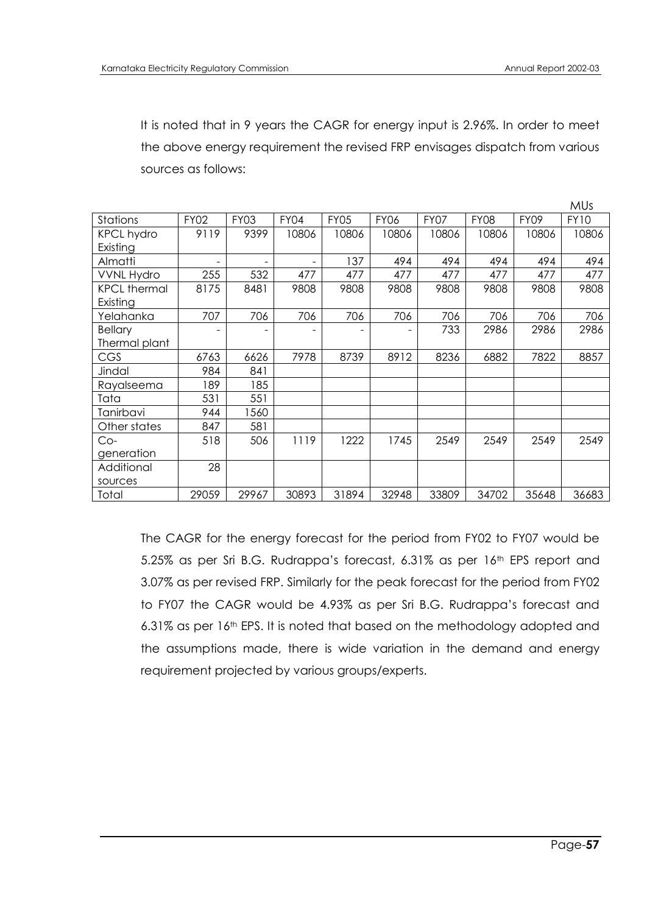It is noted that in 9 years the CAGR for energy input is 2.96%. In order to meet the above energy requirement the revised FRP envisages dispatch from various sources as follows:

|                     |             |                          |       |             |             |             |             |             | <b>MUs</b>  |
|---------------------|-------------|--------------------------|-------|-------------|-------------|-------------|-------------|-------------|-------------|
| <b>Stations</b>     | <b>FY02</b> | <b>FY03</b>              | FY04  | <b>FY05</b> | <b>FY06</b> | <b>FY07</b> | <b>FY08</b> | <b>FY09</b> | <b>FY10</b> |
| <b>KPCL hydro</b>   | 9119        | 9399                     | 10806 | 10806       | 10806       | 10806       | 10806       | 10806       | 10806       |
| Existing            |             |                          |       |             |             |             |             |             |             |
| Almatti             |             | $\overline{\phantom{a}}$ |       | 137         | 494         | 494         | 494         | 494         | 494         |
| <b>VVNL Hydro</b>   | 255         | 532                      | 477   | 477         | 477         | 477         | 477         | 477         | 477         |
| <b>KPCL thermal</b> | 8175        | 8481                     | 9808  | 9808        | 9808        | 9808        | 9808        | 9808        | 9808        |
| Existing            |             |                          |       |             |             |             |             |             |             |
| Yelahanka           | 707         | 706                      | 706   | 706         | 706         | 706         | 706         | 706         | 706         |
| <b>Bellary</b>      |             | ۰                        |       |             |             | 733         | 2986        | 2986        | 2986        |
| Thermal plant       |             |                          |       |             |             |             |             |             |             |
| CGS                 | 6763        | 6626                     | 7978  | 8739        | 8912        | 8236        | 6882        | 7822        | 8857        |
| Jindal              | 984         | 841                      |       |             |             |             |             |             |             |
| Rayalseema          | 189         | 185                      |       |             |             |             |             |             |             |
| Tata                | 531         | 551                      |       |             |             |             |             |             |             |
| Tanirbavi           | 944         | 1560                     |       |             |             |             |             |             |             |
| Other states        | 847         | 581                      |       |             |             |             |             |             |             |
| $Co-$               | 518         | 506                      | 1119  | 1222        | 1745        | 2549        | 2549        | 2549        | 2549        |
| generation          |             |                          |       |             |             |             |             |             |             |
| Additional          | 28          |                          |       |             |             |             |             |             |             |
| sources             |             |                          |       |             |             |             |             |             |             |
| Total               | 29059       | 29967                    | 30893 | 31894       | 32948       | 33809       | 34702       | 35648       | 36683       |

The CAGR for the energy forecast for the period from FY02 to FY07 would be 5.25% as per Sri B.G. Rudrappa's forecast, 6.31% as per 16<sup>th</sup> EPS report and 3.07% as per revised FRP. Similarly for the peak forecast for the period from FY02 to FY07 the CAGR would be 4.93% as per Sri B.G. Rudrappa"s forecast and 6.31% as per 16<sup>th</sup> EPS. It is noted that based on the methodology adopted and the assumptions made, there is wide variation in the demand and energy requirement projected by various groups/experts.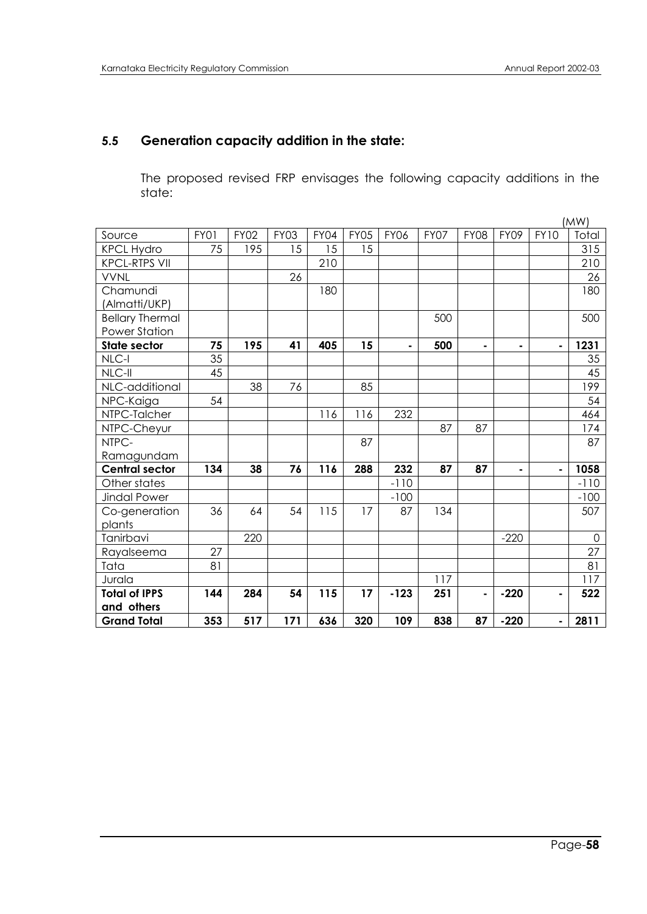# **5.5 Generation capacity addition in the state:**

The proposed revised FRP envisages the following capacity additions in the state:

|                        |      |             |             |             |             |             |      |                |                |                | (MW)        |
|------------------------|------|-------------|-------------|-------------|-------------|-------------|------|----------------|----------------|----------------|-------------|
| Source                 | FY01 | <b>FY02</b> | <b>FY03</b> | <b>FY04</b> | <b>FY05</b> | <b>FY06</b> | FY07 | <b>FY08</b>    | FY09           | <b>FY10</b>    | Total       |
| <b>KPCL Hydro</b>      | 75   | 195         | 15          | 15          | 15          |             |      |                |                |                | 315         |
| <b>KPCL-RTPS VII</b>   |      |             |             | 210         |             |             |      |                |                |                | 210         |
| <b>VVNL</b>            |      |             | 26          |             |             |             |      |                |                |                | 26          |
| Chamundi               |      |             |             | 180         |             |             |      |                |                |                | 180         |
| (Almatti/UKP)          |      |             |             |             |             |             |      |                |                |                |             |
| <b>Bellary Thermal</b> |      |             |             |             |             |             | 500  |                |                |                | 500         |
| <b>Power Station</b>   |      |             |             |             |             |             |      |                |                |                |             |
| <b>State sector</b>    | 75   | 195         | 41          | 405         | 15          | ۰           | 500  | ۰              | $\blacksquare$ | $\blacksquare$ | 1231        |
| NLC-I                  | 35   |             |             |             |             |             |      |                |                |                | 35          |
| NLC-II                 | 45   |             |             |             |             |             |      |                |                |                | 45          |
| NLC-additional         |      | 38          | 76          |             | 85          |             |      |                |                |                | 199         |
| NPC-Kaiga              | 54   |             |             |             |             |             |      |                |                |                | 54          |
| NTPC-Talcher           |      |             |             | 116         | 116         | 232         |      |                |                |                | 464         |
| NTPC-Cheyur            |      |             |             |             |             |             | 87   | 87             |                |                | 174         |
| NTPC-                  |      |             |             |             | 87          |             |      |                |                |                | 87          |
| Ramagundam             |      |             |             |             |             |             |      |                |                |                |             |
| <b>Central sector</b>  | 134  | 38          | 76          | 116         | 288         | 232         | 87   | 87             | $\blacksquare$ | $\blacksquare$ | 1058        |
| Other states           |      |             |             |             |             | $-110$      |      |                |                |                | $-110$      |
| Jindal Power           |      |             |             |             |             | $-100$      |      |                |                |                | $-100$      |
| Co-generation          | 36   | 64          | 54          | 115         | 17          | 87          | 134  |                |                |                | 507         |
| plants                 |      |             |             |             |             |             |      |                |                |                |             |
| Tanirbavi              |      | 220         |             |             |             |             |      |                | $-220$         |                | $\mathbf 0$ |
| Rayalseema             | 27   |             |             |             |             |             |      |                |                |                | 27          |
| Tata                   | 81   |             |             |             |             |             |      |                |                |                | 81          |
| Jurala                 |      |             |             |             |             |             | 117  |                |                |                | 117         |
| <b>Total of IPPS</b>   | 144  | 284         | 54          | 115         | 17          | $-123$      | 251  | $\blacksquare$ | $-220$         | $\blacksquare$ | 522         |
| and others             |      |             |             |             |             |             |      |                |                |                |             |
| <b>Grand Total</b>     | 353  | 517         | 171         | 636         | 320         | 109         | 838  | 87             | $-220$         | $\blacksquare$ | 2811        |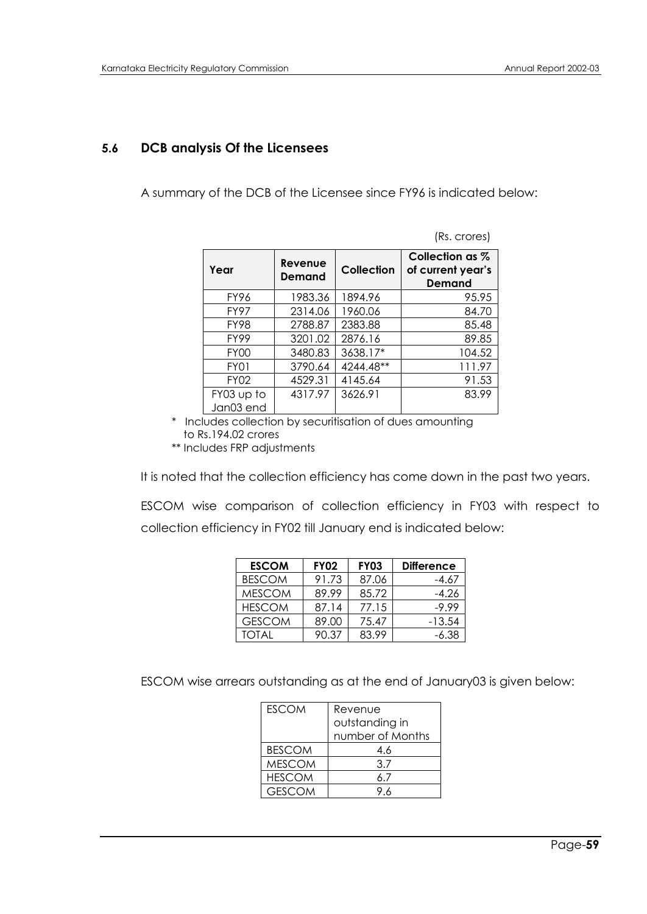(Rs. crores)

### **5.6 DCB analysis Of the Licensees**

A summary of the DCB of the Licensee since FY96 is indicated below:

| Year                    | Revenue<br>Demand | Collection | Collection as %<br>of current year's<br><b>Demand</b> |
|-------------------------|-------------------|------------|-------------------------------------------------------|
| FY96                    | 1983.36           | 1894.96    | 95.95                                                 |
| <b>FY97</b>             | 2314.06           | 1960.06    | 84.70                                                 |
| <b>FY98</b>             | 2788.87           | 2383.88    | 85.48                                                 |
| <b>FY99</b>             | 3201.02           | 2876.16    | 89.85                                                 |
| <b>FY00</b>             | 3480.83           | 3638.17*   | 104.52                                                |
| FY01                    | 3790.64           | 4244.48**  | 111.97                                                |
| <b>FY02</b>             | 4529.31           | 4145.64    | 91.53                                                 |
| FY03 up to<br>Jan03 end | 4317.97           | 3626.91    | 83.99                                                 |

 \* Includes collection by securitisation of dues amounting to Rs.194.02 crores \*\* Includes FRP adjustments

It is noted that the collection efficiency has come down in the past two years.

ESCOM wise comparison of collection efficiency in FY03 with respect to collection efficiency in FY02 till January end is indicated below:

| <b>ESCOM</b>  | <b>FY02</b> | <b>FY03</b> | <b>Difference</b> |
|---------------|-------------|-------------|-------------------|
| <b>BESCOM</b> | 91.73       | 87.06       | -4.67             |
| <b>MESCOM</b> | 89.99       | 85.72       | -4.26             |
| <b>HESCOM</b> | 87.14       | 77.15       | $-9.99$           |
| <b>GESCOM</b> | 89.00       | 75.47       | $-13.54$          |
| TOTAI         | 90.37       | 83 99       | -6.38             |

ESCOM wise arrears outstanding as at the end of January03 is given below:

| <b>ESCOM</b>  | Revenue          |
|---------------|------------------|
|               | outstanding in   |
|               | number of Months |
| <b>BESCOM</b> | 4.6              |
| <b>MESCOM</b> | 3.7              |
| <b>HESCOM</b> | 67               |
| <b>GESCOM</b> |                  |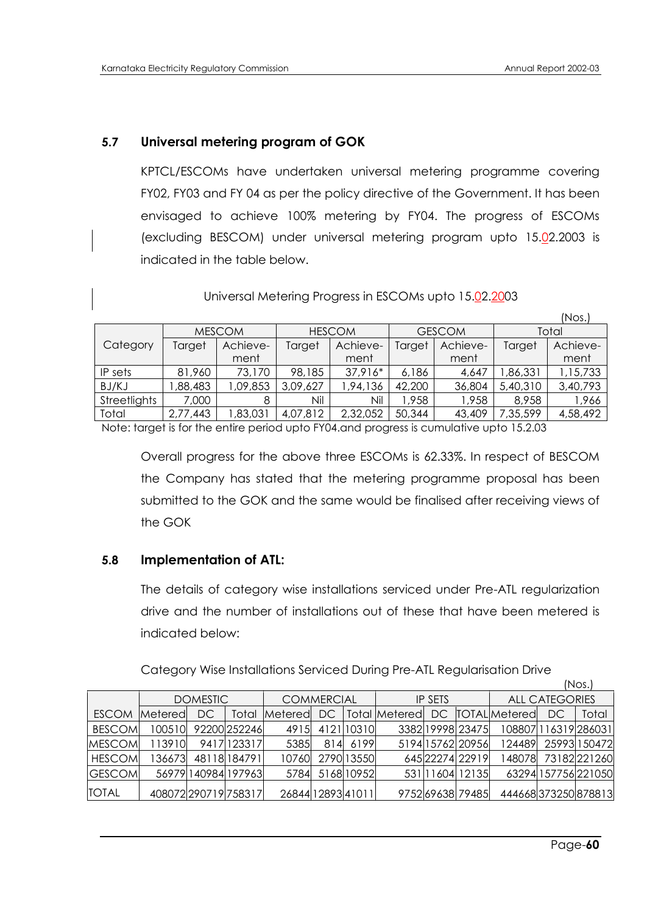### **5.7 Universal metering program of GOK**

KPTCL/ESCOMs have undertaken universal metering programme covering FY02, FY03 and FY 04 as per the policy directive of the Government. It has been envisaged to achieve 100% metering by FY04. The progress of ESCOMs (excluding BESCOM) under universal metering program upto 15.02.2003 is indicated in the table below.

Universal Metering Progress in ESCOMs upto 15.02.2003

|              |          |               |               |          |        |               |          | $($ Nos. $)$ |
|--------------|----------|---------------|---------------|----------|--------|---------------|----------|--------------|
|              |          | <b>MESCOM</b> | <b>HESCOM</b> |          |        | <b>GESCOM</b> | Total    |              |
| Category     | Target   | Achieve-      | Target        | Achieve- | Target | Achieve-      | Target   | Achieve-     |
|              |          | ment          |               | ment     |        | ment          |          | ment         |
| IP sets      | 81,960   | 73,170        | 98,185        | 37,916*  | 6,186  | 4,647         | ,86,331  | 1,15,733     |
| BJ/KJ        | ,88,483  | 1,09,853      | 3,09,627      | ,94,136  | 42,200 | 36,804        | 5,40,310 | 3,40,793     |
| Streetlights | 7,000    | 8             | Nil           | Nil      | 1,958  | 1,958         | 8,958    | 1,966        |
| Total        | 2,77,443 | ,83,031       | 4,07,812      | 2,32,052 | 50,344 | 43,409        | 7,35,599 | 4,58,492     |

Note: target is for the entire period upto FY04.and progress is cumulative upto 15.2.03

Overall progress for the above three ESCOMs is 62.33%. In respect of BESCOM the Company has stated that the metering programme proposal has been submitted to the GOK and the same would be finalised after receiving views of the GOK

#### **5.8 Implementation of ATL:**

The details of category wise installations serviced under Pre-ATL regularization drive and the number of installations out of these that have been metered is indicated below:

Category Wise Installations Serviced During Pre-ATL Regularisation Drive

|               |                        |                 |                     |                   |     |                |               |  |                       |                          |    | INUS.                |
|---------------|------------------------|-----------------|---------------------|-------------------|-----|----------------|---------------|--|-----------------------|--------------------------|----|----------------------|
|               |                        | <b>DOMESTIC</b> |                     | <b>COMMERCIAL</b> |     | <b>IP SETS</b> |               |  | <b>ALL CATEGORIES</b> |                          |    |                      |
| <b>ESCOM</b>  | <b>Metered</b>         | DC              | Total               | Metered           | DC. |                | Total Metered |  |                       | DC <b>ITOTAL</b> Metered | DC | Total                |
| <b>BESCOM</b> | 100510                 |                 | 92200 252246        | 4915I             |     | 412110310      |               |  | 3382 19998 23475      |                          |    | 108807 116319 286031 |
| <b>MESCOM</b> | 113910                 |                 | 9417 1233 17        | 5385              |     | 814 6199       |               |  | 5194 15762 20956      | 124489                   |    | 25993 150472         |
| <b>HESCOM</b> | 136673                 |                 | 48118 184791        | 10760             |     | 2790 13550     |               |  | 645 22274 22919       | 148078                   |    | 73182 221260         |
| <b>GESCOM</b> |                        |                 | 56979 140984 197963 | 5784              |     | 516810952      |               |  | 531 1604 12135        |                          |    | 63294 157756 221050  |
| <b>TOTAL</b>  | 408072 2907 19 7583 17 |                 |                     | 26844 12893 41011 |     |                |               |  | 97526963879485        |                          |    | 444668373250878813   |

 $(h \log h)$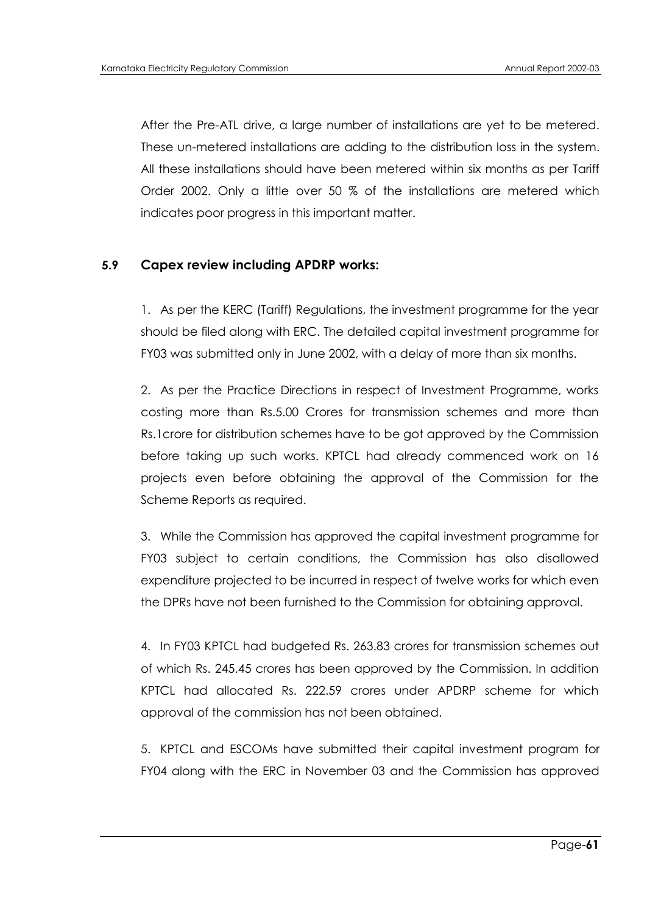After the Pre-ATL drive, a large number of installations are yet to be metered. These un-metered installations are adding to the distribution loss in the system. All these installations should have been metered within six months as per Tariff Order 2002. Only a little over 50 % of the installations are metered which indicates poor progress in this important matter.

#### **5.9 Capex review including APDRP works:**

1. As per the KERC (Tariff) Regulations, the investment programme for the year should be filed along with ERC. The detailed capital investment programme for FY03 was submitted only in June 2002, with a delay of more than six months.

2. As per the Practice Directions in respect of Investment Programme, works costing more than Rs.5.00 Crores for transmission schemes and more than Rs.1crore for distribution schemes have to be got approved by the Commission before taking up such works. KPTCL had already commenced work on 16 projects even before obtaining the approval of the Commission for the Scheme Reports as required.

3. While the Commission has approved the capital investment programme for FY03 subject to certain conditions, the Commission has also disallowed expenditure projected to be incurred in respect of twelve works for which even the DPRs have not been furnished to the Commission for obtaining approval.

4. In FY03 KPTCL had budgeted Rs. 263.83 crores for transmission schemes out of which Rs. 245.45 crores has been approved by the Commission. In addition KPTCL had allocated Rs. 222.59 crores under APDRP scheme for which approval of the commission has not been obtained.

5. KPTCL and ESCOMs have submitted their capital investment program for FY04 along with the ERC in November 03 and the Commission has approved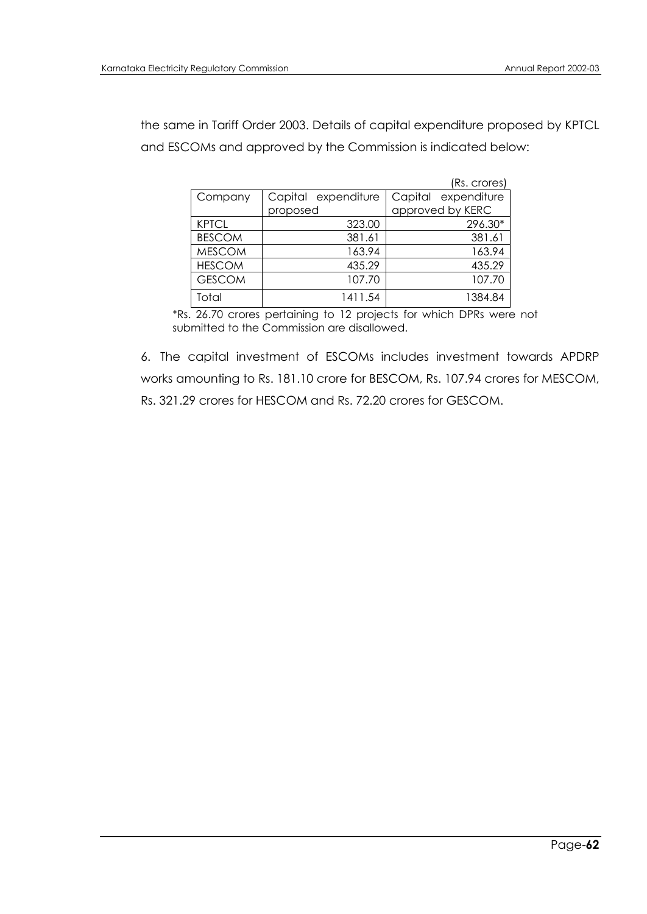the same in Tariff Order 2003. Details of capital expenditure proposed by KPTCL and ESCOMs and approved by the Commission is indicated below:

|               |                     | (Rs. crores)           |
|---------------|---------------------|------------------------|
| Company       | Capital expenditure | Capital<br>expenditure |
|               | proposed            | approved by KERC       |
| <b>KPTCL</b>  | 323.00              | 296.30*                |
| <b>BESCOM</b> | 381.61              | 381.61                 |
| <b>MESCOM</b> | 163.94              | 163.94                 |
| <b>HESCOM</b> | 435.29              | 435.29                 |
| <b>GESCOM</b> | 107.70              | 107.70                 |
| Total         | 1411.54             | 1384.84                |

\*Rs. 26.70 crores pertaining to 12 projects for which DPRs were not submitted to the Commission are disallowed.

6. The capital investment of ESCOMs includes investment towards APDRP works amounting to Rs. 181.10 crore for BESCOM, Rs. 107.94 crores for MESCOM, Rs. 321.29 crores for HESCOM and Rs. 72.20 crores for GESCOM.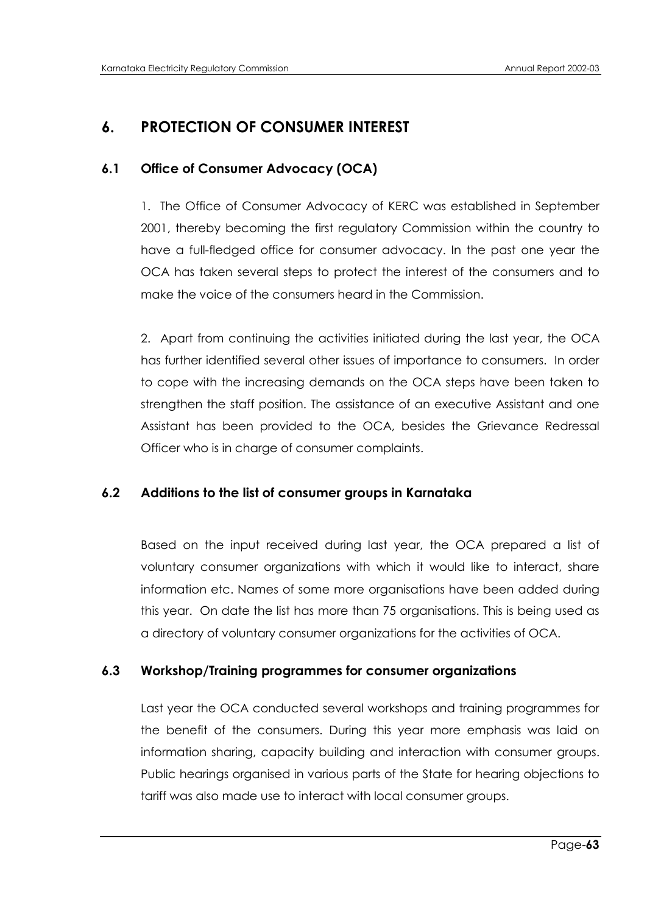# **6. PROTECTION OF CONSUMER INTEREST**

# **6.1 Office of Consumer Advocacy (OCA)**

1. The Office of Consumer Advocacy of KERC was established in September 2001, thereby becoming the first regulatory Commission within the country to have a full-fledged office for consumer advocacy. In the past one year the OCA has taken several steps to protect the interest of the consumers and to make the voice of the consumers heard in the Commission.

2. Apart from continuing the activities initiated during the last year, the OCA has further identified several other issues of importance to consumers. In order to cope with the increasing demands on the OCA steps have been taken to strengthen the staff position. The assistance of an executive Assistant and one Assistant has been provided to the OCA, besides the Grievance Redressal Officer who is in charge of consumer complaints.

# **6.2 Additions to the list of consumer groups in Karnataka**

Based on the input received during last year, the OCA prepared a list of voluntary consumer organizations with which it would like to interact, share information etc. Names of some more organisations have been added during this year. On date the list has more than 75 organisations. This is being used as a directory of voluntary consumer organizations for the activities of OCA.

# **6.3 Workshop/Training programmes for consumer organizations**

Last year the OCA conducted several workshops and training programmes for the benefit of the consumers. During this year more emphasis was laid on information sharing, capacity building and interaction with consumer groups. Public hearings organised in various parts of the State for hearing objections to tariff was also made use to interact with local consumer groups.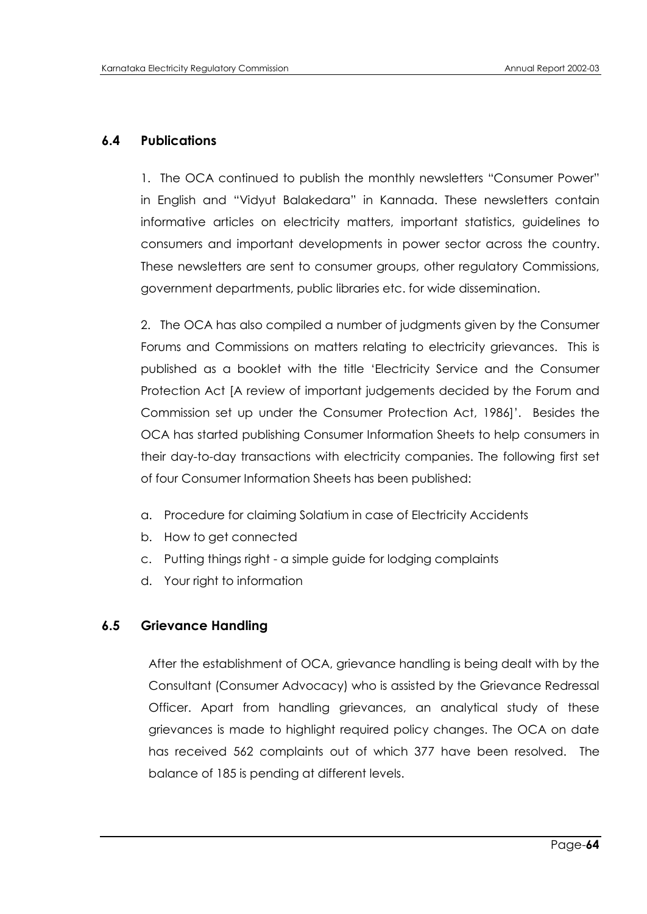# **6.4 Publications**

1. The OCA continued to publish the monthly newsletters "Consumer Power" in English and "Vidyut Balakedara" in Kannada. These newsletters contain informative articles on electricity matters, important statistics, guidelines to consumers and important developments in power sector across the country. These newsletters are sent to consumer groups, other regulatory Commissions, government departments, public libraries etc. for wide dissemination.

2. The OCA has also compiled a number of judgments given by the Consumer Forums and Commissions on matters relating to electricity grievances. This is published as a booklet with the title "Electricity Service and the Consumer Protection Act [A review of important judgements decided by the Forum and Commission set up under the Consumer Protection Act, 1986]". Besides the OCA has started publishing Consumer Information Sheets to help consumers in their day-to-day transactions with electricity companies. The following first set of four Consumer Information Sheets has been published:

- a. Procedure for claiming Solatium in case of Electricity Accidents
- b. How to get connected
- c. Putting things right a simple guide for lodging complaints
- d. Your right to information

#### **6.5 Grievance Handling**

After the establishment of OCA, grievance handling is being dealt with by the Consultant (Consumer Advocacy) who is assisted by the Grievance Redressal Officer. Apart from handling grievances, an analytical study of these grievances is made to highlight required policy changes. The OCA on date has received 562 complaints out of which 377 have been resolved. The balance of 185 is pending at different levels.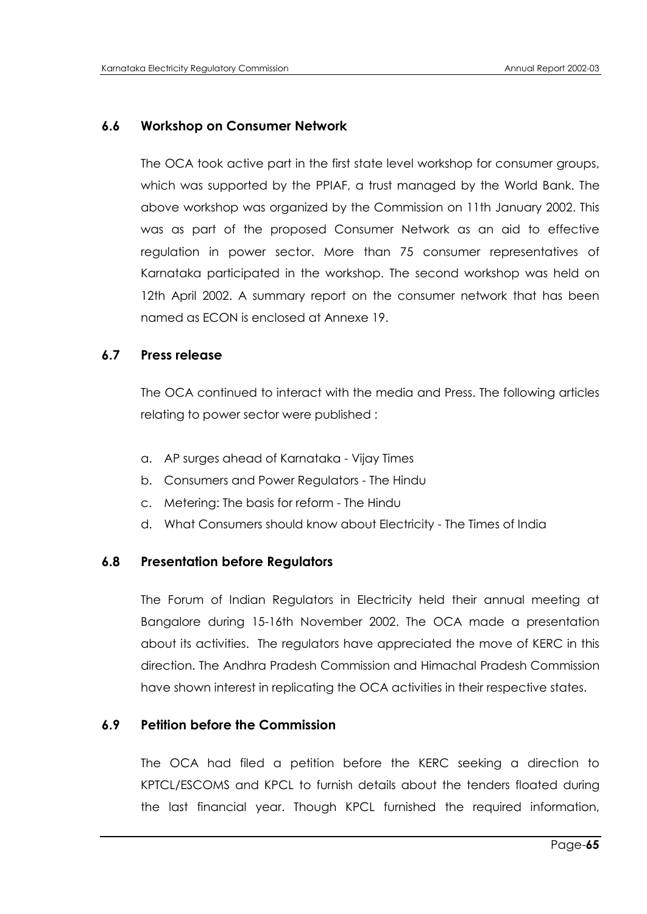#### **6.6 Workshop on Consumer Network**

The OCA took active part in the first state level workshop for consumer groups, which was supported by the PPIAF, a trust managed by the World Bank. The above workshop was organized by the Commission on 11th January 2002. This was as part of the proposed Consumer Network as an aid to effective regulation in power sector. More than 75 consumer representatives of Karnataka participated in the workshop. The second workshop was held on 12th April 2002. A summary report on the consumer network that has been named as ECON is enclosed at Annexe 19.

#### **6.7 Press release**

The OCA continued to interact with the media and Press. The following articles relating to power sector were published :

- a. AP surges ahead of Karnataka Vijay Times
- b. Consumers and Power Regulators The Hindu
- c. Metering: The basis for reform The Hindu
- d. What Consumers should know about Electricity The Times of India

#### **6.8 Presentation before Regulators**

The Forum of Indian Regulators in Electricity held their annual meeting at Bangalore during 15-16th November 2002. The OCA made a presentation about its activities. The regulators have appreciated the move of KERC in this direction. The Andhra Pradesh Commission and Himachal Pradesh Commission have shown interest in replicating the OCA activities in their respective states.

# **6.9 Petition before the Commission**

The OCA had filed a petition before the KERC seeking a direction to KPTCL/ESCOMS and KPCL to furnish details about the tenders floated during the last financial year. Though KPCL furnished the required information,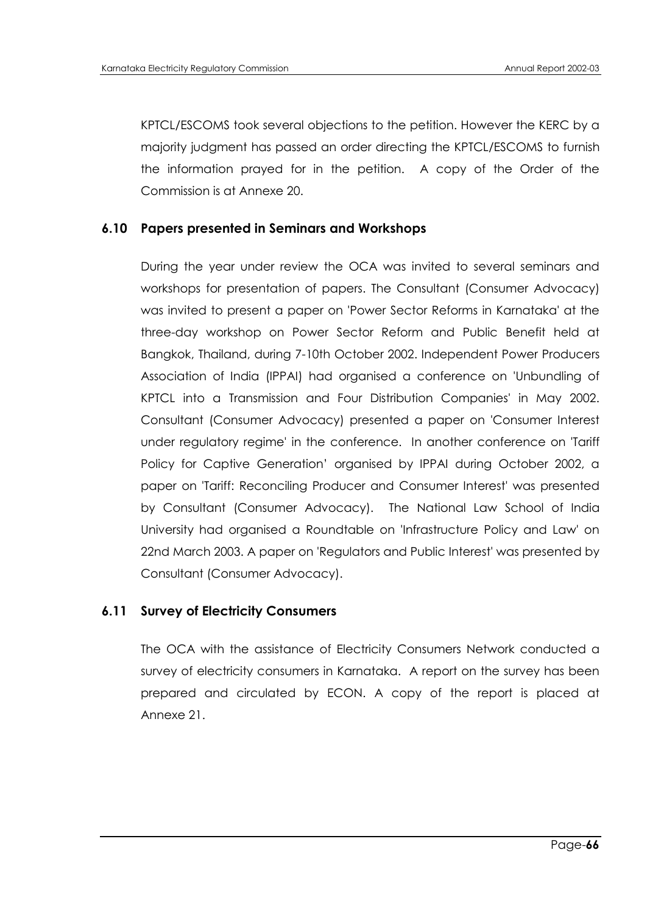KPTCL/ESCOMS took several objections to the petition. However the KERC by a majority judgment has passed an order directing the KPTCL/ESCOMS to furnish the information prayed for in the petition. A copy of the Order of the Commission is at Annexe 20.

# **6.10 Papers presented in Seminars and Workshops**

During the year under review the OCA was invited to several seminars and workshops for presentation of papers. The Consultant (Consumer Advocacy) was invited to present a paper on 'Power Sector Reforms in Karnataka' at the three-day workshop on Power Sector Reform and Public Benefit held at Bangkok, Thailand, during 7-10th October 2002. Independent Power Producers Association of India (IPPAI) had organised a conference on 'Unbundling of KPTCL into a Transmission and Four Distribution Companies' in May 2002. Consultant (Consumer Advocacy) presented a paper on 'Consumer Interest under regulatory regime' in the conference. In another conference on 'Tariff Policy for Captive Generation" organised by IPPAI during October 2002, a paper on 'Tariff: Reconciling Producer and Consumer Interest' was presented by Consultant (Consumer Advocacy). The National Law School of India University had organised a Roundtable on 'Infrastructure Policy and Law' on 22nd March 2003. A paper on 'Regulators and Public Interest' was presented by Consultant (Consumer Advocacy).

# **6.11 Survey of Electricity Consumers**

The OCA with the assistance of Electricity Consumers Network conducted a survey of electricity consumers in Karnataka. A report on the survey has been prepared and circulated by ECON. A copy of the report is placed at Annexe 21.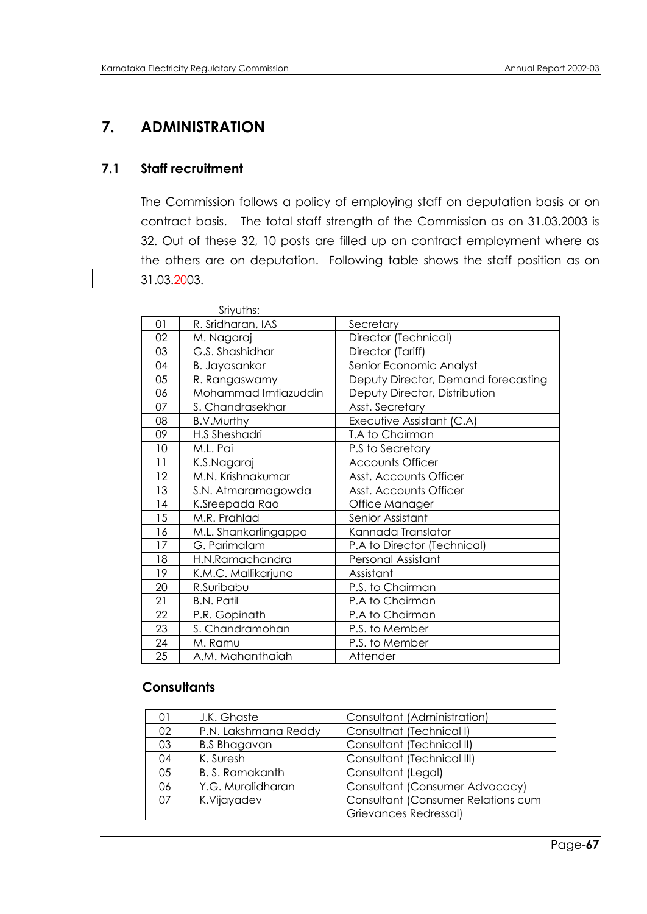# **7. ADMINISTRATION**

# **7.1 Staff recruitment**

The Commission follows a policy of employing staff on deputation basis or on contract basis. The total staff strength of the Commission as on 31.03.2003 is 32. Out of these 32, 10 posts are filled up on contract employment where as the others are on deputation. Following table shows the staff position as on 31.03.2003.

|    | Sriyuths:            |                                     |
|----|----------------------|-------------------------------------|
| 01 | R. Sridharan, IAS    | Secretary                           |
| 02 | M. Nagaraj           | Director (Technical)                |
| 03 | G.S. Shashidhar      | Director (Tariff)                   |
| 04 | B. Jayasankar        | Senior Economic Analyst             |
| 05 | R. Rangaswamy        | Deputy Director, Demand forecasting |
| 06 | Mohammad Imtiazuddin | Deputy Director, Distribution       |
| 07 | S. Chandrasekhar     | Asst. Secretary                     |
| 08 | B.V.Murthy           | Executive Assistant (C.A)           |
| 09 | H.S Sheshadri        | T.A to Chairman                     |
| 10 | M.L. Pai             | P.S to Secretary                    |
| 11 | K.S.Nagaraj          | <b>Accounts Officer</b>             |
| 12 | M.N. Krishnakumar    | Asst, Accounts Officer              |
| 13 | S.N. Atmaramagowda   | Asst. Accounts Officer              |
| 14 | K.Sreepada Rao       | Office Manager                      |
| 15 | M.R. Prahlad         | Senior Assistant                    |
| 16 | M.L. Shankarlingappa | Kannada Translator                  |
| 17 | G. Parimalam         | P.A to Director (Technical)         |
| 18 | H.N.Ramachandra      | <b>Personal Assistant</b>           |
| 19 | K.M.C. Mallikarjuna  | Assistant                           |
| 20 | R.Suribabu           | P.S. to Chairman                    |
| 21 | <b>B.N. Patil</b>    | P.A to Chairman                     |
| 22 | P.R. Gopinath        | P.A to Chairman                     |
| 23 | S. Chandramohan      | P.S. to Member                      |
| 24 | M. Ramu              | P.S. to Member                      |
| 25 | A.M. Mahanthaiah     | Attender                            |

# **Consultants**

|    | J.K. Ghaste           | Consultant (Administration)        |
|----|-----------------------|------------------------------------|
| 02 | P.N. Lakshmana Reddy  | Consultnat (Technical I)           |
| 03 | <b>B.S Bhagavan</b>   | Consultant (Technical II)          |
| 04 | K. Suresh             | Consultant (Technical III)         |
| 05 | <b>B.S. Ramakanth</b> | Consultant (Legal)                 |
| 06 | Y.G. Muralidharan     | Consultant (Consumer Advocacy)     |
| 07 | K.Vijayadev           | Consultant (Consumer Relations cum |
|    |                       | Grievances Redressal)              |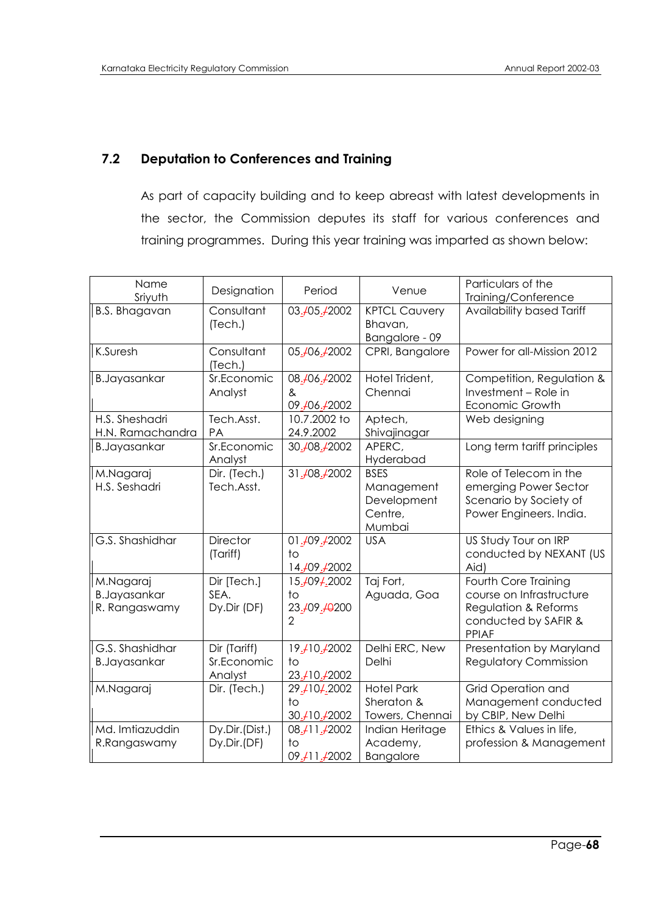# **7.2 Deputation to Conferences and Training**

As part of capacity building and to keep abreast with latest developments in the sector, the Commission deputes its staff for various conferences and training programmes. During this year training was imparted as shown below:

| Name<br>Sriyuth                                   | Designation                            | Period                                               | Venue                                                         | Particulars of the<br>Training/Conference                                                                        |
|---------------------------------------------------|----------------------------------------|------------------------------------------------------|---------------------------------------------------------------|------------------------------------------------------------------------------------------------------------------|
| <b>B.S. Bhagavan</b>                              | Consultant<br>(Tech.)                  | 03.405.42002                                         | <b>KPTCL Cauvery</b><br>Bhavan,<br>Bangalore - 09             | Availability based Tariff                                                                                        |
| K.Suresh                                          | Consultant<br>(Tech.)                  | 05.406.42002                                         | CPRI, Bangalore                                               | Power for all-Mission 2012                                                                                       |
| <b>B.Jayasankar</b>                               | Sr.Economic<br>Analyst                 | 08.406.42002<br>&<br>09.406.42002                    | Hotel Trident,<br>Chennai                                     | Competition, Regulation &<br>Investment - Role in<br>Economic Growth                                             |
| H.S. Sheshadri<br>H.N. Ramachandra                | Tech.Asst.<br>PA                       | 10.7.2002 to<br>24.9.2002                            | Aptech,<br>Shivajinagar                                       | Web designing                                                                                                    |
| <b>B.Jayasankar</b>                               | Sr.Economic<br>Analyst                 | 30.408.42002                                         | APERC,<br>Hyderabad                                           | Long term tariff principles                                                                                      |
| M.Nagaraj<br>H.S. Seshadri                        | Dir. (Tech.)<br>Tech.Asst.             | 31.408.42002                                         | <b>BSES</b><br>Management<br>Development<br>Centre,<br>Mumbai | Role of Telecom in the<br>emerging Power Sector<br>Scenario by Society of<br>Power Engineers. India.             |
| G.S. Shashidhar                                   | <b>Director</b><br>(Tariff)            | 01.409.42002<br>to<br>14.409.42002                   | <b>USA</b>                                                    | US Study Tour on IRP<br>conducted by NEXANT (US<br>Aid)                                                          |
| M.Nagaraj<br><b>B.Jayasankar</b><br>R. Rangaswamy | Dir [Tech.]<br>SEA.<br>Dy.Dir (DF)     | 15.4094.2002<br>to<br>23.409.40200<br>$\overline{2}$ | Taj Fort,<br>Aguada, Goa                                      | Fourth Core Training<br>course on Infrastructure<br>Regulation & Reforms<br>conducted by SAFIR &<br><b>PPIAF</b> |
| G.S. Shashidhar<br><b>B.Jayasankar</b>            | Dir (Tariff)<br>Sr.Economic<br>Analyst | 19.410.42002<br>to<br>23.410.42002                   | Delhi ERC, New<br>Delhi                                       | Presentation by Maryland<br><b>Regulatory Commission</b>                                                         |
| M.Nagaraj                                         | Dir. (Tech.)                           | 29.4104.2002<br>to<br>30.410.42002                   | <b>Hotel Park</b><br>Sheraton &<br>Towers, Chennai            | Grid Operation and<br>Management conducted<br>by CBIP, New Delhi                                                 |
| Md. Imtiazuddin<br>R.Rangaswamy                   | Dy.Dir.(Dist.)<br>Dy.Dir.(DF)          | 08.411.42002<br>to<br>09.411.42002                   | Indian Heritage<br>Academy,<br>Bangalore                      | Ethics & Values in life,<br>profession & Management                                                              |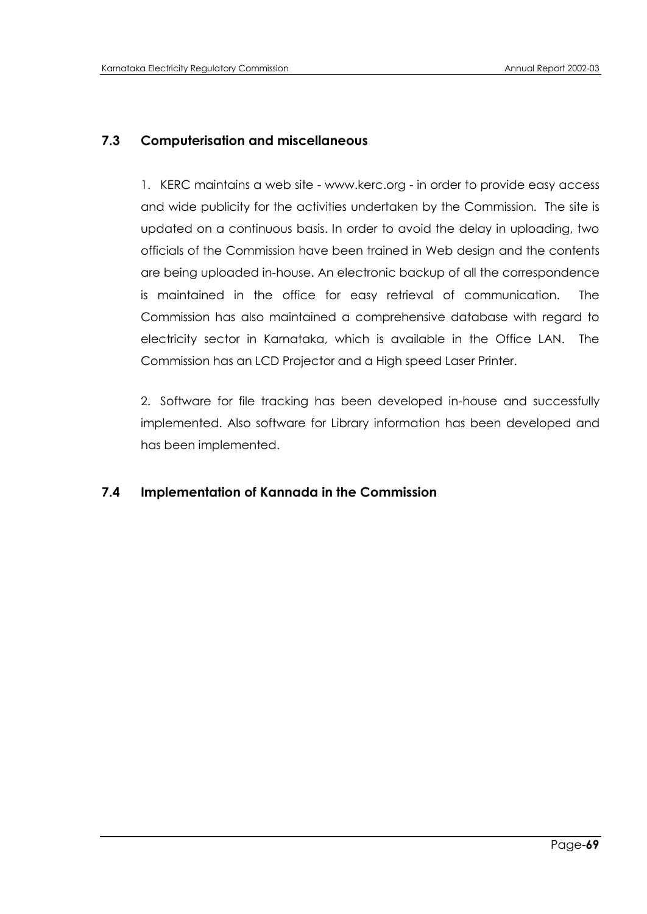# **7.3 Computerisation and miscellaneous**

1. KERC maintains a web site - www.kerc.org - in order to provide easy access and wide publicity for the activities undertaken by the Commission. The site is updated on a continuous basis. In order to avoid the delay in uploading, two officials of the Commission have been trained in Web design and the contents are being uploaded in-house. An electronic backup of all the correspondence is maintained in the office for easy retrieval of communication. The Commission has also maintained a comprehensive database with regard to electricity sector in Karnataka, which is available in the Office LAN. The Commission has an LCD Projector and a High speed Laser Printer.

2. Software for file tracking has been developed in-house and successfully implemented. Also software for Library information has been developed and has been implemented.

# **7.4 Implementation of Kannada in the Commission**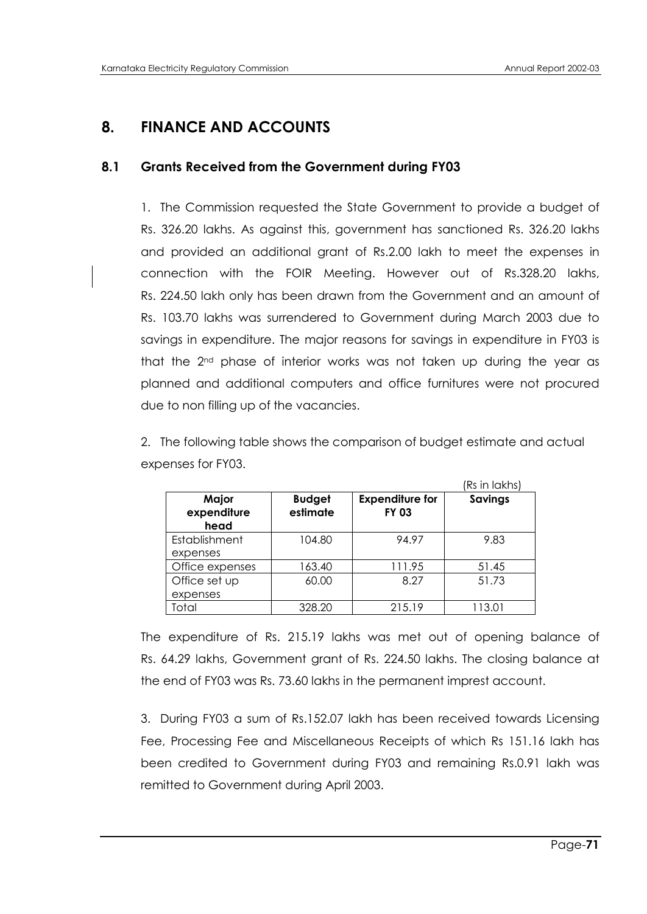# **8. FINANCE AND ACCOUNTS**

# **8.1 Grants Received from the Government during FY03**

1. The Commission requested the State Government to provide a budget of Rs. 326.20 lakhs. As against this, government has sanctioned Rs. 326.20 lakhs and provided an additional grant of Rs.2.00 lakh to meet the expenses in connection with the FOIR Meeting. However out of Rs.328.20 lakhs, Rs. 224.50 lakh only has been drawn from the Government and an amount of Rs. 103.70 lakhs was surrendered to Government during March 2003 due to savings in expenditure. The major reasons for savings in expenditure in FY03 is that the 2nd phase of interior works was not taken up during the year as planned and additional computers and office furnitures were not procured due to non filling up of the vacancies.

| 2. The following table shows the comparison of budget estimate and actual |
|---------------------------------------------------------------------------|
| expenses for FY03.                                                        |

|                              |                           |                                        | (Rs in lakhs) |
|------------------------------|---------------------------|----------------------------------------|---------------|
| Major<br>expenditure<br>head | <b>Budget</b><br>estimate | <b>Expenditure for</b><br><b>FY 03</b> | Savings       |
| Establishment<br>expenses    | 104.80                    | 94.97                                  | 9.83          |
| Office expenses              | 163.40                    | 111.95                                 | 51.45         |
| Office set up<br>expenses    | 60.00                     | 8.27                                   | 51.73         |
| Total                        | 328.20                    | 215.19                                 | 113.01        |

The expenditure of Rs. 215.19 lakhs was met out of opening balance of Rs. 64.29 lakhs, Government grant of Rs. 224.50 lakhs. The closing balance at the end of FY03 was Rs. 73.60 lakhs in the permanent imprest account.

3. During FY03 a sum of Rs.152.07 lakh has been received towards Licensing Fee, Processing Fee and Miscellaneous Receipts of which Rs 151.16 lakh has been credited to Government during FY03 and remaining Rs.0.91 lakh was remitted to Government during April 2003.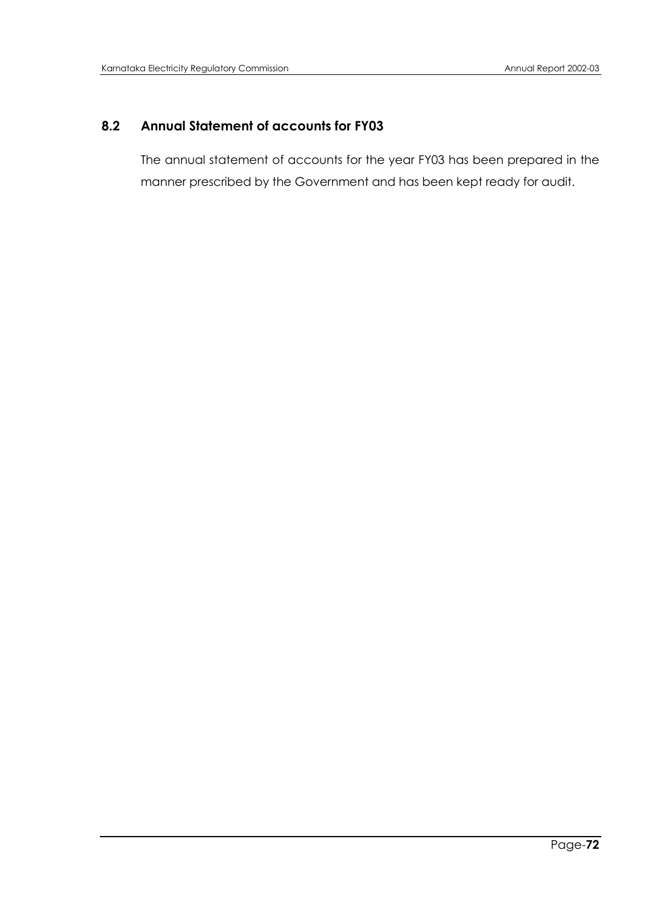# **8.2 Annual Statement of accounts for FY03**

The annual statement of accounts for the year FY03 has been prepared in the manner prescribed by the Government and has been kept ready for audit.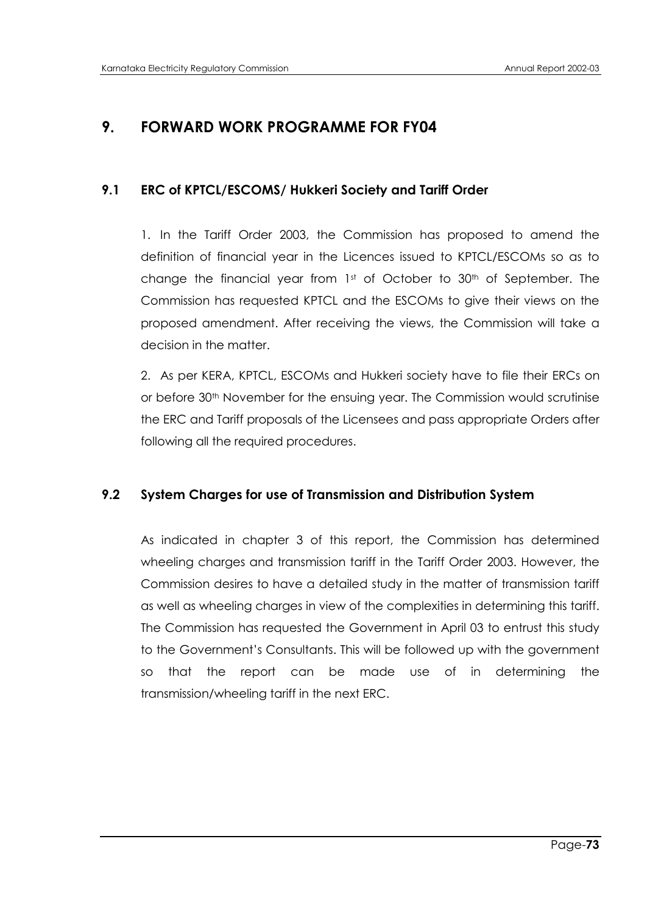# **9. FORWARD WORK PROGRAMME FOR FY04**

# **9.1 ERC of KPTCL/ESCOMS/ Hukkeri Society and Tariff Order**

1. In the Tariff Order 2003, the Commission has proposed to amend the definition of financial year in the Licences issued to KPTCL/ESCOMs so as to change the financial year from 1st of October to 30th of September. The Commission has requested KPTCL and the ESCOMs to give their views on the proposed amendment. After receiving the views, the Commission will take a decision in the matter.

2. As per KERA, KPTCL, ESCOMs and Hukkeri society have to file their ERCs on or before 30th November for the ensuing year. The Commission would scrutinise the ERC and Tariff proposals of the Licensees and pass appropriate Orders after following all the required procedures.

### **9.2 System Charges for use of Transmission and Distribution System**

As indicated in chapter 3 of this report, the Commission has determined wheeling charges and transmission tariff in the Tariff Order 2003. However, the Commission desires to have a detailed study in the matter of transmission tariff as well as wheeling charges in view of the complexities in determining this tariff. The Commission has requested the Government in April 03 to entrust this study to the Government"s Consultants. This will be followed up with the government so that the report can be made use of in determining the transmission/wheeling tariff in the next ERC.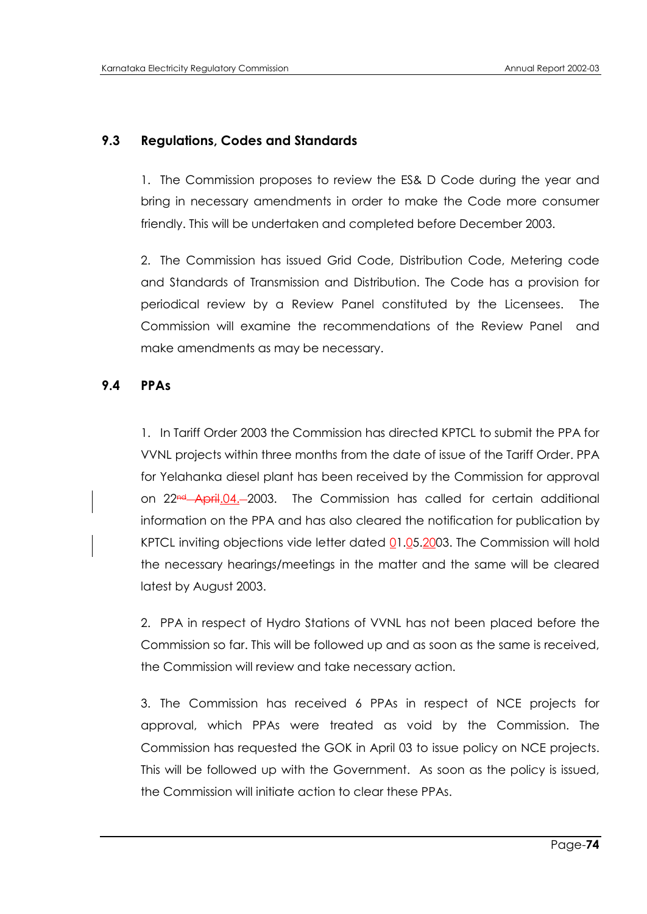# **9.3 Regulations, Codes and Standards**

1. The Commission proposes to review the ES& D Code during the year and bring in necessary amendments in order to make the Code more consumer friendly. This will be undertaken and completed before December 2003.

2. The Commission has issued Grid Code, Distribution Code, Metering code and Standards of Transmission and Distribution. The Code has a provision for periodical review by a Review Panel constituted by the Licensees. The Commission will examine the recommendations of the Review Panel and make amendments as may be necessary.

## **9.4 PPAs**

1. In Tariff Order 2003 the Commission has directed KPTCL to submit the PPA for VVNL projects within three months from the date of issue of the Tariff Order. PPA for Yelahanka diesel plant has been received by the Commission for approval on  $22<sup>nd</sup>$  April.04. -2003. The Commission has called for certain additional information on the PPA and has also cleared the notification for publication by KPTCL inviting objections vide letter dated 01.05.2003. The Commission will hold the necessary hearings/meetings in the matter and the same will be cleared latest by August 2003.

2. PPA in respect of Hydro Stations of VVNL has not been placed before the Commission so far. This will be followed up and as soon as the same is received, the Commission will review and take necessary action.

3. The Commission has received 6 PPAs in respect of NCE projects for approval, which PPAs were treated as void by the Commission. The Commission has requested the GOK in April 03 to issue policy on NCE projects. This will be followed up with the Government. As soon as the policy is issued, the Commission will initiate action to clear these PPAs.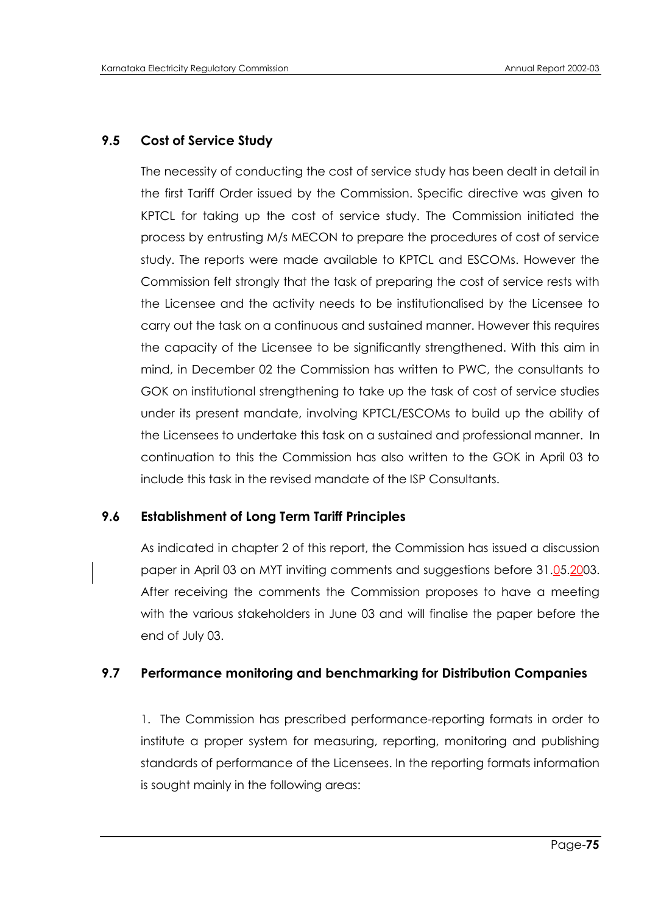# **9.5 Cost of Service Study**

The necessity of conducting the cost of service study has been dealt in detail in the first Tariff Order issued by the Commission. Specific directive was given to KPTCL for taking up the cost of service study. The Commission initiated the process by entrusting M/s MECON to prepare the procedures of cost of service study. The reports were made available to KPTCL and ESCOMs. However the Commission felt strongly that the task of preparing the cost of service rests with the Licensee and the activity needs to be institutionalised by the Licensee to carry out the task on a continuous and sustained manner. However this requires the capacity of the Licensee to be significantly strengthened. With this aim in mind, in December 02 the Commission has written to PWC, the consultants to GOK on institutional strengthening to take up the task of cost of service studies under its present mandate, involving KPTCL/ESCOMs to build up the ability of the Licensees to undertake this task on a sustained and professional manner. In continuation to this the Commission has also written to the GOK in April 03 to include this task in the revised mandate of the ISP Consultants.

# **9.6 Establishment of Long Term Tariff Principles**

As indicated in chapter 2 of this report, the Commission has issued a discussion paper in April 03 on MYT inviting comments and suggestions before 31.05.2003. After receiving the comments the Commission proposes to have a meeting with the various stakeholders in June 03 and will finalise the paper before the end of July 03.

# **9.7 Performance monitoring and benchmarking for Distribution Companies**

1. The Commission has prescribed performance-reporting formats in order to institute a proper system for measuring, reporting, monitoring and publishing standards of performance of the Licensees. In the reporting formats information is sought mainly in the following areas: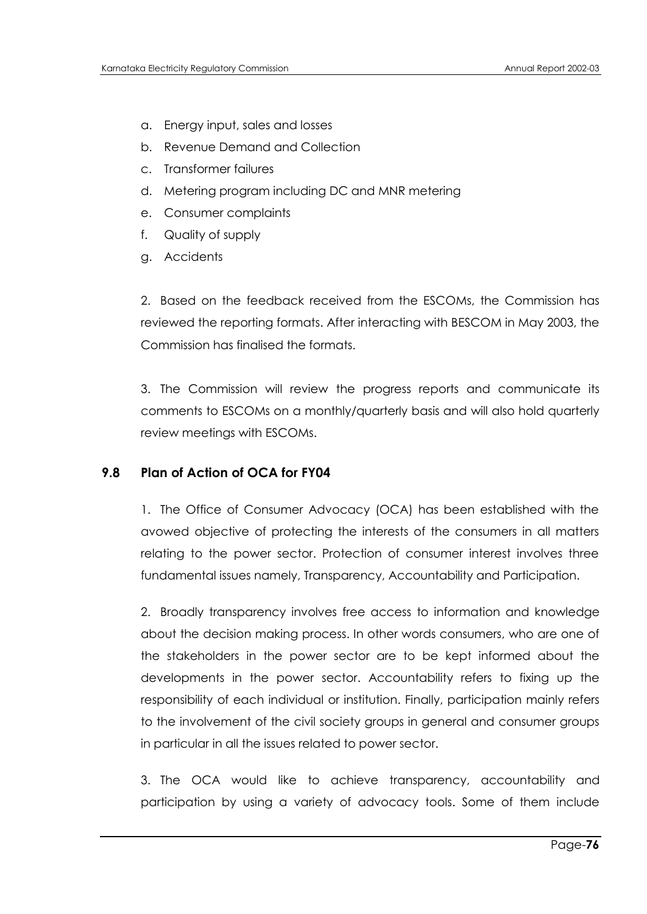- a. Energy input, sales and losses
- b. Revenue Demand and Collection
- c. Transformer failures
- d. Metering program including DC and MNR metering
- e. Consumer complaints
- f. Quality of supply
- g. Accidents

2. Based on the feedback received from the ESCOMs, the Commission has reviewed the reporting formats. After interacting with BESCOM in May 2003, the Commission has finalised the formats.

3. The Commission will review the progress reports and communicate its comments to ESCOMs on a monthly/quarterly basis and will also hold quarterly review meetings with ESCOMs.

### **9.8 Plan of Action of OCA for FY04**

1. The Office of Consumer Advocacy (OCA) has been established with the avowed objective of protecting the interests of the consumers in all matters relating to the power sector. Protection of consumer interest involves three fundamental issues namely, Transparency, Accountability and Participation.

2. Broadly transparency involves free access to information and knowledge about the decision making process. In other words consumers, who are one of the stakeholders in the power sector are to be kept informed about the developments in the power sector. Accountability refers to fixing up the responsibility of each individual or institution. Finally, participation mainly refers to the involvement of the civil society groups in general and consumer groups in particular in all the issues related to power sector.

3. The OCA would like to achieve transparency, accountability and participation by using a variety of advocacy tools. Some of them include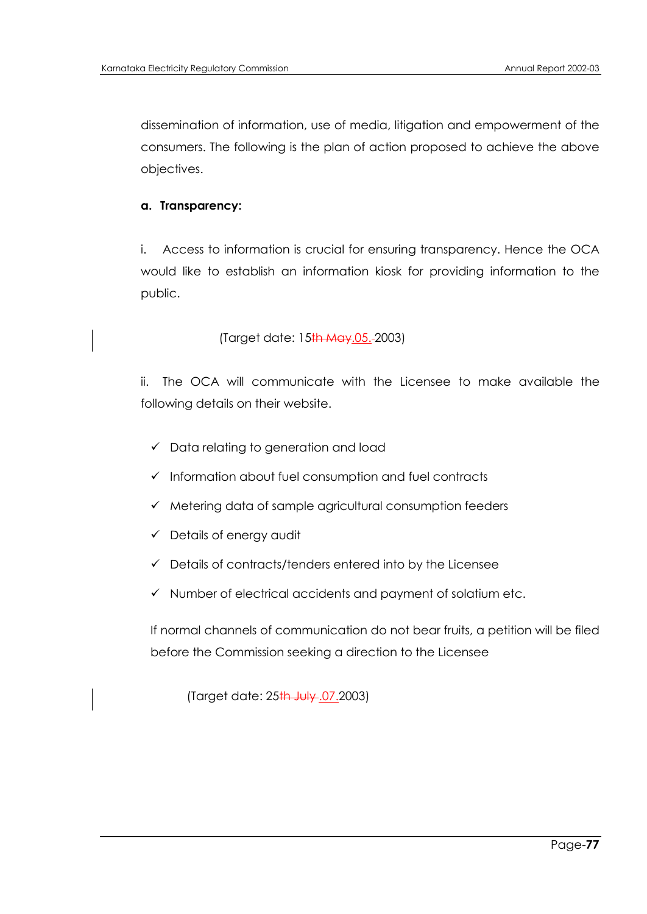dissemination of information, use of media, litigation and empowerment of the consumers. The following is the plan of action proposed to achieve the above objectives.

### **a. Transparency:**

i. Access to information is crucial for ensuring transparency. Hence the OCA would like to establish an information kiosk for providing information to the public.

```
(Target date: 15th May.05. 2003)
```
ii. The OCA will communicate with the Licensee to make available the following details on their website.

- $\checkmark$  Data relating to generation and load
- $\checkmark$  Information about fuel consumption and fuel contracts
- $\checkmark$  Metering data of sample agricultural consumption feeders
- $\checkmark$  Details of energy audit
- $\checkmark$  Details of contracts/tenders entered into by the Licensee
- $\checkmark$  Number of electrical accidents and payment of solatium etc.

If normal channels of communication do not bear fruits, a petition will be filed before the Commission seeking a direction to the Licensee

(Target date: 25th July .07.2003)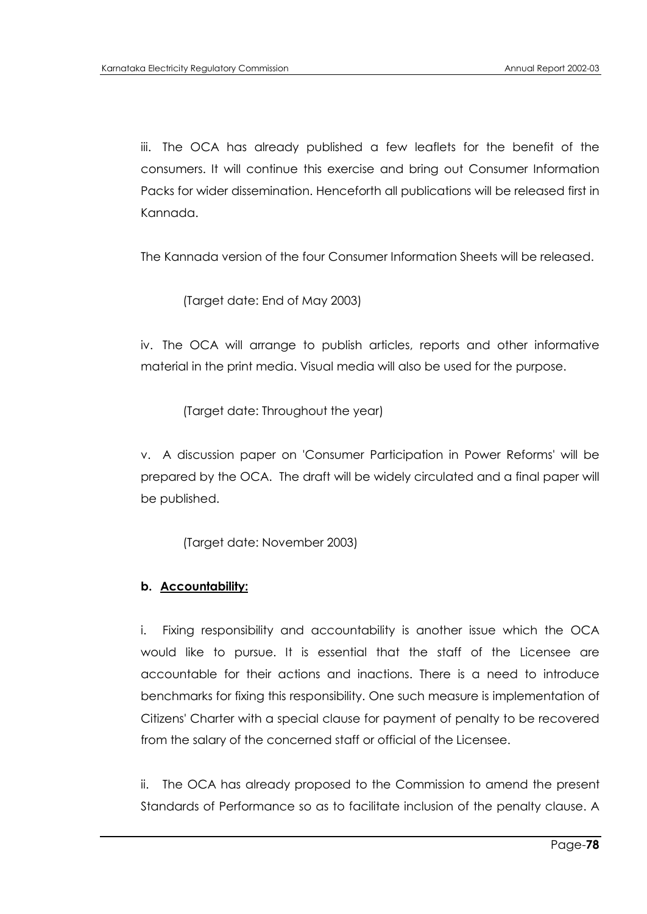iii. The OCA has already published a few leaflets for the benefit of the consumers. It will continue this exercise and bring out Consumer Information Packs for wider dissemination. Henceforth all publications will be released first in Kannada.

The Kannada version of the four Consumer Information Sheets will be released.

(Target date: End of May 2003)

iv. The OCA will arrange to publish articles, reports and other informative material in the print media. Visual media will also be used for the purpose.

(Target date: Throughout the year)

v. A discussion paper on 'Consumer Participation in Power Reforms' will be prepared by the OCA. The draft will be widely circulated and a final paper will be published.

(Target date: November 2003)

#### **b. Accountability:**

i. Fixing responsibility and accountability is another issue which the OCA would like to pursue. It is essential that the staff of the Licensee are accountable for their actions and inactions. There is a need to introduce benchmarks for fixing this responsibility. One such measure is implementation of Citizens' Charter with a special clause for payment of penalty to be recovered from the salary of the concerned staff or official of the Licensee.

ii. The OCA has already proposed to the Commission to amend the present Standards of Performance so as to facilitate inclusion of the penalty clause. A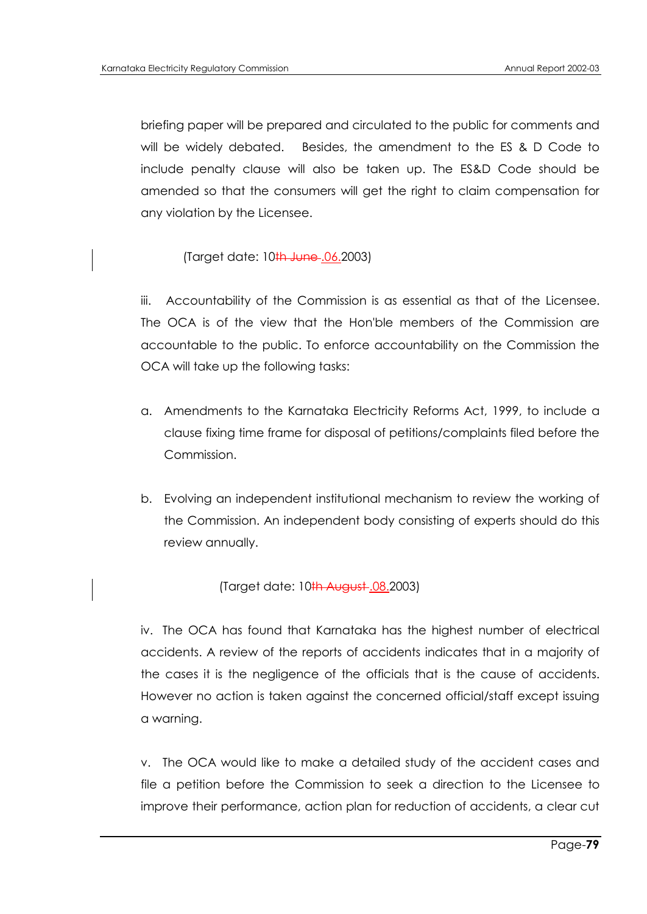briefing paper will be prepared and circulated to the public for comments and will be widely debated. Besides, the amendment to the ES & D Code to include penalty clause will also be taken up. The ES&D Code should be amended so that the consumers will get the right to claim compensation for any violation by the Licensee.

### (Target date: 10th June .06.2003)

iii. Accountability of the Commission is as essential as that of the Licensee. The OCA is of the view that the Hon'ble members of the Commission are accountable to the public. To enforce accountability on the Commission the OCA will take up the following tasks:

- a. Amendments to the Karnataka Electricity Reforms Act, 1999, to include a clause fixing time frame for disposal of petitions/complaints filed before the Commission.
- b. Evolving an independent institutional mechanism to review the working of the Commission. An independent body consisting of experts should do this review annually.

#### (Target date: 10<sup>th</sup> August .08.2003)

iv. The OCA has found that Karnataka has the highest number of electrical accidents. A review of the reports of accidents indicates that in a majority of the cases it is the negligence of the officials that is the cause of accidents. However no action is taken against the concerned official/staff except issuing a warning.

v. The OCA would like to make a detailed study of the accident cases and file a petition before the Commission to seek a direction to the Licensee to improve their performance, action plan for reduction of accidents, a clear cut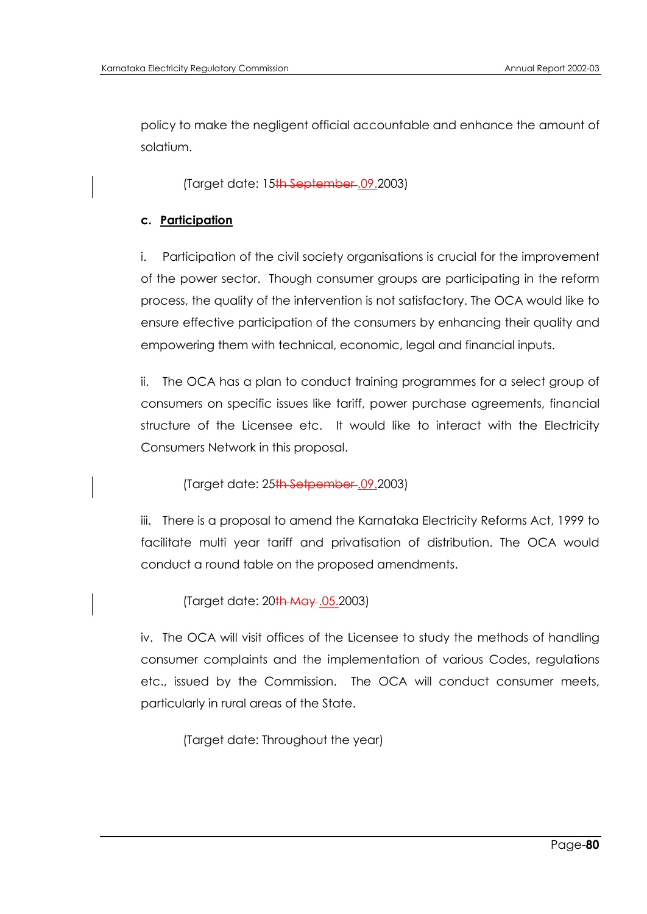policy to make the negligent official accountable and enhance the amount of solatium.

(Target date: 15th September .09.2003)

# **c. Participation**

i. Participation of the civil society organisations is crucial for the improvement of the power sector. Though consumer groups are participating in the reform process, the quality of the intervention is not satisfactory. The OCA would like to ensure effective participation of the consumers by enhancing their quality and empowering them with technical, economic, legal and financial inputs.

ii. The OCA has a plan to conduct training programmes for a select group of consumers on specific issues like tariff, power purchase agreements, financial structure of the Licensee etc. It would like to interact with the Electricity Consumers Network in this proposal.

(Target date: 25th Setpember .09.2003)

iii. There is a proposal to amend the Karnataka Electricity Reforms Act, 1999 to facilitate multi year tariff and privatisation of distribution. The OCA would conduct a round table on the proposed amendments.

(Target date: 20th May .05.2003)

iv. The OCA will visit offices of the Licensee to study the methods of handling consumer complaints and the implementation of various Codes, regulations etc., issued by the Commission. The OCA will conduct consumer meets, particularly in rural areas of the State.

(Target date: Throughout the year)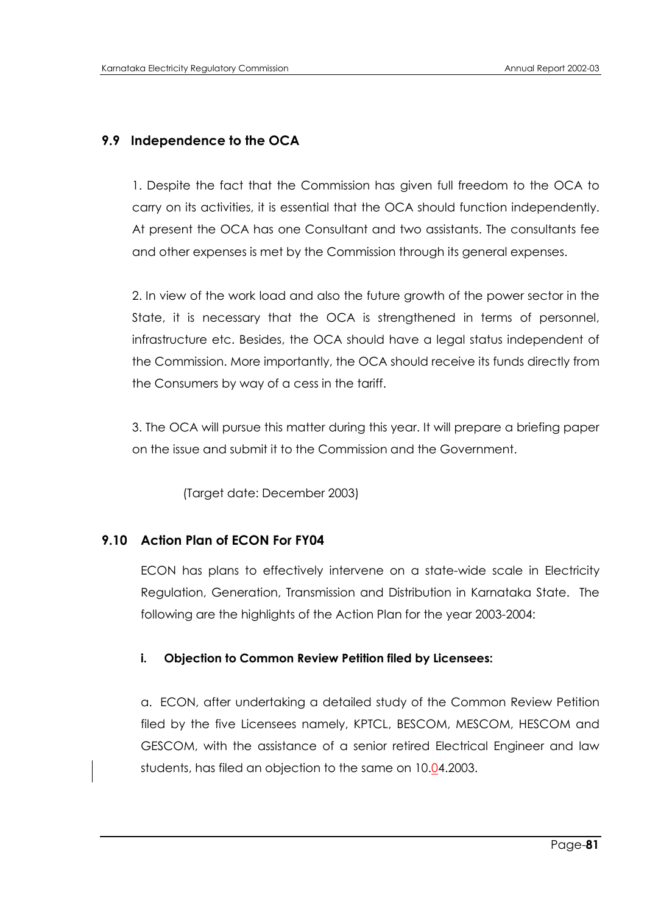# **9.9 Independence to the OCA**

1. Despite the fact that the Commission has given full freedom to the OCA to carry on its activities, it is essential that the OCA should function independently. At present the OCA has one Consultant and two assistants. The consultants fee and other expenses is met by the Commission through its general expenses.

2. In view of the work load and also the future growth of the power sector in the State, it is necessary that the OCA is strengthened in terms of personnel, infrastructure etc. Besides, the OCA should have a legal status independent of the Commission. More importantly, the OCA should receive its funds directly from the Consumers by way of a cess in the tariff.

3. The OCA will pursue this matter during this year. It will prepare a briefing paper on the issue and submit it to the Commission and the Government.

(Target date: December 2003)

# **9.10 Action Plan of ECON For FY04**

ECON has plans to effectively intervene on a state-wide scale in Electricity Regulation, Generation, Transmission and Distribution in Karnataka State. The following are the highlights of the Action Plan for the year 2003-2004:

### **i. Objection to Common Review Petition filed by Licensees:**

a. ECON, after undertaking a detailed study of the Common Review Petition filed by the five Licensees namely, KPTCL, BESCOM, MESCOM, HESCOM and GESCOM, with the assistance of a senior retired Electrical Engineer and law students, has filed an objection to the same on 10.04.2003.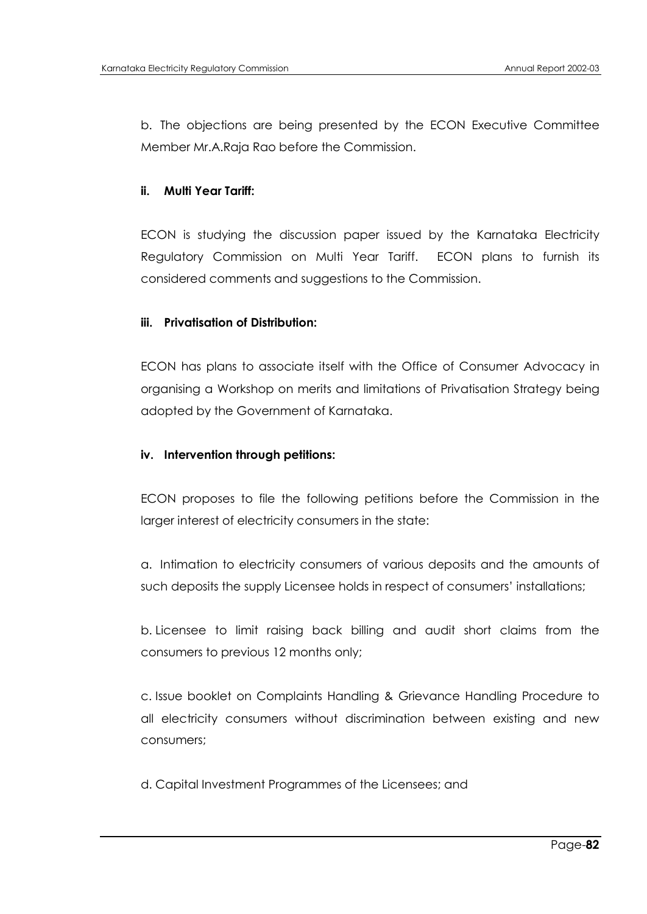b. The objections are being presented by the ECON Executive Committee Member Mr.A.Raja Rao before the Commission.

### **ii. Multi Year Tariff:**

ECON is studying the discussion paper issued by the Karnataka Electricity Regulatory Commission on Multi Year Tariff. ECON plans to furnish its considered comments and suggestions to the Commission.

### **iii. Privatisation of Distribution:**

ECON has plans to associate itself with the Office of Consumer Advocacy in organising a Workshop on merits and limitations of Privatisation Strategy being adopted by the Government of Karnataka.

### **iv. Intervention through petitions:**

ECON proposes to file the following petitions before the Commission in the larger interest of electricity consumers in the state:

a. Intimation to electricity consumers of various deposits and the amounts of such deposits the supply Licensee holds in respect of consumers' installations;

b. Licensee to limit raising back billing and audit short claims from the consumers to previous 12 months only;

c. Issue booklet on Complaints Handling & Grievance Handling Procedure to all electricity consumers without discrimination between existing and new consumers;

d. Capital Investment Programmes of the Licensees; and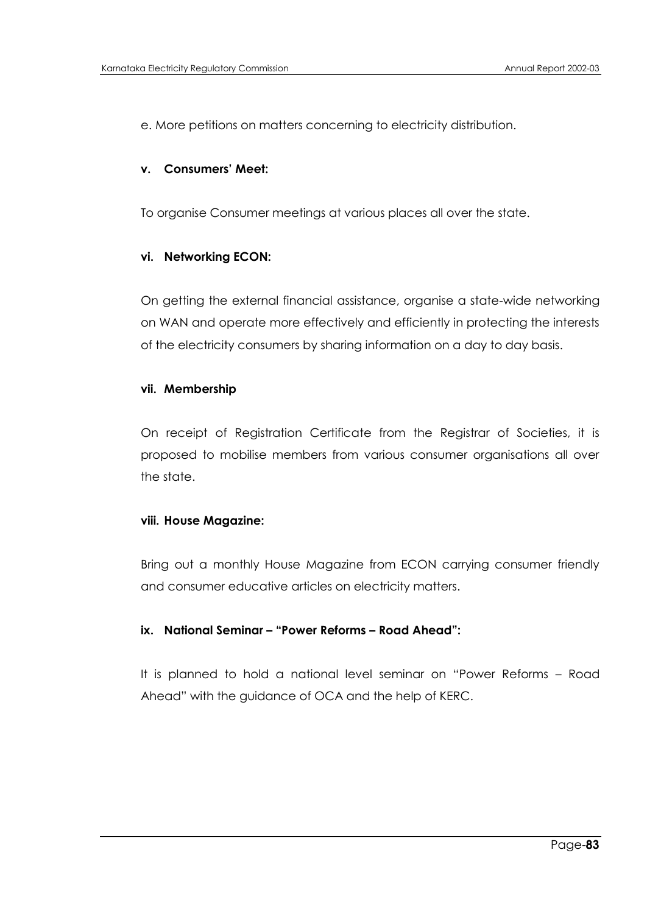e. More petitions on matters concerning to electricity distribution.

### **v. Consumers' Meet:**

To organise Consumer meetings at various places all over the state.

#### **vi. Networking ECON:**

On getting the external financial assistance, organise a state-wide networking on WAN and operate more effectively and efficiently in protecting the interests of the electricity consumers by sharing information on a day to day basis.

#### **vii. Membership**

On receipt of Registration Certificate from the Registrar of Societies, it is proposed to mobilise members from various consumer organisations all over the state.

#### **viii. House Magazine:**

Bring out a monthly House Magazine from ECON carrying consumer friendly and consumer educative articles on electricity matters.

### **ix. National Seminar – "Power Reforms – Road Ahead":**

It is planned to hold a national level seminar on "Power Reforms – Road Ahead" with the guidance of OCA and the help of KERC.